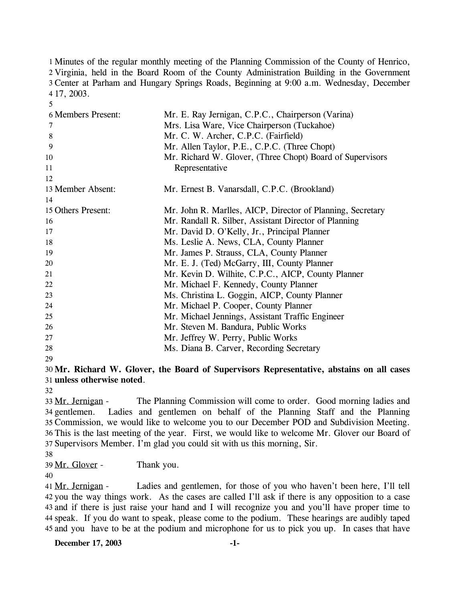1 Minutes of the regular monthly meeting of the Planning Commission of the County of Henrico, 2 Virginia, held in the Board Room of the County Administration Building in the Government Center at Parham and Hungary Springs Roads, Beginning at 9:00 a.m. Wednesday, December 3 17, 2003. 4

| <b>6 Members Present:</b> | Mr. E. Ray Jernigan, C.P.C., Chairperson (Varina)          |
|---------------------------|------------------------------------------------------------|
| 7                         | Mrs. Lisa Ware, Vice Chairperson (Tuckahoe)                |
| 8                         | Mr. C. W. Archer, C.P.C. (Fairfield)                       |
| 9                         | Mr. Allen Taylor, P.E., C.P.C. (Three Chopt)               |
| 10                        | Mr. Richard W. Glover, (Three Chopt) Board of Supervisors  |
| 11                        | Representative                                             |
| 12                        |                                                            |
| 13 Member Absent:         | Mr. Ernest B. Vanarsdall, C.P.C. (Brookland)               |
| 14                        |                                                            |
| 15 Others Present:        | Mr. John R. Marlles, AICP, Director of Planning, Secretary |
| 16                        | Mr. Randall R. Silber, Assistant Director of Planning      |
| 17                        | Mr. David D. O'Kelly, Jr., Principal Planner               |
| 18                        | Ms. Leslie A. News, CLA, County Planner                    |
| 19                        | Mr. James P. Strauss, CLA, County Planner                  |
| 20                        | Mr. E. J. (Ted) McGarry, III, County Planner               |
| 21                        | Mr. Kevin D. Wilhite, C.P.C., AICP, County Planner         |
| 22                        | Mr. Michael F. Kennedy, County Planner                     |
| 23                        | Ms. Christina L. Goggin, AICP, County Planner              |
| 24                        | Mr. Michael P. Cooper, County Planner                      |
| 25                        | Mr. Michael Jennings, Assistant Traffic Engineer           |
| 26                        | Mr. Steven M. Bandura, Public Works                        |
| 27                        | Mr. Jeffrey W. Perry, Public Works                         |
| 28                        | Ms. Diana B. Carver, Recording Secretary                   |
| 29                        |                                                            |

30 **Mr. Richard W. Glover, the Board of Supervisors Representative, abstains on all cases**  31 **unless otherwise noted**.

32

5

The Planning Commission will come to order. Good morning ladies and Ladies and gentlemen on behalf of the Planning Staff and the Planning 35 Commission, we would like to welcome you to our December POD and Subdivision Meeting. 36 This is the last meeting of the year. First, we would like to welcome Mr. Glover our Board of 37 Supervisors Member. I'm glad you could sit with us this morning, Sir. 33 Mr. Jernigan -34 gentlemen.

38

39 Mr. Glover - Thank you.

40

Ladies and gentlemen, for those of you who haven't been here, I'll tell 42 you the way things work. As the cases are called I'll ask if there is any opposition to a case 43 and if there is just raise your hand and I will recognize you and you'll have proper time to 44 speak. If you do want to speak, please come to the podium. These hearings are audibly taped 45 and you have to be at the podium and microphone for us to pick you up. In cases that have 41 Mr. Jernigan -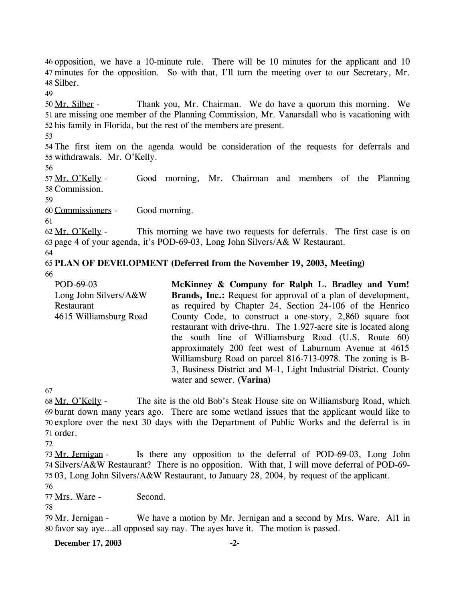46 opposition, we have a 10-minute rule. There will be 10 minutes for the applicant and 10 minutes for the opposition. So with that, I'll turn the meeting over to our Secretary, Mr. 47 Silber. 48

49

Thank you, Mr. Chairman. We do have a quorum this morning. We 51 are missing one member of the Planning Commission, Mr. Vanarsdall who is vacationing with 52 his family in Florida, but the rest of the members are present. 50 Mr. Silber -

53

54 The first item on the agenda would be consideration of the requests for deferrals and 55 withdrawals. Mr. O'Kelly.

56

Good morning, Mr. Chairman and members of the Planning 58 Commission. 57 Mr. O'Kelly -

59

60 Commissioners - Good morning.

61

This morning we have two requests for deferrals. The first case is on 63 page 4 of your agenda, it's POD-69-03, Long John Silvers/A& W Restaurant. 62 Mr. O'Kelly -

64

# 65 **PLAN OF DEVELOPMENT (Deferred from the November 19, 2003, Meeting)**

66

POD-69-03 Long John Silvers/A&W Restaurant 4615 Williamsburg Road **McKinney & Company for Ralph L. Bradley and Yum!**  Brands, Inc.: Request for approval of a plan of development, as required by Chapter 24, Section 24-106 of the Henrico County Code, to construct a one-story, 2,860 square foot restaurant with drive-thru. The 1.927-acre site is located along the south line of Williamsburg Road (U.S. Route 60) approximately 200 feet west of Laburnum Avenue at 4615 Williamsburg Road on parcel 816-713-0978. The zoning is B-3, Business District and M-1, Light Industrial District. County water and sewer. **(Varina)** 

67

The site is the old Bob's Steak House site on Williamsburg Road, which burnt down many years ago. There are some wetland issues that the applicant would like to 69 70 explore over the next 30 days with the Department of Public Works and the deferral is in 71 order. 68 Mr. O'Kelly -

72

Is there any opposition to the deferral of POD-69-03, Long John 74 Silvers/A&W Restaurant? There is no opposition. With that, I will move deferral of POD-69-03, Long John Silvers/A&W Restaurant, to January 28, 2004, by request of the applicant. 75 73 Mr. Jernigan -

76

77 Mrs. Ware - Second.

78

We have a motion by Mr. Jernigan and a second by Mrs. Ware. All in 80 favor say aye...all opposed say nay. The ayes have it. The motion is passed. 79 Mr. Jernigan -

**December 17, 2003 -2-**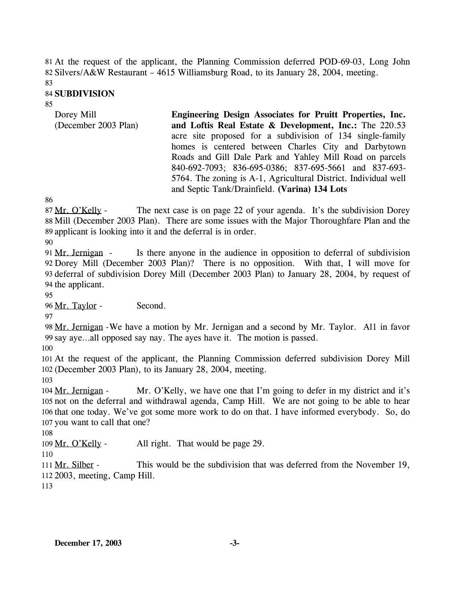At the request of the applicant, the Planning Commission deferred POD-69-03, Long John 81 82 Silvers/A&W Restaurant - 4615 Williamsburg Road, to its January 28, 2004, meeting.

83

### 84 **SUBDIVISION**

#### 85

| Dorey Mill           | Engineering Design Associates for Pruitt Properties, Inc.       |
|----------------------|-----------------------------------------------------------------|
| (December 2003 Plan) | and Loftis Real Estate & Development, Inc.: The 220.53          |
|                      | acre site proposed for a subdivision of 134 single-family       |
|                      | homes is centered between Charles City and Darbytown            |
|                      | Roads and Gill Dale Park and Yahley Mill Road on parcels        |
|                      | 840-692-7093; 836-695-0386; 837-695-5661 and 837-693-           |
|                      | 5764. The zoning is A-1, Agricultural District. Individual well |
|                      | and Septic Tank/Drainfield. (Varina) 134 Lots                   |

86

The next case is on page 22 of your agenda. It's the subdivision Dorey 88 Mill (December 2003 Plan). There are some issues with the Major Thoroughfare Plan and the 89 applicant is looking into it and the deferral is in order. 87 Mr. O'Kelly -

90

Is there anyone in the audience in opposition to deferral of subdivision 92 Dorey Mill (December 2003 Plan)? There is no opposition. With that, I will move for 93 deferral of subdivision Dorey Mill (December 2003 Plan) to January 28, 2004, by request of 94 the applicant. 91 Mr. Jernigan -

95

96 Mr. Taylor - Second.

97

98 Mr. Jernigan - We have a motion by Mr. Jernigan and a second by Mr. Taylor. All in favor 99 say aye...all opposed say nay. The ayes have it. The motion is passed.

100

101 At the request of the applicant, the Planning Commission deferred subdivision Dorey Mill 102 (December 2003 Plan), to its January 28, 2004, meeting.

103

Mr. O'Kelly, we have one that I'm going to defer in my district and it's 105 not on the deferral and withdrawal agenda, Camp Hill. We are not going to be able to hear 106 that one today. We've got some more work to do on that. I have informed everybody. So, do 107 you want to call that one? 104 Mr. Jernigan -

108

109 Mr. O'Kelly - All right. That would be page 29.

110

This would be the subdivision that was deferred from the November 19, 2003, meeting, Camp Hill. 112 111 Mr. Silber -

113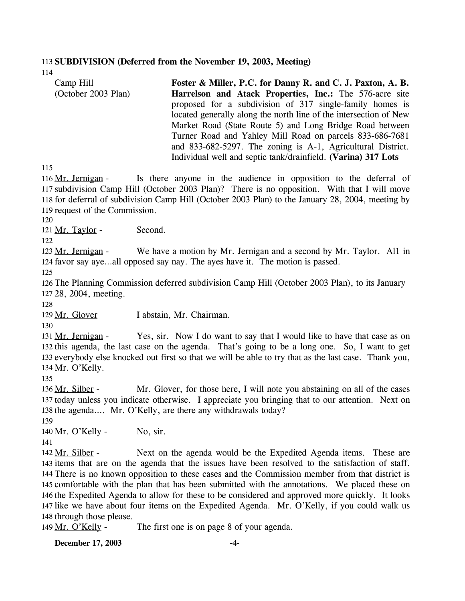#### 113 **SUBDIVISION (Deferred from the November 19, 2003, Meeting)**

114

| Camp Hill           | Foster & Miller, P.C. for Danny R. and C. J. Paxton, A. B.        |
|---------------------|-------------------------------------------------------------------|
| (October 2003 Plan) | Harrelson and Atack Properties, Inc.: The 576-acre site           |
|                     | proposed for a subdivision of 317 single-family homes is          |
|                     | located generally along the north line of the intersection of New |
|                     | Market Road (State Route 5) and Long Bridge Road between          |
|                     | Turner Road and Yahley Mill Road on parcels 833-686-7681          |
|                     | and 833-682-5297. The zoning is A-1, Agricultural District.       |
|                     | Individual well and septic tank/drainfield. (Varina) 317 Lots     |

115

Is there anyone in the audience in opposition to the deferral of 117 subdivision Camp Hill (October 2003 Plan)? There is no opposition. With that I will move 118 for deferral of subdivision Camp Hill (October 2003 Plan) to the January 28, 2004, meeting by 119 request of the Commission. 116 Mr. Jernigan -

120

121 Mr. Taylor - Second.

122

We have a motion by Mr. Jernigan and a second by Mr. Taylor. All in 124 favor say aye...all opposed say nay. The ayes have it. The motion is passed. 123 Mr. Jernigan -

125

126 The Planning Commission deferred subdivision Camp Hill (October 2003 Plan), to its January 127 28, 2004, meeting.

128

129 Mr. Glover I abstain, Mr. Chairman.

130

Yes, sir. Now I do want to say that I would like to have that case as on 132 this agenda, the last case on the agenda. That's going to be a long one. So, I want to get 133 everybody else knocked out first so that we will be able to try that as the last case. Thank you, 134 Mr. O'Kelly. 131 Mr. Jernigan -

135

Mr. Glover, for those here, I will note you abstaining on all of the cases 137 today unless you indicate otherwise. I appreciate you bringing that to our attention. Next on 138 the agenda.... Mr. O'Kelly, are there any withdrawals today? 136 Mr. Silber -139

 $140$  Mr. O'Kelly - No, sir.

141

Next on the agenda would be the Expedited Agenda items. These are 143 items that are on the agenda that the issues have been resolved to the satisfaction of staff. 144 There is no known opposition to these cases and the Commission member from that district is 145 comfortable with the plan that has been submitted with the annotations. We placed these on 146 the Expedited Agenda to allow for these to be considered and approved more quickly. It looks 147 like we have about four items on the Expedited Agenda. Mr. O'Kelly, if you could walk us 148 through those please. 142 Mr. Silber -

149 Mr. O'Kelly - The first one is on page 8 of your agenda.

**December 17, 2003 -4-**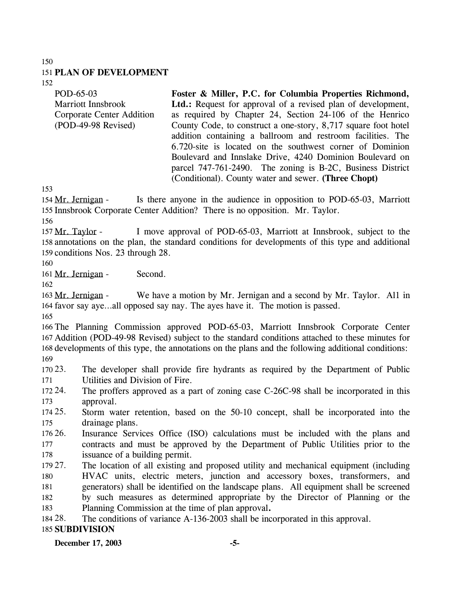### 151 **PLAN OF DEVELOPMENT**

152

| POD-65-03                 | Foster & Miller, P.C. for Columbia Properties Richmond,             |
|---------------------------|---------------------------------------------------------------------|
| <b>Marriott Innsbrook</b> | <b>Ltd.:</b> Request for approval of a revised plan of development, |
| Corporate Center Addition | as required by Chapter 24, Section 24-106 of the Henrico            |
| (POD-49-98 Revised)       | County Code, to construct a one-story, 8,717 square foot hotel      |
|                           | addition containing a ballroom and restroom facilities. The         |
|                           | 6.720-site is located on the southwest corner of Dominion           |
|                           | Boulevard and Innslake Drive, 4240 Dominion Boulevard on            |
|                           | parcel 747-761-2490. The zoning is B-2C, Business District          |
|                           | (Conditional). County water and sewer. (Three Chopt)                |

153

Is there anyone in the audience in opposition to POD-65-03, Marriott 155 Innsbrook Corporate Center Addition? There is no opposition. Mr. Taylor. 154 Mr. Jernigan -

156

I move approval of POD-65-03, Marriott at Innsbrook, subject to the 158 annotations on the plan, the standard conditions for developments of this type and additional 159 conditions Nos. 23 through 28. 157 Mr. Taylor -

160

161 Mr. Jernigan - Second.

162

We have a motion by Mr. Jernigan and a second by Mr. Taylor. All in 164 favor say aye...all opposed say nay. The ayes have it. The motion is passed. 163 Mr. Jernigan -

165

 The Planning Commission approved POD-65-03, Marriott Innsbrook Corporate Center Addition (POD-49-98 Revised) subject to the standard conditions attached to these minutes for developments of this type, the annotations on the plans and the following additional conditions: 169

 $17023.$ 171 The developer shall provide fire hydrants as required by the Department of Public Utilities and Division of Fire.

172 24. 173 The proffers approved as a part of zoning case C-26C-98 shall be incorporated in this approval.

174 25. 175 25. Storm water retention, based on the 50-10 concept, shall be incorporated into the drainage plans.

176 26. 177 178 Insurance Services Office (ISO) calculations must be included with the plans and contracts and must be approved by the Department of Public Utilities prior to the issuance of a building permit.

179 27. 180 181 182 183 The location of all existing and proposed utility and mechanical equipment (including HVAC units, electric meters, junction and accessory boxes, transformers, and generators) shall be identified on the landscape plans. All equipment shall be screened by such measures as determined appropriate by the Director of Planning or the Planning Commission at the time of plan approval**.**

184 28. The conditions of variance A-136-2003 shall be incorporated in this approval.

### 185 **SUBDIVISION**

**December 17, 2003 -5-**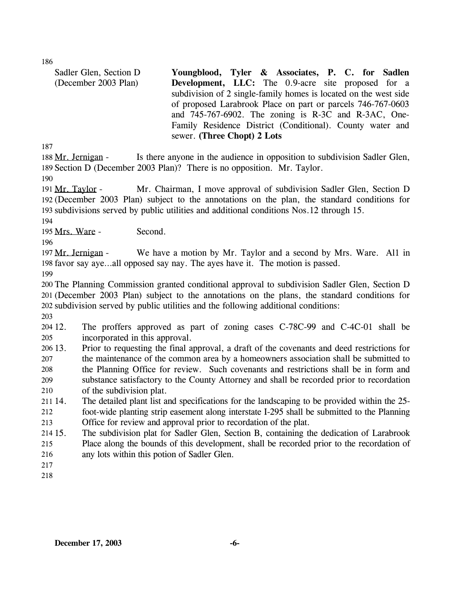| Sadler Glen, Section D | Youngblood, Tyler & Associates, P. C. for Sadlen                 |
|------------------------|------------------------------------------------------------------|
| (December 2003 Plan)   | <b>Development, LLC:</b> The 0.9-acre site proposed for a        |
|                        | subdivision of 2 single-family homes is located on the west side |
|                        | of proposed Larabrook Place on part or parcels 746-767-0603      |
|                        | and $745-767-6902$ . The zoning is R-3C and R-3AC, One-          |
|                        | Family Residence District (Conditional). County water and        |
|                        | sewer. (Three Chopt) 2 Lots                                      |

187

Is there anyone in the audience in opposition to subdivision Sadler Glen, 189 Section D (December 2003 Plan)? There is no opposition. Mr. Taylor. 188 Mr. Jernigan -

190

Mr. Chairman, I move approval of subdivision Sadler Glen, Section D (December 2003 Plan) subject to the annotations on the plan, the standard conditions for 192 193 subdivisions served by public utilities and additional conditions Nos.12 through 15. 191 Mr. Taylor -

194

195 Mrs. Ware - Second.

196

We have a motion by Mr. Taylor and a second by Mrs. Ware. All in 198 favor say aye...all opposed say nay. The ayes have it. The motion is passed. 197 Mr. Jernigan -

199

200 The Planning Commission granted conditional approval to subdivision Sadler Glen, Section D 201 (December 2003 Plan) subject to the annotations on the plans, the standard conditions for 202 subdivision served by public utilities and the following additional conditions:

203

204 12. 205 The proffers approved as part of zoning cases C-78C-99 and C-4C-01 shall be incorporated in this approval.

 $206\,13$ . 207 208 209 210 13. Prior to requesting the final approval, a draft of the covenants and deed restrictions for the maintenance of the common area by a homeowners association shall be submitted to the Planning Office for review. Such covenants and restrictions shall be in form and substance satisfactory to the County Attorney and shall be recorded prior to recordation of the subdivision plat.

211 14. 212 The detailed plant list and specifications for the landscaping to be provided within the 25foot-wide planting strip easement along interstate I-295 shall be submitted to the Planning

213 Office for review and approval prior to recordation of the plat.

 $214\,15$ . 215 The subdivision plat for Sadler Glen, Section B, containing the dedication of Larabrook Place along the bounds of this development, shall be recorded prior to the recordation of

- 216 any lots within this potion of Sadler Glen.
- 217
- 218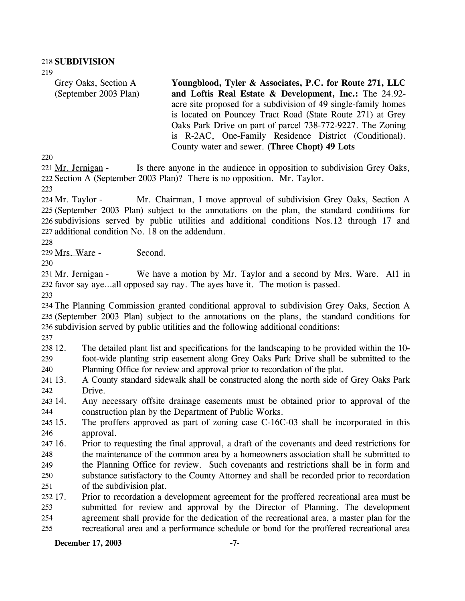Grey Oaks, Section A (September 2003 Plan) **Youngblood, Tyler & Associates, P.C. for Route 271, LLC and Loftis Real Estate & Development, Inc.:** The 24.92 acre site proposed for a subdivision of 49 single-family homes is located on Pouncey Tract Road (State Route 271) at Grey Oaks Park Drive on part of parcel 738-772-9227. The Zoning is R-2AC, One-Family Residence District (Conditional). County water and sewer. **(Three Chopt) 49 Lots** 

220

Is there anyone in the audience in opposition to subdivision Grey Oaks, 222 Section A (September 2003 Plan)? There is no opposition. Mr. Taylor. 221 Mr. Jernigan -

223

Mr. Chairman, I move approval of subdivision Grey Oaks, Section A (September 2003 Plan) subject to the annotations on the plan, the standard conditions for 225 226 subdivisions served by public utilities and additional conditions Nos.12 through 17 and 227 additional condition No. 18 on the addendum. 224 Mr. Taylor -

228

229 Mrs. Ware - Second.

230

We have a motion by Mr. Taylor and a second by Mrs. Ware. All in 232 favor say aye...all opposed say nay. The ayes have it. The motion is passed. 231 Mr. Jernigan -

233

234 The Planning Commission granted conditional approval to subdivision Grey Oaks, Section A 235 (September 2003 Plan) subject to the annotations on the plans, the standard conditions for 236 subdivision served by public utilities and the following additional conditions:

237

238 12. 239 240 12. The detailed plant list and specifications for the landscaping to be provided within the 10 foot-wide planting strip easement along Grey Oaks Park Drive shall be submitted to the Planning Office for review and approval prior to recordation of the plat.

241 13. 242 13. A County standard sidewalk shall be constructed along the north side of Grey Oaks Park Drive.

243 14. 244 14. Any necessary offsite drainage easements must be obtained prior to approval of the construction plan by the Department of Public Works.

245 15. 246 The proffers approved as part of zoning case C-16C-03 shall be incorporated in this approval.

247 16. 248 249 250 251 16. Prior to requesting the final approval, a draft of the covenants and deed restrictions for the maintenance of the common area by a homeowners association shall be submitted to the Planning Office for review. Such covenants and restrictions shall be in form and substance satisfactory to the County Attorney and shall be recorded prior to recordation of the subdivision plat.

252 17. 253 254 255 17. Prior to recordation a development agreement for the proffered recreational area must be submitted for review and approval by the Director of Planning. The development agreement shall provide for the dedication of the recreational area, a master plan for the recreational area and a performance schedule or bond for the proffered recreational area

**December 17, 2003 -7-**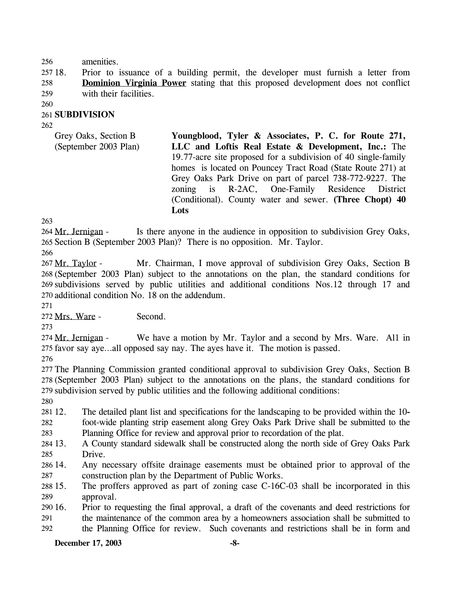### 256 amenities.

257 18. Prior to issuance of a building permit, the developer must furnish a letter from **Dominion Virginia Power** stating that this proposed development does not conflict with their facilities. 258 259

260

## 261 **SUBDIVISION**

262

Grey Oaks, Section B (September 2003 Plan) **Youngblood, Tyler & Associates, P. C. for Route 271, LLC and Loftis Real Estate & Development, Inc.:** The 19.77-acre site proposed for a subdivision of 40 single-family homes is located on Pouncey Tract Road (State Route 271) at Grey Oaks Park Drive on part of parcel 738-772-9227. The zoning is R-2AC, One-Family Residence District (Conditional). County water and sewer. **(Three Chopt) 40 Lots** 

263

Is there anyone in the audience in opposition to subdivision Grey Oaks, 265 Section B (September 2003 Plan)? There is no opposition. Mr. Taylor. 264 Mr. Jernigan -

266

Mr. Chairman, I move approval of subdivision Grey Oaks, Section B (September 2003 Plan) subject to the annotations on the plan, the standard conditions for 268 269 subdivisions served by public utilities and additional conditions Nos.12 through 17 and 270 additional condition No. 18 on the addendum. 267 Mr. Taylor -

271

272 Mrs. Ware - Second.

273

We have a motion by Mr. Taylor and a second by Mrs. Ware. All in 275 favor say aye...all opposed say nay. The ayes have it. The motion is passed. 274 Mr. Jernigan -

276

277 The Planning Commission granted conditional approval to subdivision Grey Oaks, Section B 278 (September 2003 Plan) subject to the annotations on the plans, the standard conditions for 279 subdivision served by public utilities and the following additional conditions:

280

281 12. 282 12. The detailed plant list and specifications for the landscaping to be provided within the 10 foot-wide planting strip easement along Grey Oaks Park Drive shall be submitted to the

283 Planning Office for review and approval prior to recordation of the plat.

- 284 13. 285 13. A County standard sidewalk shall be constructed along the north side of Grey Oaks Park Drive.
- 286 14. 287 14. Any necessary offsite drainage easements must be obtained prior to approval of the construction plan by the Department of Public Works.
- 288 15. 289 The proffers approved as part of zoning case  $C-16C-03$  shall be incorporated in this approval.
- 290 16. 291 292 16. Prior to requesting the final approval, a draft of the covenants and deed restrictions for the maintenance of the common area by a homeowners association shall be submitted to the Planning Office for review. Such covenants and restrictions shall be in form and

## **December 17, 2003 -8-**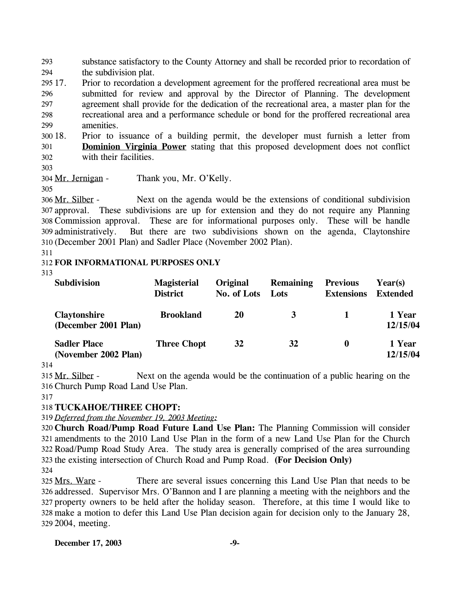substance satisfactory to the County Attorney and shall be recorded prior to recordation of the subdivision plat. 293 294

295 17. 296 297 298 299 17. Prior to recordation a development agreement for the proffered recreational area must be submitted for review and approval by the Director of Planning. The development agreement shall provide for the dedication of the recreational area, a master plan for the recreational area and a performance schedule or bond for the proffered recreational area amenities.

300 18. 18. Prior to issuance of a building permit, the developer must furnish a letter from **Dominion Virginia Power** stating that this proposed development does not conflict with their facilities. 301 302

303

304 Mr. Jernigan - Thank you, Mr. O'Kelly.

305

Next on the agenda would be the extensions of conditional subdivision 307 approval. These subdivisions are up for extension and they do not require any Planning Commission approval. These are for informational purposes only. These will be handle 308 But there are two subdivisions shown on the agenda, Claytonshire (December 2001 Plan) and Sadler Place (November 2002 Plan). 310 306 Mr. Silber -309 administratively.

311

### 312 **FOR INFORMATIONAL PURPOSES ONLY**

313

| <b>Subdivision</b>                          | <b>Magisterial</b><br><b>District</b> | <b>Original</b><br>No. of Lots | <b>Remaining</b><br>Lots | <b>Previous</b><br><b>Extensions</b> | Year(s)<br><b>Extended</b> |
|---------------------------------------------|---------------------------------------|--------------------------------|--------------------------|--------------------------------------|----------------------------|
| <b>Claytonshire</b><br>(December 2001 Plan) | <b>Brookland</b>                      | 20                             | 3                        |                                      | 1 Year<br>12/15/04         |
| <b>Sadler Place</b><br>(November 2002 Plan) | <b>Three Chopt</b>                    | 32                             | 32                       | $\boldsymbol{0}$                     | 1 Year<br>12/15/04         |

314

Next on the agenda would be the continuation of a public hearing on the Church Pump Road Land Use Plan. 316 315 Mr. Silber -

## 317

# 318 **TUCKAHOE/THREE CHOPT:**

319 *Deferred from the November 19, 2003 Meeting:*

 **Church Road/Pump Road Future Land Use Plan:** The Planning Commission will consider amendments to the 2010 Land Use Plan in the form of a new Land Use Plan for the Church Road/Pump Road Study Area. The study area is generally comprised of the area surrounding the existing intersection of Church Road and Pump Road. **(For Decision Only)** 324

There are several issues concerning this Land Use Plan that needs to be 326 addressed. Supervisor Mrs. O'Bannon and I are planning a meeting with the neighbors and the 327 property owners to be held after the holiday season. Therefore, at this time I would like to make a motion to defer this Land Use Plan decision again for decision only to the January 28, 328 2004, meeting. 329 325 Mrs. Ware -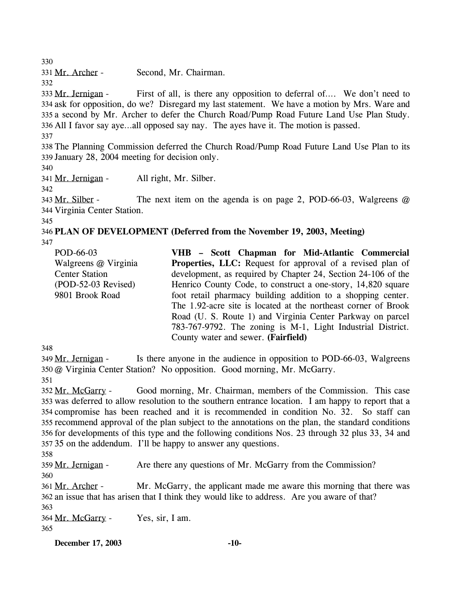331 Mr. Archer - Second, Mr. Chairman. 332

First of all, is there any opposition to deferral of…. We don't need to 334 ask for opposition, do we? Disregard my last statement. We have a motion by Mrs. Ware and 335 a second by Mr. Archer to defer the Church Road/Pump Road Future Land Use Plan Study. 336 All I favor say aye...all opposed say nay. The ayes have it. The motion is passed. 333 Mr. Jernigan -

337

330

338 The Planning Commission deferred the Church Road/Pump Road Future Land Use Plan to its 339 January 28, 2004 meeting for decision only.

340

341 Mr. Jernigan - All right, Mr. Silber.

342

345

The next item on the agenda is on page 2, POD-66-03, Walgreens  $@$ 344 Virginia Center Station. 343 Mr. Silber -

346 **PLAN OF DEVELOPMENT (Deferred from the November 19, 2003, Meeting)**  347

| POD-66-03             | VHB - Scott Chapman for Mid-Atlantic Commercial                   |
|-----------------------|-------------------------------------------------------------------|
| Walgreens @ Virginia  | <b>Properties, LLC:</b> Request for approval of a revised plan of |
| <b>Center Station</b> | development, as required by Chapter 24, Section 24-106 of the     |
| $(POD-52-03$ Revised) | Henrico County Code, to construct a one-story, 14,820 square      |
| 9801 Brook Road       | foot retail pharmacy building addition to a shopping center.      |
|                       | The 1.92-acre site is located at the northeast corner of Brook    |
|                       | Road (U. S. Route 1) and Virginia Center Parkway on parcel        |
|                       | 783-767-9792. The zoning is M-1, Light Industrial District.       |
|                       | County water and sewer. (Fairfield)                               |

348

Is there anyone in the audience in opposition to POD-66-03, Walgreens @ Virginia Center Station? No opposition. Good morning, Mr. McGarry. 350 349 Mr. Jernigan -351

Good morning, Mr. Chairman, members of the Commission. This case 353 was deferred to allow resolution to the southern entrance location. I am happy to report that a 354 compromise has been reached and it is recommended in condition No. 32. So staff can 355 recommend approval of the plan subject to the annotations on the plan, the standard conditions 356 for developments of this type and the following conditions Nos. 23 through 32 plus 33, 34 and 357 35 on the addendum. I'll be happy to answer any questions. 352 Mr. McGarry -

358

359 Mr. Jernigan - Are there any questions of Mr. McGarry from the Commission? 360

Mr. McGarry, the applicant made me aware this morning that there was 362 an issue that has arisen that I think they would like to address. Are you aware of that? 361 Mr. Archer -363

364 Mr. McGarry - Yes, sir, I am. 365

**December 17, 2003 -10-**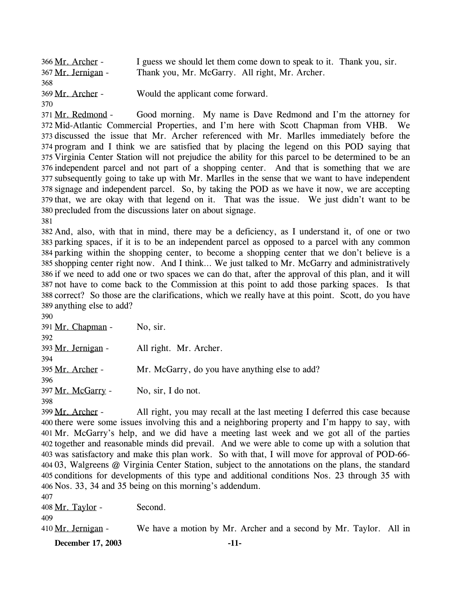| 366 Mr. Archer -   | I guess we should let them come down to speak to it. Thank you, sir. |  |
|--------------------|----------------------------------------------------------------------|--|
| 367 Mr. Jernigan - | Thank you, Mr. McGarry. All right, Mr. Archer.                       |  |
| 368                |                                                                      |  |
| 369 Mr. Archer -   | Would the applicant come forward.                                    |  |
| 370                |                                                                      |  |

Good morning. My name is Dave Redmond and I'm the attorney for 372 Mid-Atlantic Commercial Properties, and I'm here with Scott Chapman from VHB. We 373 discussed the issue that Mr. Archer referenced with Mr. Marlles immediately before the 374 program and I think we are satisfied that by placing the legend on this POD saying that 375 Virginia Center Station will not prejudice the ability for this parcel to be determined to be an 376 independent parcel and not part of a shopping center. And that is something that we are 377 subsequently going to take up with Mr. Marlles in the sense that we want to have independent signage and independent parcel. So, by taking the POD as we have it now, we are accepting 378 379 that, we are okay with that legend on it. That was the issue. We just didn't want to be 380 precluded from the discussions later on about signage. 371 Mr. Redmond -381

 And, also, with that in mind, there may be a deficiency, as I understand it, of one or two parking spaces, if it is to be an independent parcel as opposed to a parcel with any common parking within the shopping center, to become a shopping center that we don't believe is a shopping center right now. And I think… We just talked to Mr. McGarry and administratively if we need to add one or two spaces we can do that, after the approval of this plan, and it will not have to come back to the Commission at this point to add those parking spaces. Is that correct? So those are the clarifications, which we really have at this point. Scott, do you have anything else to add?

| 390                |                                                |
|--------------------|------------------------------------------------|
| 391 Mr. Chapman -  | No, sir.                                       |
| 392                |                                                |
| 393 Mr. Jernigan - | All right. Mr. Archer.                         |
| 394                |                                                |
| 395 Mr. Archer -   | Mr. McGarry, do you have anything else to add? |
| 396                |                                                |
| 397 Mr. McGarry -  | No, sir, I do not.                             |
| 398                |                                                |
|                    |                                                |

All right, you may recall at the last meeting I deferred this case because 400 there were some issues involving this and a neighboring property and I'm happy to say, with 401 Mr. McGarry's help, and we did have a meeting last week and we got all of the parties 402 together and reasonable minds did prevail. And we were able to come up with a solution that 403 was satisfactory and make this plan work. So with that, I will move for approval of POD-66-404 03, Walgreens @ Virginia Center Station, subject to the annotations on the plans, the standard 405 conditions for developments of this type and additional conditions Nos. 23 through 35 with Nos. 33, 34 and 35 being on this morning's addendum. 406 399 Mr. Archer -407

| December 17, 2003  | $-11-$                                                            |
|--------------------|-------------------------------------------------------------------|
| 410 Mr. Jernigan - | We have a motion by Mr. Archer and a second by Mr. Taylor. All in |
| 409                |                                                                   |
| 408 Mr. Taylor -   | Second.                                                           |
| .                  |                                                                   |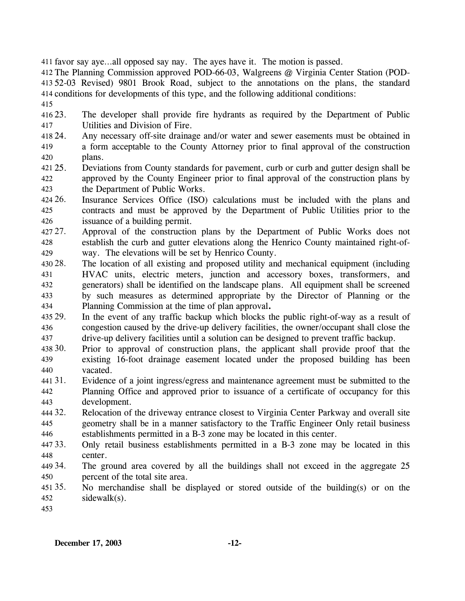411 favor say aye…all opposed say nay. The ayes have it. The motion is passed.

412 The Planning Commission approved POD-66-03, Walgreens @ Virginia Center Station (POD-413 52-03 Revised) 9801 Brook Road, subject to the annotations on the plans, the standard 414 conditions for developments of this type, and the following additional conditions:

415

416 23. 417 The developer shall provide fire hydrants as required by the Department of Public Utilities and Division of Fire.

- 418 24. 419 420 Any necessary off-site drainage and/or water and sewer easements must be obtained in a form acceptable to the County Attorney prior to final approval of the construction plans.
- 421 25. 422 423 25. Deviations from County standards for pavement, curb or curb and gutter design shall be approved by the County Engineer prior to final approval of the construction plans by the Department of Public Works.
- 424 26. 425 426 26. Insurance Services Office (ISO) calculations must be included with the plans and contracts and must be approved by the Department of Public Utilities prior to the issuance of a building permit.
- 427.27. 428 429 Approval of the construction plans by the Department of Public Works does not establish the curb and gutter elevations along the Henrico County maintained right-ofway. The elevations will be set by Henrico County.
- 430 28. 431 432 433 434 28. The location of all existing and proposed utility and mechanical equipment (including HVAC units, electric meters, junction and accessory boxes, transformers, and generators) shall be identified on the landscape plans. All equipment shall be screened by such measures as determined appropriate by the Director of Planning or the Planning Commission at the time of plan approval**.**
- 435 29. 436 437 In the event of any traffic backup which blocks the public right-of-way as a result of congestion caused by the drive-up delivery facilities, the owner/occupant shall close the drive-up delivery facilities until a solution can be designed to prevent traffic backup.
- 438 30. 439 440 Prior to approval of construction plans, the applicant shall provide proof that the existing 16-foot drainage easement located under the proposed building has been vacated.
- 441 31. 442 443 Evidence of a joint ingress/egress and maintenance agreement must be submitted to the Planning Office and approved prior to issuance of a certificate of occupancy for this development.
- 444 32. 445 446 Relocation of the driveway entrance closest to Virginia Center Parkway and overall site geometry shall be in a manner satisfactory to the Traffic Engineer Only retail business establishments permitted in a B-3 zone may be located in this center.
- 447 33. 448 33. Only retail business establishments permitted in a B-3 zone may be located in this center.
- 449 34. 450 The ground area covered by all the buildings shall not exceed in the aggregate 25 percent of the total site area.
- 451 35. 452 35. No merchandise shall be displayed or stored outside of the building(s) or on the sidewalk(s).
- 453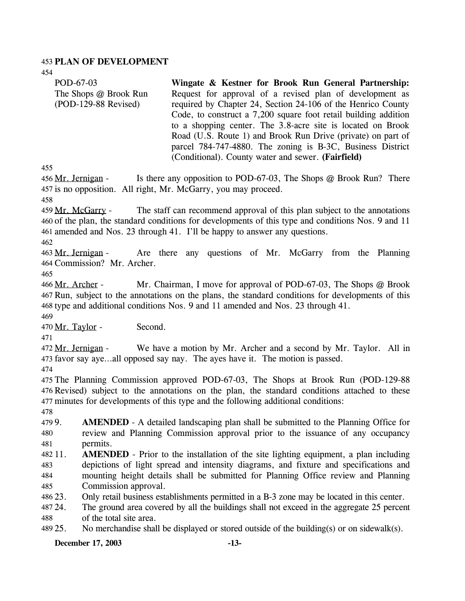#### 453 **PLAN OF DEVELOPMENT**

454 455 POD-67-03 The Shops @ Brook Run (POD-129-88 Revised) **Wingate & Kestner for Brook Run General Partnership:**  Request for approval of a revised plan of development as required by Chapter 24, Section 24-106 of the Henrico County Code, to construct a 7,200 square foot retail building addition to a shopping center. The 3.8-acre site is located on Brook Road (U.S. Route 1) and Brook Run Drive (private) on part of parcel 784-747-4880. The zoning is B-3C, Business District (Conditional). County water and sewer. **(Fairfield)**  Is there any opposition to POD-67-03, The Shops  $@$  Brook Run? There 457 is no opposition. All right, Mr. McGarry, you may proceed. 456 Mr. Jernigan -

458

The staff can recommend approval of this plan subject to the annotations 460 of the plan, the standard conditions for developments of this type and conditions Nos. 9 and 11 amended and Nos. 23 through 41. I'll be happy to answer any questions. 461 459 Mr. McGarry -

462

Are there any questions of Mr. McGarry from the Planning 464 Commission? Mr. Archer. 463 Mr. Jernigan -

465

Mr. Chairman, I move for approval of POD-67-03, The Shops  $@$  Brook 467 Run, subject to the annotations on the plans, the standard conditions for developments of this 468 type and additional conditions Nos. 9 and 11 amended and Nos. 23 through 41. 466 Mr. Archer -469

470 Mr. Taylor - Second.

471

We have a motion by Mr. Archer and a second by Mr. Taylor. All in 473 favor say aye...all opposed say nay. The ayes have it. The motion is passed. 472 Mr. Jernigan -

474

475 The Planning Commission approved POD-67-03, The Shops at Brook Run (POD-129-88 476 Revised) subject to the annotations on the plan, the standard conditions attached to these 477 minutes for developments of this type and the following additional conditions:

478

479 9. 480 481 **AMENDED** - A detailed landscaping plan shall be submitted to the Planning Office for review and Planning Commission approval prior to the issuance of any occupancy permits.

482 11. 483 484 485 **AMENDED** - Prior to the installation of the site lighting equipment, a plan including depictions of light spread and intensity diagrams, and fixture and specifications and mounting height details shall be submitted for Planning Office review and Planning Commission approval.

486 23. Only retail business establishments permitted in a B-3 zone may be located in this center.

487.24 488 The ground area covered by all the buildings shall not exceed in the aggregate 25 percent of the total site area.

489 25. No merchandise shall be displayed or stored outside of the building(s) or on sidewalk(s).

**December 17, 2003 -13-**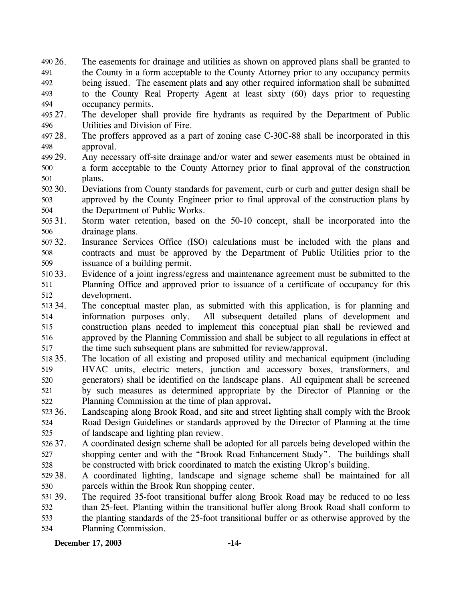- 26. The easements for drainage and utilities as shown on approved plans shall be granted to the County in a form acceptable to the County Attorney prior to any occupancy permits being issued. The easement plats and any other required information shall be submitted to the County Real Property Agent at least sixty (60) days prior to requesting occupancy permits. 490 26. 491 492 493 494
- 495 27. 496 The developer shall provide fire hydrants as required by the Department of Public Utilities and Division of Fire.
- 497 28. 498 The proffers approved as a part of zoning case C-30C-88 shall be incorporated in this approval.
- 499 29. 500 501 Any necessary off-site drainage and/or water and sewer easements must be obtained in a form acceptable to the County Attorney prior to final approval of the construction plans.
- 502 30. 503 504 Deviations from County standards for pavement, curb or curb and gutter design shall be approved by the County Engineer prior to final approval of the construction plans by the Department of Public Works.
- 505 31. 506 Storm water retention, based on the 50-10 concept, shall be incorporated into the drainage plans.
- 507 32. 508 509 Insurance Services Office (ISO) calculations must be included with the plans and contracts and must be approved by the Department of Public Utilities prior to the issuance of a building permit.
- 510 33. 511 512 Evidence of a joint ingress/egress and maintenance agreement must be submitted to the Planning Office and approved prior to issuance of a certificate of occupancy for this development.
- 513 34. 514 515 516 517 The conceptual master plan, as submitted with this application, is for planning and information purposes only. All subsequent detailed plans of development and construction plans needed to implement this conceptual plan shall be reviewed and approved by the Planning Commission and shall be subject to all regulations in effect at the time such subsequent plans are submitted for review/approval.
- 518 35. 519 520 521 522 The location of all existing and proposed utility and mechanical equipment (including HVAC units, electric meters, junction and accessory boxes, transformers, and generators) shall be identified on the landscape plans. All equipment shall be screened by such measures as determined appropriate by the Director of Planning or the Planning Commission at the time of plan approval**.**
- 523 36. 524 525 Landscaping along Brook Road, and site and street lighting shall comply with the Brook Road Design Guidelines or standards approved by the Director of Planning at the time of landscape and lighting plan review.
- 526 37. 527 528 37. A coordinated design scheme shall be adopted for all parcels being developed within the shopping center and with the "Brook Road Enhancement Study". The buildings shall be constructed with brick coordinated to match the existing Ukrop's building.
- 529 38. 530 38. A coordinated lighting, landscape and signage scheme shall be maintained for all parcels within the Brook Run shopping center.
- 531 39. 532 533 534 The required 35-foot transitional buffer along Brook Road may be reduced to no less than 25-feet. Planting within the transitional buffer along Brook Road shall conform to the planting standards of the 25-foot transitional buffer or as otherwise approved by the Planning Commission.

**December 17, 2003 -14-**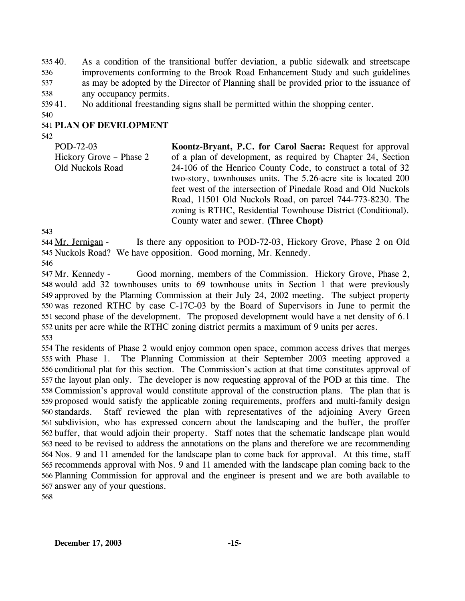40. As a condition of the transitional buffer deviation, a public sidewalk and streetscape improvements conforming to the Brook Road Enhancement Study and such guidelines as may be adopted by the Director of Planning shall be provided prior to the issuance of any occupancy permits. 53540. 536 537 538

53941. No additional freestanding signs shall be permitted within the shopping center.

540

## 541 **PLAN OF DEVELOPMENT**

542

POD-72-03 Hickory Grove – Phase 2 Old Nuckols Road **Koontz-Bryant, P.C. for Carol Sacra:** Request for approval of a plan of development, as required by Chapter 24, Section 24-106 of the Henrico County Code, to construct a total of 32 two-story, townhouses units. The 5.26-acre site is located 200 feet west of the intersection of Pinedale Road and Old Nuckols Road, 11501 Old Nuckols Road, on parcel 744-773-8230. The zoning is RTHC, Residential Townhouse District (Conditional). County water and sewer. **(Three Chopt)** 

543

Is there any opposition to POD-72-03, Hickory Grove, Phase 2 on Old 545 Nuckols Road? We have opposition. Good morning, Mr. Kennedy. 544 Mr. Jernigan -546

Good morning, members of the Commission. Hickory Grove, Phase 2, 548 would add 32 townhouses units to 69 townhouse units in Section 1 that were previously 549 approved by the Planning Commission at their July 24, 2002 meeting. The subject property 550 was rezoned RTHC by case C-17C-03 by the Board of Supervisors in June to permit the 551 second phase of the development. The proposed development would have a net density of 6.1 552 units per acre while the RTHC zoning district permits a maximum of 9 units per acres. 547 Mr. Kennedy -553

 The residents of Phase 2 would enjoy common open space, common access drives that merges with Phase 1. The Planning Commission at their September 2003 meeting approved a conditional plat for this section. The Commission's action at that time constitutes approval of the layout plan only. The developer is now requesting approval of the POD at this time. The Commission's approval would constitute approval of the construction plans. The plan that is proposed would satisfy the applicable zoning requirements, proffers and multi-family design 560 standards. subdivision, who has expressed concern about the landscaping and the buffer, the proffer buffer, that would adjoin their property. Staff notes that the schematic landscape plan would need to be revised to address the annotations on the plans and therefore we are recommending Nos. 9 and 11 amended for the landscape plan to come back for approval. At this time, staff recommends approval with Nos. 9 and 11 amended with the landscape plan coming back to the Planning Commission for approval and the engineer is present and we are both available to answer any of your questions. 568 Staff reviewed the plan with representatives of the adjoining Avery Green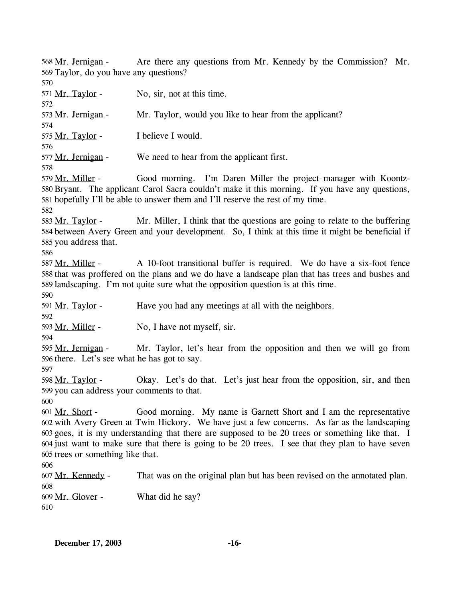Are there any questions from Mr. Kennedy by the Commission? Mr. 569 Taylor, do you have any questions? 568 Mr. Jernigan -570  $571$  Mr. Taylor - No, sir, not at this time. 572 573 Mr. Jernigan - Mr. Taylor, would you like to hear from the applicant? 574 575 Mr. Taylor - I believe I would. 576 577 Mr. Jernigan - We need to hear from the applicant first. 578 Good morning. I'm Daren Miller the project manager with Koontz-580 Bryant. The applicant Carol Sacra couldn't make it this morning. If you have any questions, 581 hopefully I'll be able to answer them and I'll reserve the rest of my time. 579 Mr. Miller -582 Mr. Miller, I think that the questions are going to relate to the buffering 584 between Avery Green and your development. So, I think at this time it might be beneficial if 585 you address that. 583 Mr. Taylor -586 A 10-foot transitional buffer is required. We do have a six-foot fence 588 that was proffered on the plans and we do have a landscape plan that has trees and bushes and 589 landscaping. I'm not quite sure what the opposition question is at this time. 587 Mr. Miller -590 591 Mr. Taylor - Have you had any meetings at all with the neighbors. 592 593 Mr. Miller - No, I have not myself, sir. 594 Mr. Taylor, let's hear from the opposition and then we will go from 596 there. Let's see what he has got to say. 595 Mr. Jernigan -597 Okay. Let's do that. Let's just hear from the opposition, sir, and then 599 you can address your comments to that. 598 Mr. Taylor -600 Good morning. My name is Garnett Short and I am the representative 602 with Avery Green at Twin Hickory. We have just a few concerns. As far as the landscaping goes, it is my understanding that there are supposed to be 20 trees or something like that. I 603 604 just want to make sure that there is going to be 20 trees. I see that they plan to have seven 605 trees or something like that. 601 Mr. Short -606 607 Mr. Kennedy - That was on the original plan but has been revised on the annotated plan. 608 609 Mr. Glover - What did he say? 610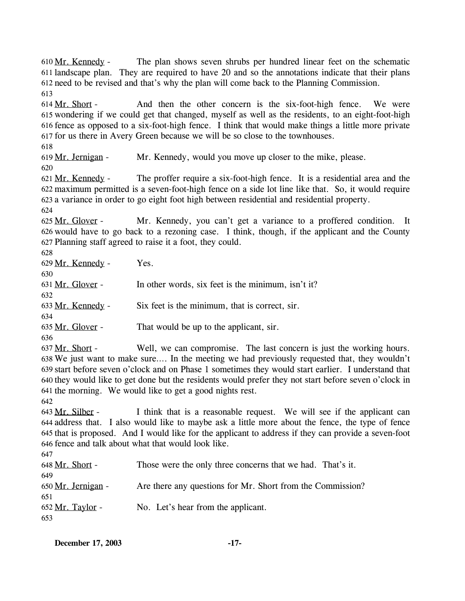613 And then the other concern is the six-foot-high fence. We were 615 wondering if we could get that changed, myself as well as the residents, to an eight-foot-high fence as opposed to a six-foot-high fence. I think that would make things a little more private 616 617 for us there in Avery Green because we will be so close to the townhouses. 614 Mr. Short -618 619 Mr. Jernigan - Mr. Kennedy, would you move up closer to the mike, please. 620 The proffer require a six-foot-high fence. It is a residential area and the maximum permitted is a seven-foot-high fence on a side lot line like that. So, it would require 622 623 a variance in order to go eight foot high between residential and residential property. 621 Mr. Kennedy -624 Mr. Kennedy, you can't get a variance to a proffered condition. It 626 would have to go back to a rezoning case. I think, though, if the applicant and the County 627 Planning staff agreed to raise it a foot, they could. 625 Mr. Glover -628 629 Mr. Kennedy - Yes. 630 631 Mr. Glover - In other words, six feet is the minimum, isn't it? 632 633 Mr. Kennedy - Six feet is the minimum, that is correct, sir. 634 635 Mr. Glover - That would be up to the applicant, sir. 636 Well, we can compromise. The last concern is just the working hours. We just want to make sure…. In the meeting we had previously requested that, they wouldn't 638 639 start before seven o'clock and on Phase 1 sometimes they would start earlier. I understand that 640 they would like to get done but the residents would prefer they not start before seven o'clock in 641 the morning. We would like to get a good nights rest. 637 Mr. Short -

611 landscape plan. They are required to have 20 and so the annotations indicate that their plans

612 need to be revised and that's why the plan will come back to the Planning Commission.

The plan shows seven shrubs per hundred linear feet on the schematic

642

 $610$  Mr. Kennedy -

I think that is a reasonable request. We will see if the applicant can address that. I also would like to maybe ask a little more about the fence, the type of fence 644 645 that is proposed. And I would like for the applicant to address if they can provide a seven-foot 646 fence and talk about what that would look like. 643 Mr. Silber -

647

| .                  |                                                            |
|--------------------|------------------------------------------------------------|
| 648 Mr. Short -    | Those were the only three concerns that we had. That's it. |
| 649                |                                                            |
| 650 Mr. Jernigan - | Are there any questions for Mr. Short from the Commission? |
| 651                |                                                            |
| 652 Mr. Taylor -   | No. Let's hear from the applicant.                         |
| 653                |                                                            |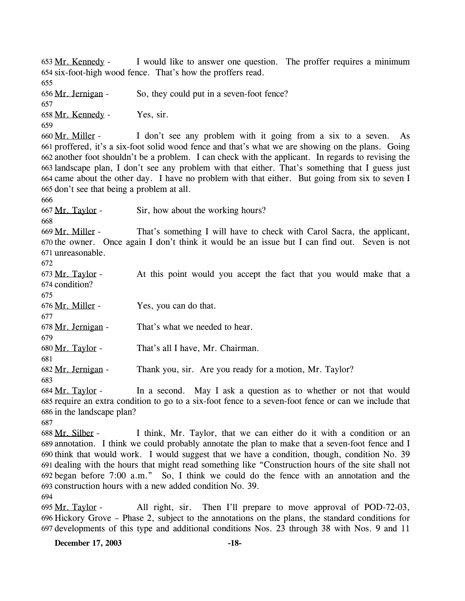I would like to answer one question. The proffer requires a minimum 654 six-foot-high wood fence. That's how the proffers read. 653 Mr. Kennedy -655 656 Mr. Jernigan - So, they could put in a seven-foot fence? 657 658 Mr. Kennedy - Yes, sir. 659 I don't see any problem with it going from a six to a seven. As proffered, it's a six-foot solid wood fence and that's what we are showing on the plans. Going 661 another foot shouldn't be a problem. I can check with the applicant. In regards to revising the 662 663 landscape plan, I don't see any problem with that either. That's something that I guess just 664 came about the other day. I have no problem with that either. But going from six to seven I 665 don't see that being a problem at all. 660 Mr. Miller -666 667 Mr. Taylor - Sir, how about the working hours? 668 That's something I will have to check with Carol Sacra, the applicant,  $670$  the owner. Once again I don't think it would be an issue but I can find out. Seven is not 671 unreasonable. 669 Mr. Miller -672 At this point would you accept the fact that you would make that a 674 condition? 673 Mr. Taylor -675 676 Mr. Miller - Yes, you can do that. 677 678 Mr. Jernigan - That's what we needed to hear. 679 680 Mr. Taylor - That's all I have, Mr. Chairman. 681 682 Mr. Jernigan - Thank you, sir. Are you ready for a motion, Mr. Taylor? 683 In a second. May I ask a question as to whether or not that would 685 require an extra condition to go to a six-foot fence to a seven-foot fence or can we include that 686 in the landscape plan? 684 Mr. Taylor -687 I think, Mr. Taylor, that we can either do it with a condition or an 689 annotation. I think we could probably annotate the plan to make that a seven-foot fence and I 690 think that would work. I would suggest that we have a condition, though, condition No. 39 691 dealing with the hours that might read something like "Construction hours of the site shall not began before 7:00 a.m." So, I think we could do the fence with an annotation and the 692 693 construction hours with a new added condition No. 39. 688 Mr. Silber -694 All right, sir. Then I'll prepare to move approval of POD-72-03, 696 Hickory Grove – Phase 2, subject to the annotations on the plans, the standard conditions for 697 developments of this type and additional conditions Nos. 23 through 38 with Nos. 9 and 11 695 Mr. Taylor -

**December 17, 2003 -18-**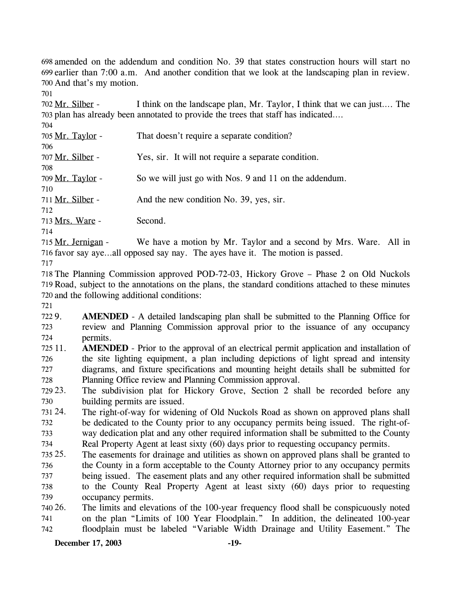698 amended on the addendum and condition No. 39 that states construction hours will start no  $699$  earlier than  $7:00$  a.m. And another condition that we look at the landscaping plan in review. 700 And that's my motion.

701

I think on the landscape plan, Mr. Taylor, I think that we can just.... The 703 plan has already been annotated to provide the trees that staff has indicated.... 702 Mr. Silber -

| 704              |                                                        |
|------------------|--------------------------------------------------------|
| 705 Mr. Taylor - | That doesn't require a separate condition?             |
| 706              |                                                        |
| 707 Mr. Silber - | Yes, sir. It will not require a separate condition.    |
| 708              |                                                        |
| 709 Mr. Taylor - | So we will just go with Nos. 9 and 11 on the addendum. |
| 710              |                                                        |
| 711 Mr. Silber - | And the new condition No. 39, yes, sir.                |
| 712              |                                                        |
| 713 Mrs. Ware -  | Second.                                                |
| 714              |                                                        |

We have a motion by Mr. Taylor and a second by Mrs. Ware. All in 716 favor say aye...all opposed say nay. The ayes have it. The motion is passed. 715 Mr. Jernigan -

717

718 The Planning Commission approved POD-72-03, Hickory Grove – Phase 2 on Old Nuckols 719 Road, subject to the annotations on the plans, the standard conditions attached to these minutes 720 and the following additional conditions:

721

722 9. 723 724 **AMENDED** - A detailed landscaping plan shall be submitted to the Planning Office for review and Planning Commission approval prior to the issuance of any occupancy permits.

725 11. 726 727 728 **AMENDED** - Prior to the approval of an electrical permit application and installation of the site lighting equipment, a plan including depictions of light spread and intensity diagrams, and fixture specifications and mounting height details shall be submitted for Planning Office review and Planning Commission approval.

729 23. 730 The subdivision plat for Hickory Grove, Section 2 shall be recorded before any building permits are issued.

- 731 24. 732 733 734 The right-of-way for widening of Old Nuckols Road as shown on approved plans shall be dedicated to the County prior to any occupancy permits being issued. The right-ofway dedication plat and any other required information shall be submitted to the County Real Property Agent at least sixty (60) days prior to requesting occupancy permits.
- 735 25. 736 737 738 739 The easements for drainage and utilities as shown on approved plans shall be granted to the County in a form acceptable to the County Attorney prior to any occupancy permits being issued. The easement plats and any other required information shall be submitted to the County Real Property Agent at least sixty (60) days prior to requesting occupancy permits.

740 26. 741 742 The limits and elevations of the 100-year frequency flood shall be conspicuously noted on the plan "Limits of 100 Year Floodplain." In addition, the delineated 100-year floodplain must be labeled "Variable Width Drainage and Utility Easement." The

### **December 17, 2003 -19-**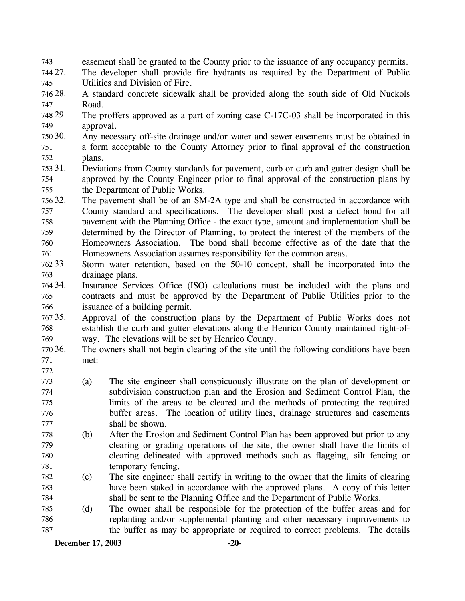- 743 easement shall be granted to the County prior to the issuance of any occupancy permits.
- 744 27. 745 The developer shall provide fire hydrants as required by the Department of Public Utilities and Division of Fire.
- 746 28. 747 28. A standard concrete sidewalk shall be provided along the south side of Old Nuckols Road.
- 748 29. 749 The proffers approved as a part of zoning case  $C-17C-03$  shall be incorporated in this approval.
- 750 30. 751 752 Any necessary off-site drainage and/or water and sewer easements must be obtained in a form acceptable to the County Attorney prior to final approval of the construction plans.
- 753 31. 754 755 31. Deviations from County standards for pavement, curb or curb and gutter design shall be approved by the County Engineer prior to final approval of the construction plans by the Department of Public Works.
- 756 32. 757 758 759 760 761 The pavement shall be of an SM-2A type and shall be constructed in accordance with County standard and specifications. The developer shall post a defect bond for all pavement with the Planning Office - the exact type, amount and implementation shall be determined by the Director of Planning, to protect the interest of the members of the Homeowners Association. The bond shall become effective as of the date that the Homeowners Association assumes responsibility for the common areas.
- 762 33. 763 Storm water retention, based on the 50-10 concept, shall be incorporated into the drainage plans.
- 764 34. 765 766 Insurance Services Office (ISO) calculations must be included with the plans and contracts and must be approved by the Department of Public Utilities prior to the issuance of a building permit.
- 767 35. 768 769 35. Approval of the construction plans by the Department of Public Works does not establish the curb and gutter elevations along the Henrico County maintained right-ofway. The elevations will be set by Henrico County.
- 770 36. 771 The owners shall not begin clearing of the site until the following conditions have been met:
- 772
- 773 774 775 776 777 (a) The site engineer shall conspicuously illustrate on the plan of development or subdivision construction plan and the Erosion and Sediment Control Plan, the limits of the areas to be cleared and the methods of protecting the required buffer areas. The location of utility lines, drainage structures and easements shall be shown.
- 778 779 780 781 (b) After the Erosion and Sediment Control Plan has been approved but prior to any clearing or grading operations of the site, the owner shall have the limits of clearing delineated with approved methods such as flagging, silt fencing or temporary fencing.
- 782 783 784 (c) The site engineer shall certify in writing to the owner that the limits of clearing have been staked in accordance with the approved plans. A copy of this letter shall be sent to the Planning Office and the Department of Public Works.
- 785 786 787 (d) The owner shall be responsible for the protection of the buffer areas and for replanting and/or supplemental planting and other necessary improvements to the buffer as may be appropriate or required to correct problems. The details

**December 17, 2003 -20-**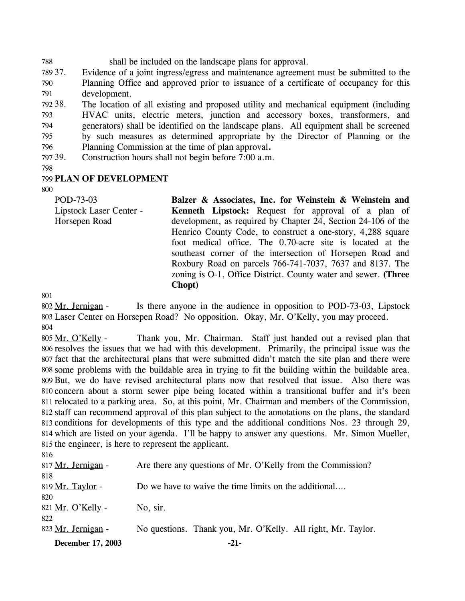788 shall be included on the landscape plans for approval.

789 37. 790 791 Evidence of a joint ingress/egress and maintenance agreement must be submitted to the Planning Office and approved prior to issuance of a certificate of occupancy for this development.

792 38. 793 794 795 796 The location of all existing and proposed utility and mechanical equipment (including HVAC units, electric meters, junction and accessory boxes, transformers, and generators) shall be identified on the landscape plans. All equipment shall be screened by such measures as determined appropriate by the Director of Planning or the Planning Commission at the time of plan approval**.**

797 39. Construction hours shall not begin before 7:00 a.m.

798

### 799 **PLAN OF DEVELOPMENT**

800

| POD-73-03               | Balzer & Associates, Inc. for Weinstein & Weinstein and        |
|-------------------------|----------------------------------------------------------------|
| Lipstock Laser Center - | <b>Kenneth Lipstock:</b> Request for approval of a plan of     |
| Horsepen Road           | development, as required by Chapter 24, Section 24-106 of the  |
|                         | Henrico County Code, to construct a one-story, 4,288 square    |
|                         | foot medical office. The 0.70-acre site is located at the      |
|                         | southeast corner of the intersection of Horsepen Road and      |
|                         | Roxbury Road on parcels 766-741-7037, 7637 and 8137. The       |
|                         | zoning is O-1, Office District. County water and sewer. (Three |
|                         | Chopt)                                                         |

801

Is there anyone in the audience in opposition to POD-73-03, Lipstock Laser Center on Horsepen Road? No opposition. Okay, Mr. O'Kelly, you may proceed. 803 802 Mr. Jernigan -804

Thank you, Mr. Chairman. Staff just handed out a revised plan that 806 resolves the issues that we had with this development. Primarily, the principal issue was the 807 fact that the architectural plans that were submitted didn't match the site plan and there were some problems with the buildable area in trying to fit the building within the buildable area. 808 809 But, we do have revised architectural plans now that resolved that issue. Also there was 810 concern about a storm sewer pipe being located within a transitional buffer and it's been 811 relocated to a parking area. So, at this point, Mr. Chairman and members of the Commission, staff can recommend approval of this plan subject to the annotations on the plans, the standard 812 813 conditions for developments of this type and the additional conditions Nos. 23 through 29, 814 which are listed on your agenda. I'll be happy to answer any questions. Mr. Simon Mueller, 815 the engineer, is here to represent the applicant. 805 Mr. O'Kelly -

| December 17, 2003  | $-21-$                                                       |
|--------------------|--------------------------------------------------------------|
| 823 Mr. Jernigan - | No questions. Thank you, Mr. O'Kelly. All right, Mr. Taylor. |
| 822                |                                                              |
| 821 Mr. O'Kelly -  | No, sir.                                                     |
| 820                |                                                              |
| 819 Mr. Taylor -   | Do we have to waive the time limits on the additional        |
| 818                |                                                              |
| 817 Mr. Jernigan - | Are there any questions of Mr. O'Kelly from the Commission?  |
| 816                |                                                              |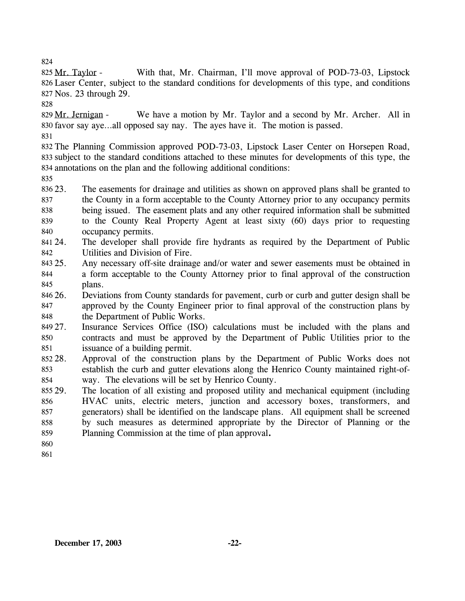With that, Mr. Chairman, I'll move approval of POD-73-03, Lipstock Laser Center, subject to the standard conditions for developments of this type, and conditions 826 Nos. 23 through 29. 827 825 Mr. Taylor -

828

We have a motion by Mr. Taylor and a second by Mr. Archer. All in 830 favor say aye...all opposed say nay. The ayes have it. The motion is passed. 829 Mr. Jernigan -

831

832 The Planning Commission approved POD-73-03, Lipstock Laser Center on Horsepen Road, 833 subject to the standard conditions attached to these minutes for developments of this type, the 834 annotations on the plan and the following additional conditions:

835

836 23. 837 838 839 23. The easements for drainage and utilities as shown on approved plans shall be granted to the County in a form acceptable to the County Attorney prior to any occupancy permits being issued. The easement plats and any other required information shall be submitted to the County Real Property Agent at least sixty (60) days prior to requesting

- 840 occupancy permits.
- 841 24. 842 The developer shall provide fire hydrants as required by the Department of Public Utilities and Division of Fire.
- 843 25. 844 845 Any necessary off-site drainage and/or water and sewer easements must be obtained in a form acceptable to the County Attorney prior to final approval of the construction plans.
- 846 26. 847 848 26. Deviations from County standards for pavement, curb or curb and gutter design shall be approved by the County Engineer prior to final approval of the construction plans by the Department of Public Works.
- 849 27. 850 851 Insurance Services Office (ISO) calculations must be included with the plans and contracts and must be approved by the Department of Public Utilities prior to the issuance of a building permit.
- 852 28. 853 854 Approval of the construction plans by the Department of Public Works does not establish the curb and gutter elevations along the Henrico County maintained right-ofway. The elevations will be set by Henrico County.
- 855 29. 856 857 858 859 The location of all existing and proposed utility and mechanical equipment (including HVAC units, electric meters, junction and accessory boxes, transformers, and generators) shall be identified on the landscape plans. All equipment shall be screened by such measures as determined appropriate by the Director of Planning or the Planning Commission at the time of plan approval**.**
- 860
- 861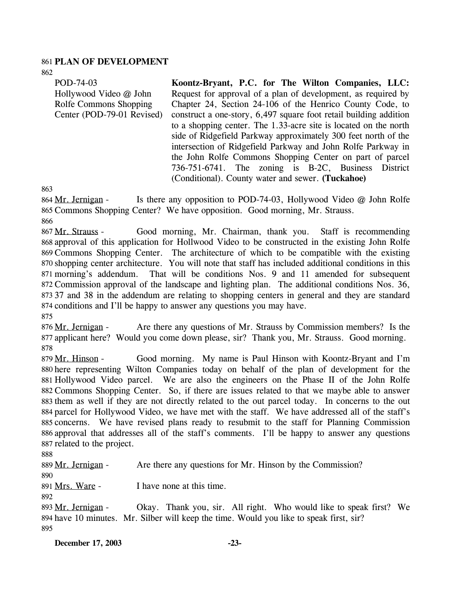### 861 **PLAN OF DEVELOPMENT**

862

POD-74-03 Hollywood Video @ John Rolfe Commons Shopping Center (POD-79-01 Revised) **Koontz-Bryant, P.C. for The Wilton Companies, LLC:**  Request for approval of a plan of development, as required by Chapter 24, Section 24-106 of the Henrico County Code, to construct a one-story, 6,497 square foot retail building addition to a shopping center. The 1.33-acre site is located on the north side of Ridgefield Parkway approximately 300 feet north of the intersection of Ridgefield Parkway and John Rolfe Parkway in the John Rolfe Commons Shopping Center on part of parcel

736-751-6741. The zoning is B-2C, Business District

(Conditional). County water and sewer. **(Tuckahoe)** 

863

Is there any opposition to POD-74-03, Hollywood Video  $@$  John Rolfe 865 Commons Shopping Center? We have opposition. Good morning, Mr. Strauss. 864 Mr. Jernigan -

866

Good morning, Mr. Chairman, thank you. Staff is recommending 868 approval of this application for Hollwood Video to be constructed in the existing John Rolfe 869 Commons Shopping Center. The architecture of which to be compatible with the existing 870 shopping center architecture. You will note that staff has included additional conditions in this That will be conditions Nos. 9 and 11 amended for subsequent 872 Commission approval of the landscape and lighting plan. The additional conditions Nos. 36, 37 and 38 in the addendum are relating to shopping centers in general and they are standard 873 874 conditions and I'll be happy to answer any questions you may have. 867 Mr. Strauss -871 morning's addendum.

875

Are there any questions of Mr. Strauss by Commission members? Is the 877 applicant here? Would you come down please, sir? Thank you, Mr. Strauss. Good morning. 876 Mr. Jernigan -878

Good morning. My name is Paul Hinson with Koontz-Bryant and I'm 880 here representing Wilton Companies today on behalf of the plan of development for the 881 Hollywood Video parcel. We are also the engineers on the Phase II of the John Rolfe 882 Commons Shopping Center. So, if there are issues related to that we maybe able to answer 883 them as well if they are not directly related to the out parcel today. In concerns to the out 884 parcel for Hollywood Video, we have met with the staff. We have addressed all of the staff's 885 concerns. We have revised plans ready to resubmit to the staff for Planning Commission 886 approval that addresses all of the staff's comments. I'll be happy to answer any questions 887 related to the project. 879 Mr. Hinson -

888

889 Mr. Jernigan - Are there any questions for Mr. Hinson by the Commission?

890 891 Mrs. Ware - I have none at this time.

892

Okay. Thank you, sir. All right. Who would like to speak first? We have 10 minutes. Mr. Silber will keep the time. Would you like to speak first, sir? 894 893 Mr. Jernigan -895

**December 17, 2003 -23-**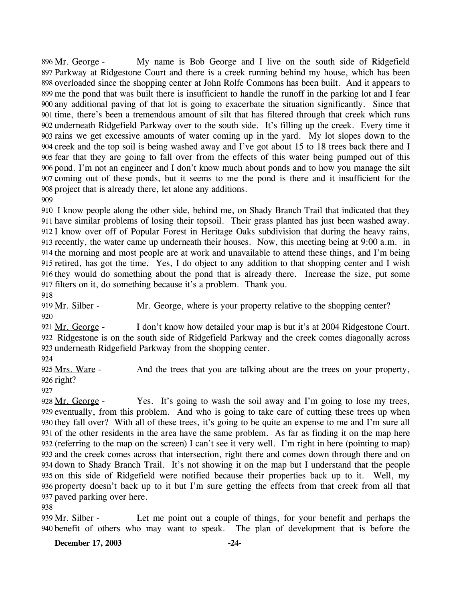My name is Bob George and I live on the south side of Ridgefield 897 Parkway at Ridgestone Court and there is a creek running behind my house, which has been 898 overloaded since the shopping center at John Rolfe Commons has been built. And it appears to 899 me the pond that was built there is insufficient to handle the runoff in the parking lot and I fear any additional paving of that lot is going to exacerbate the situation significantly. Since that 900 901 time, there's been a tremendous amount of silt that has filtered through that creek which runs 902 underneath Ridgefield Parkway over to the south side. It's filling up the creek. Every time it 903 rains we get excessive amounts of water coming up in the yard. My lot slopes down to the 904 creek and the top soil is being washed away and I've got about 15 to 18 trees back there and I fear that they are going to fall over from the effects of this water being pumped out of this 905 906 pond. I'm not an engineer and I don't know much about ponds and to how you manage the silt 907 coming out of these ponds, but it seems to me the pond is there and it insufficient for the 908 project that is already there, let alone any additions. 896 Mr. George -

909

 I know people along the other side, behind me, on Shady Branch Trail that indicated that they have similar problems of losing their topsoil. Their grass planted has just been washed away. I know over off of Popular Forest in Heritage Oaks subdivision that during the heavy rains, recently, the water came up underneath their houses. Now, this meeting being at 9:00 a.m. in the morning and most people are at work and unavailable to attend these things, and I'm being retired, has got the time. Yes, I do object to any addition to that shopping center and I wish they would do something about the pond that is already there. Increase the size, put some filters on it, do something because it's a problem. Thank you. 918

919 Mr. Silber - Mr. George, where is your property relative to the shopping center? 920

I don't know how detailed your map is but it's at 2004 Ridgestone Court. 922 Ridgestone is on the south side of Ridgefield Parkway and the creek comes diagonally across 923 underneath Ridgefield Parkway from the shopping center. 921 Mr. George -

924

And the trees that you are talking about are the trees on your property, 926 right? 925 Mrs. Ware -

927

Yes. It's going to wash the soil away and I'm going to lose my trees, 929 eventually, from this problem. And who is going to take care of cutting these trees up when 930 they fall over? With all of these trees, it's going to be quite an expense to me and I'm sure all 931 of the other residents in the area have the same problem. As far as finding it on the map here 932 (referring to the map on the screen) I can't see it very well. I'm right in here (pointing to map) 933 and the creek comes across that intersection, right there and comes down through there and on 934 down to Shady Branch Trail. It's not showing it on the map but I understand that the people 935 on this side of Ridgefield were notified because their properties back up to it. Well, my 936 property doesn't back up to it but I'm sure getting the effects from that creek from all that 937 paved parking over here. 928 Mr. George -

938

Let me point out a couple of things, for your benefit and perhaps the benefit of others who may want to speak. The plan of development that is before the 940 939 Mr. Silber -

**December 17, 2003 -24-**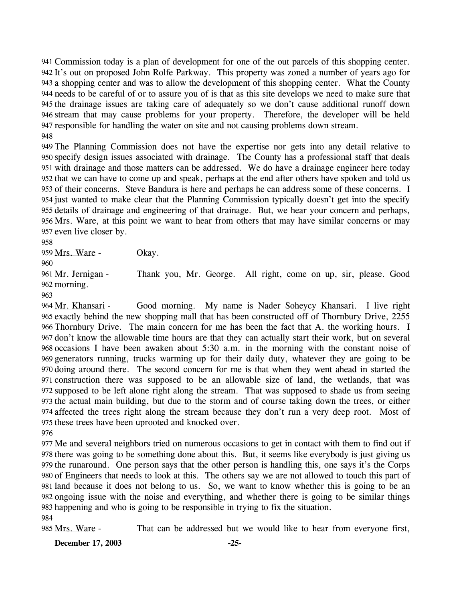Commission today is a plan of development for one of the out parcels of this shopping center. 941 942 It's out on proposed John Rolfe Parkway. This property was zoned a number of years ago for a shopping center and was to allow the development of this shopping center. What the County 943 needs to be careful of or to assure you of is that as this site develops we need to make sure that 944 945 the drainage issues are taking care of adequately so we don't cause additional runoff down 946 stream that may cause problems for your property. Therefore, the developer will be held 947 responsible for handling the water on site and not causing problems down stream. 948

 The Planning Commission does not have the expertise nor gets into any detail relative to specify design issues associated with drainage. The County has a professional staff that deals with drainage and those matters can be addressed. We do have a drainage engineer here today that we can have to come up and speak, perhaps at the end after others have spoken and told us of their concerns. Steve Bandura is here and perhaps he can address some of these concerns. I just wanted to make clear that the Planning Commission typically doesn't get into the specify details of drainage and engineering of that drainage. But, we hear your concern and perhaps, Mrs. Ware, at this point we want to hear from others that may have similar concerns or may even live closer by.

958

959 Mrs. Ware - Okay.

960

Thank you, Mr. George. All right, come on up, sir, please. Good 962 morning. 961 Mr. Jernigan -

963

Good morning. My name is Nader Soheycy Khansari. I live right 965 exactly behind the new shopping mall that has been constructed off of Thornbury Drive, 2255 966 Thornbury Drive. The main concern for me has been the fact that A. the working hours. I 967 don't know the allowable time hours are that they can actually start their work, but on several 968 occasions I have been awaken about 5:30 a.m. in the morning with the constant noise of generators running, trucks warming up for their daily duty, whatever they are going to be 969 970 doing around there. The second concern for me is that when they went ahead in started the 971 construction there was supposed to be an allowable size of land, the wetlands, that was 972 supposed to be left alone right along the stream. That was supposed to shade us from seeing 973 the actual main building, but due to the storm and of course taking down the trees, or either 974 affected the trees right along the stream because they don't run a very deep root. Most of 975 these trees have been uprooted and knocked over. 964 Mr. Khansari -

976

 Me and several neighbors tried on numerous occasions to get in contact with them to find out if there was going to be something done about this. But, it seems like everybody is just giving us the runaround. One person says that the other person is handling this, one says it's the Corps of Engineers that needs to look at this. The others say we are not allowed to touch this part of land because it does not belong to us. So, we want to know whether this is going to be an ongoing issue with the noise and everything, and whether there is going to be similar things happening and who is going to be responsible in trying to fix the situation. 984

985 Mrs. Ware - That can be addressed but we would like to hear from everyone first,

**December 17, 2003 -25-**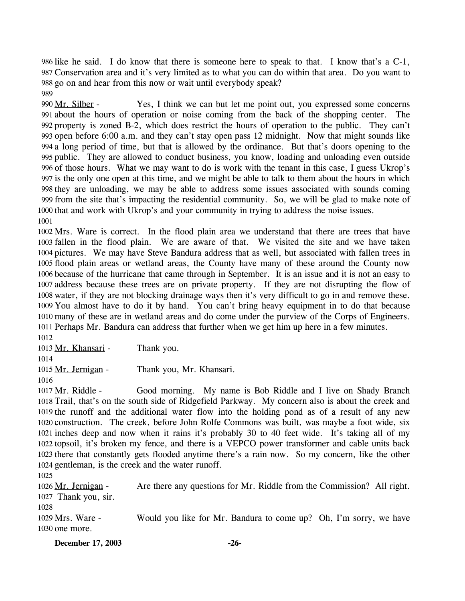986 like he said. I do know that there is someone here to speak to that. I know that's a  $C-1$ , Conservation area and it's very limited as to what you can do within that area. Do you want to 987 988 go on and hear from this now or wait until everybody speak? 989

Yes, I think we can but let me point out, you expressed some concerns about the hours of operation or noise coming from the back of the shopping center. The 991 property is zoned B-2, which does restrict the hours of operation to the public. They can't 992 993 open before 6:00 a.m. and they can't stay open pass 12 midnight. Now that might sounds like a long period of time, but that is allowed by the ordinance. But that's doors opening to the 994 995 public. They are allowed to conduct business, you know, loading and unloading even outside 996 of those hours. What we may want to do is work with the tenant in this case, I guess Ukrop's 997 is the only one open at this time, and we might be able to talk to them about the hours in which 998 they are unloading, we may be able to address some issues associated with sounds coming 999 from the site that's impacting the residential community. So, we will be glad to make note of 1000 that and work with Ukrop's and your community in trying to address the noise issues. 990 Mr. Silber -1001

 Mrs. Ware is correct. In the flood plain area we understand that there are trees that have fallen in the flood plain. We are aware of that. We visited the site and we have taken pictures. We may have Steve Bandura address that as well, but associated with fallen trees in flood plain areas or wetland areas, the County have many of these around the County now because of the hurricane that came through in September. It is an issue and it is not an easy to address because these trees are on private property. If they are not disrupting the flow of water, if they are not blocking drainage ways then it's very difficult to go in and remove these. You almost have to do it by hand. You can't bring heavy equipment in to do that because many of these are in wetland areas and do come under the purview of the Corps of Engineers. Perhaps Mr. Bandura can address that further when we get him up here in a few minutes. 1012

1013 Mr. Khansari - Thank you.

1014

1015 Mr. Jernigan - Thank you, Mr. Khansari.

1016

Good morning. My name is Bob Riddle and I live on Shady Branch 1018 Trail, that's on the south side of Ridgefield Parkway. My concern also is about the creek and 1019 the runoff and the additional water flow into the holding pond as of a result of any new 1020 construction. The creek, before John Rolfe Commons was built, was maybe a foot wide, six inches deep and now when it rains it's probably 30 to 40 feet wide. It's taking all of my 1021 1022 topsoil, it's broken my fence, and there is a VEPCO power transformer and cable units back 1023 there that constantly gets flooded anytime there's a rain now. So my concern, like the other 1024 gentleman, is the creek and the water runoff. 1017 Mr. Riddle -

1025

Are there any questions for Mr. Riddle from the Commission? All right. 1027 Thank you, sir. 1026 Mr. Jernigan -

1028

Would you like for Mr. Bandura to come up? Oh, I'm sorry, we have 1030 one more. 1029 Mrs. Ware -

**December 17, 2003 -26-**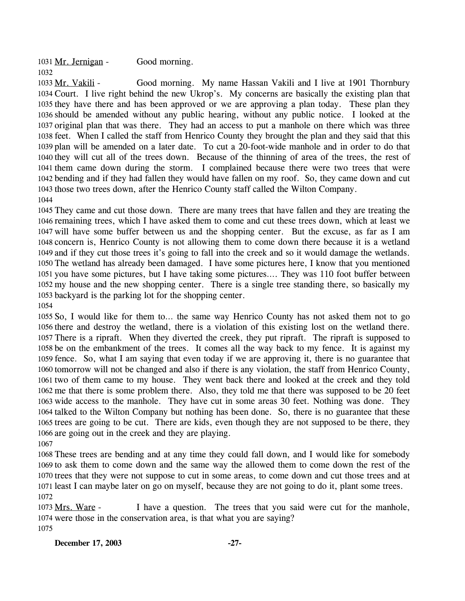1031 Mr. Jernigan - Good morning. 

Good morning. My name Hassan Vakili and I live at 1901 Thornbury 1034 Court. I live right behind the new Ukrop's. My concerns are basically the existing plan that 1035 they have there and has been approved or we are approving a plan today. These plan they 1036 should be amended without any public hearing, without any public notice. I looked at the 1037 original plan that was there. They had an access to put a manhole on there which was three 1038 feet. When I called the staff from Henrico County they brought the plan and they said that this 1039 plan will be amended on a later date. To cut a 20-foot-wide manhole and in order to do that 1040 they will cut all of the trees down. Because of the thinning of area of the trees, the rest of 1041 them came down during the storm. I complained because there were two trees that were 1042 bending and if they had fallen they would have fallen on my roof. So, they came down and cut 1043 those two trees down, after the Henrico County staff called the Wilton Company. 1033 Mr. Vakili -

 They came and cut those down. There are many trees that have fallen and they are treating the remaining trees, which I have asked them to come and cut these trees down, which at least we will have some buffer between us and the shopping center. But the excuse, as far as I am concern is, Henrico County is not allowing them to come down there because it is a wetland and if they cut those trees it's going to fall into the creek and so it would damage the wetlands. The wetland has already been damaged. I have some pictures here, I know that you mentioned you have some pictures, but I have taking some pictures…. They was 110 foot buffer between my house and the new shopping center. There is a single tree standing there, so basically my backyard is the parking lot for the shopping center.

 So, I would like for them to… the same way Henrico County has not asked them not to go there and destroy the wetland, there is a violation of this existing lost on the wetland there. There is a ripraft. When they diverted the creek, they put ripraft. The ripraft is supposed to be on the embankment of the trees. It comes all the way back to my fence. It is against my fence. So, what I am saying that even today if we are approving it, there is no guarantee that tomorrow will not be changed and also if there is any violation, the staff from Henrico County, two of them came to my house. They went back there and looked at the creek and they told me that there is some problem there. Also, they told me that there was supposed to be 20 feet wide access to the manhole. They have cut in some areas 30 feet. Nothing was done. They talked to the Wilton Company but nothing has been done. So, there is no guarantee that these trees are going to be cut. There are kids, even though they are not supposed to be there, they are going out in the creek and they are playing.

 These trees are bending and at any time they could fall down, and I would like for somebody to ask them to come down and the same way the allowed them to come down the rest of the trees that they were not suppose to cut in some areas, to come down and cut those trees and at least I can maybe later on go on myself, because they are not going to do it, plant some trees. 

I have a question. The trees that you said were cut for the manhole, 1074 were those in the conservation area, is that what you are saying? 1073 Mrs. Ware -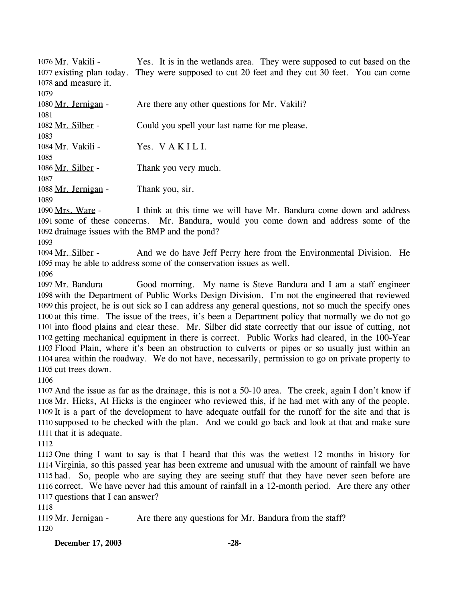| 1076 Mr. Vakili -    | Yes. It is in the wetlands area. They were supposed to cut based on the                        |
|----------------------|------------------------------------------------------------------------------------------------|
|                      | 1077 existing plan today. They were supposed to cut 20 feet and they cut 30 feet. You can come |
| 1078 and measure it. |                                                                                                |
| 1079                 |                                                                                                |
| 1080 Mr. Jernigan -  | Are there any other questions for Mr. Vakili?                                                  |
| 1081                 |                                                                                                |
| 1082 Mr. Silber -    | Could you spell your last name for me please.                                                  |
| 1083                 |                                                                                                |
| 1084 Mr. Vakili -    | Yes. VAKILI.                                                                                   |
| 1085                 |                                                                                                |
| 1086 Mr. Silber -    | Thank you very much.                                                                           |
| 1087                 |                                                                                                |
| 1088 Mr. Jernigan -  | Thank you, sir.                                                                                |
| 1089                 |                                                                                                |

I think at this time we will have Mr. Bandura come down and address 1091 some of these concerns. Mr. Bandura, would you come down and address some of the 1092 drainage issues with the BMP and the pond? 1090 Mrs. Ware -

1093

And we do have Jeff Perry here from the Environmental Division. He 1095 may be able to address some of the conservation issues as well. 1094 Mr. Silber -

1096

Good morning. My name is Steve Bandura and I am a staff engineer 1098 with the Department of Public Works Design Division. I'm not the engineered that reviewed 1099 this project, he is out sick so I can address any general questions, not so much the specify ones 1100 at this time. The issue of the trees, it's been a Department policy that normally we do not go 1101 into flood plains and clear these. Mr. Silber did state correctly that our issue of cutting, not 1102 getting mechanical equipment in there is correct. Public Works had cleared, in the 100-Year 1103 Flood Plain, where it's been an obstruction to culverts or pipes or so usually just within an 1104 area within the roadway. We do not have, necessarily, permission to go on private property to 1105 cut trees down. 1097 Mr. Bandura

1106

 And the issue as far as the drainage, this is not a 50-10 area. The creek, again I don't know if Mr. Hicks, Al Hicks is the engineer who reviewed this, if he had met with any of the people. It is a part of the development to have adequate outfall for the runoff for the site and that is supposed to be checked with the plan. And we could go back and look at that and make sure that it is adequate.

1112

 One thing I want to say is that I heard that this was the wettest 12 months in history for Virginia, so this passed year has been extreme and unusual with the amount of rainfall we have had. So, people who are saying they are seeing stuff that they have never seen before are correct. We have never had this amount of rainfall in a 12-month period. Are there any other questions that I can answer?

1118

1119 Mr. Jernigan - Are there any questions for Mr. Bandura from the staff? 1120

**December 17, 2003 -28-**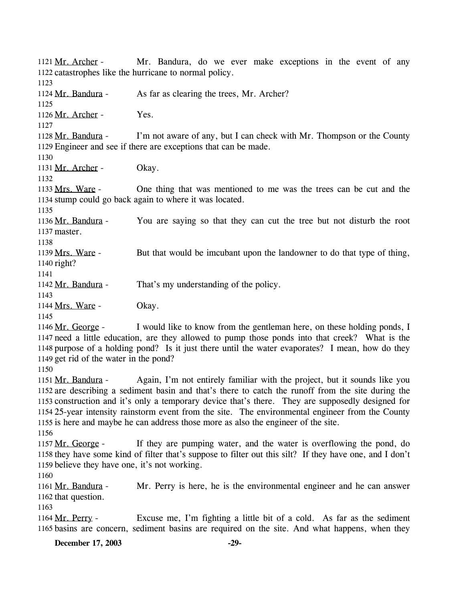Mr. Bandura, do we ever make exceptions in the event of any 1122 catastrophes like the hurricane to normal policy. 1121 Mr. Archer -1123 1124 Mr. Bandura - As far as clearing the trees, Mr. Archer? 1125 1126 Mr. Archer - Yes. 1127 I'm not aware of any, but I can check with Mr. Thompson or the County 1129 Engineer and see if there are exceptions that can be made. 1128 Mr. Bandura -1130 1131 Mr. Archer - Okay. 1132 One thing that was mentioned to me was the trees can be cut and the 1134 stump could go back again to where it was located. 1133 Mrs. Ware -1135 You are saying so that they can cut the tree but not disturb the root 1137 master. 1136 Mr. Bandura -1138 But that would be imcubant upon the landowner to do that type of thing, 1140 right? 1139 Mrs. Ware -1141 1142 Mr. Bandura - That's my understanding of the policy. 1143 1144 Mrs. Ware - Okay. 1145 I would like to know from the gentleman here, on these holding ponds, I 1147 need a little education, are they allowed to pump those ponds into that creek? What is the 1148 purpose of a holding pond? Is it just there until the water evaporates? I mean, how do they 1149 get rid of the water in the pond? 1146 Mr. George -1150 Again, I'm not entirely familiar with the project, but it sounds like you 1152 are describing a sediment basin and that's there to catch the runoff from the site during the 1153 construction and it's only a temporary device that's there. They are supposedly designed for 25-year intensity rainstorm event from the site. The environmental engineer from the County 1154 1155 is here and maybe he can address those more as also the engineer of the site. 1151 Mr. Bandura -1156 If they are pumping water, and the water is overflowing the pond, do 1158 they have some kind of filter that's suppose to filter out this silt? If they have one, and I don't 1159 believe they have one, it's not working. 1157 Mr. George -1160 Mr. Perry is here, he is the environmental engineer and he can answer 1162 that question. 1161 Mr. Bandura -1163 Excuse me, I'm fighting a little bit of a cold. As far as the sediment 1165 basins are concern, sediment basins are required on the site. And what happens, when they 1164 Mr. Perry -**December 17, 2003 -29-**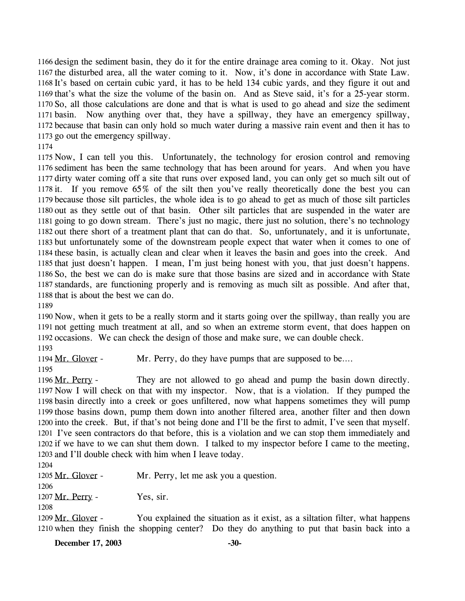1166 design the sediment basin, they do it for the entire drainage area coming to it. Okay. Not just 1167 the disturbed area, all the water coming to it. Now, it's done in accordance with State Law. 1168 It's based on certain cubic yard, it has to be held 134 cubic yards, and they figure it out and 1169 that's what the size the volume of the basin on. And as Steve said, it's for a 25-year storm. 1170 So, all those calculations are done and that is what is used to go ahead and size the sediment 1171 basin. Now anything over that, they have a spillway, they have an emergency spillway, 1172 because that basin can only hold so much water during a massive rain event and then it has to 1173 go out the emergency spillway.

1174

 Now, I can tell you this. Unfortunately, the technology for erosion control and removing sediment has been the same technology that has been around for years. And when you have dirty water coming off a site that runs over exposed land, you can only get so much silt out of it. If you remove 65% of the silt then you've really theoretically done the best you can because those silt particles, the whole idea is to go ahead to get as much of those silt particles out as they settle out of that basin. Other silt particles that are suspended in the water are going to go down stream. There's just no magic, there just no solution, there's no technology out there short of a treatment plant that can do that. So, unfortunately, and it is unfortunate, but unfortunately some of the downstream people expect that water when it comes to one of these basin, is actually clean and clear when it leaves the basin and goes into the creek. And that just doesn't happen. I mean, I'm just being honest with you, that just doesn't happens. So, the best we can do is make sure that those basins are sized and in accordance with State standards, are functioning properly and is removing as much silt as possible. And after that, that is about the best we can do.

1189

1190 Now, when it gets to be a really storm and it starts going over the spillway, than really you are 1191 not getting much treatment at all, and so when an extreme storm event, that does happen on 1192 occasions. We can check the design of those and make sure, we can double check.

1193

1194 Mr. Glover - Mr. Perry, do they have pumps that are supposed to be....

1195

They are not allowed to go ahead and pump the basin down directly. 1196 Mr. Perry -

1197 Now I will check on that with my inspector. Now, that is a violation. If they pumped the 1198 basin directly into a creek or goes unfiltered, now what happens sometimes they will pump 1199 those basins down, pump them down into another filtered area, another filter and then down 1200 into the creek. But, if that's not being done and I'll be the first to admit, I've seen that myself. 1201 I've seen contractors do that before, this is a violation and we can stop them immediately and 1202 if we have to we can shut them down. I talked to my inspector before I came to the meeting, 1203 and I'll double check with him when I leave today.

1204

1205 Mr. Glover - Mr. Perry, let me ask you a question. 1206

1207 Mr. Perry - Yes, sir.

1208

You explained the situation as it exist, as a siltation filter, what happens 1210 when they finish the shopping center? Do they do anything to put that basin back into a 1209 Mr. Glover -

**December 17, 2003** -30-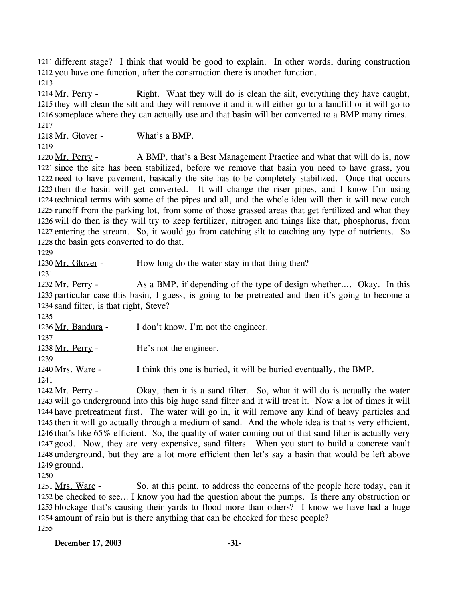1211 different stage? I think that would be good to explain. In other words, during construction 1212 you have one function, after the construction there is another function.

1213

Right. What they will do is clean the silt, everything they have caught, 1215 they will clean the silt and they will remove it and it will either go to a landfill or it will go to 1216 someplace where they can actually use and that basin will bet converted to a BMP many times. 1214 Mr. Perry -1217

1218 Mr. Glover - What's a BMP.

1219

A BMP, that's a Best Management Practice and what that will do is, now 1221 since the site has been stabilized, before we remove that basin you need to have grass, you 1222 need to have pavement, basically the site has to be completely stabilized. Once that occurs 1223 then the basin will get converted. It will change the riser pipes, and I know I'm using 1224 technical terms with some of the pipes and all, and the whole idea will then it will now catch 1225 runoff from the parking lot, from some of those grassed areas that get fertilized and what they 1226 will do then is they will try to keep fertilizer, nitrogen and things like that, phosphorus, from 1227 entering the stream. So, it would go from catching silt to catching any type of nutrients. So 1228 the basin gets converted to do that. 1220 Mr. Perry -

1229

1230 Mr. Glover - How long do the water stay in that thing then?

1231

As a BMP, if depending of the type of design whether…. Okay. In this 1233 particular case this basin, I guess, is going to be pretreated and then it's going to become a 1234 sand filter, is that right, Steve? 1232 Mr. Perry -

1235

1236 Mr. Bandura - I don't know, I'm not the engineer.

1237

1238 Mr. Perry - He's not the engineer.

1239 1240 Mrs. Ware - I think this one is buried, it will be buried eventually, the BMP.

1241

Okay, then it is a sand filter. So, what it will do is actually the water 1243 will go underground into this big huge sand filter and it will treat it. Now a lot of times it will 1244 have pretreatment first. The water will go in, it will remove any kind of heavy particles and 1245 then it will go actually through a medium of sand. And the whole idea is that is very efficient, 1246 that's like 65% efficient. So, the quality of water coming out of that sand filter is actually very 1247 good. Now, they are very expensive, sand filters. When you start to build a concrete vault 1248 underground, but they are a lot more efficient then let's say a basin that would be left above 1249 ground. 1242 Mr. Perry -

1250

So, at this point, to address the concerns of the people here today, can it 1252 be checked to see... I know you had the question about the pumps. Is there any obstruction or 1253 blockage that's causing their yards to flood more than others? I know we have had a huge 1254 amount of rain but is there anything that can be checked for these people? 1251 Mrs. Ware -1255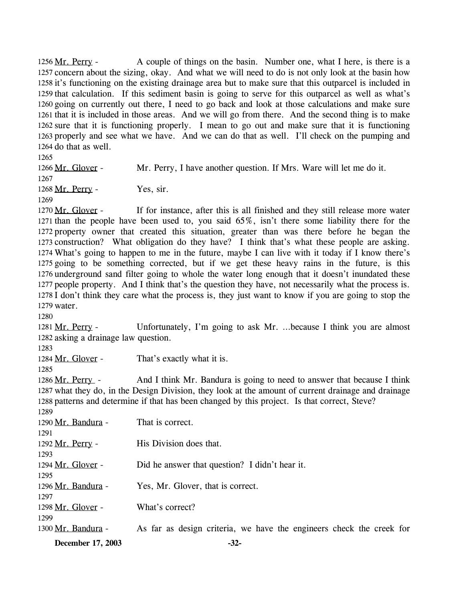A couple of things on the basin. Number one, what I here, is there is a 1257 concern about the sizing, okay. And what we will need to do is not only look at the basin how 1258 it's functioning on the existing drainage area but to make sure that this outparcel is included in 1259 that calculation. If this sediment basin is going to serve for this outparcel as well as what's 1260 going on currently out there, I need to go back and look at those calculations and make sure 1261 that it is included in those areas. And we will go from there. And the second thing is to make 1262 sure that it is functioning properly. I mean to go out and make sure that it is functioning 1263 properly and see what we have. And we can do that as well. I'll check on the pumping and 1264 do that as well. 1256 Mr. Perry -

1265

1266 Mr. Glover - Mr. Perry, I have another question. If Mrs. Ware will let me do it.

1267

1268 Mr. Perry - Yes, sir.

1269

If for instance, after this is all finished and they still release more water 1271 than the people have been used to, you said  $65\%$ , isn't there some liability there for the 1272 property owner that created this situation, greater than was there before he began the 1273 construction? What obligation do they have? I think that's what these people are asking. What's going to happen to me in the future, maybe I can live with it today if I know there's 1274 1275 going to be something corrected, but if we get these heavy rains in the future, is this 1276 underground sand filter going to whole the water long enough that it doesn't inundated these 1277 people property. And I think that's the question they have, not necessarily what the process is. 1278 I don't think they care what the process is, they just want to know if you are going to stop the 1279 water. 1270 Mr. Glover -

1280

Unfortunately, I'm going to ask Mr. ...because I think you are almost 1282 asking a drainage law question. 1281 Mr. Perry -

1283

1284 Mr. Glover - That's exactly what it is.

1285

1299

And I think Mr. Bandura is going to need to answer that because I think 1287 what they do, in the Design Division, they look at the amount of current drainage and drainage 1288 patterns and determine if that has been changed by this project. Is that correct, Steve? 1286 Mr. Perry -1289

1290 Mr. Bandura - That is correct. 1291

| 1292 Mr. Perry -   | His Division does that.                        |
|--------------------|------------------------------------------------|
| 1293               |                                                |
| 1294 Mr. Glover -  | Did he answer that question? I didn't hear it. |
| 1295               |                                                |
| 1296 Mr. Bandura - | Yes, Mr. Glover, that is correct.              |
| 1297               |                                                |
| 1298 Mr. Glover -  | What's correct?                                |

1300 Mr. Bandura - As far as design criteria, we have the engineers check the creek for

**December 17, 2003 -32-**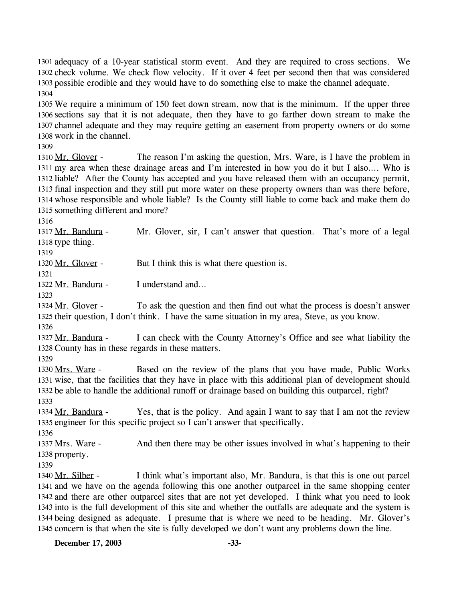1301 adequacy of a 10-year statistical storm event. And they are required to cross sections. We 1302 check volume. We check flow velocity. If it over 4 feet per second then that was considered 1303 possible erodible and they would have to do something else to make the channel adequate. 1304

 We require a minimum of 150 feet down stream, now that is the minimum. If the upper three sections say that it is not adequate, then they have to go farther down stream to make the channel adequate and they may require getting an easement from property owners or do some work in the channel.

1309

The reason I'm asking the question, Mrs. Ware, is I have the problem in 1311 my area when these drainage areas and I'm interested in how you do it but I also.... Who is 1312 liable? After the County has accepted and you have released them with an occupancy permit, 1313 final inspection and they still put more water on these property owners than was there before, 1314 whose responsible and whole liable? Is the County still liable to come back and make them do 1315 something different and more? 1310 Mr. Glover -

1316

Mr. Glover, sir, I can't answer that question. That's more of a legal 1318 type thing. 1317 Mr. Bandura -

1319

1320 Mr. Glover - But I think this is what there question is.

1322 Mr. Bandura - I understand and...

1323

1321

To ask the question and then find out what the process is doesn't answer 1325 their question, I don't think. I have the same situation in my area, Steve, as you know. 1324 Mr. Glover -

1326

I can check with the County Attorney's Office and see what liability the 1328 County has in these regards in these matters. 1327 Mr. Bandura -

1329

Based on the review of the plans that you have made, Public Works 1331 wise, that the facilities that they have in place with this additional plan of development should 1332 be able to handle the additional runoff or drainage based on building this outparcel, right? 1330 Mrs. Ware -1333

Yes, that is the policy. And again I want to say that I am not the review 1335 engineer for this specific project so I can't answer that specifically. 1334 Mr. Bandura -

1336

And then there may be other issues involved in what's happening to their 1338 property. 1337 Mrs. Ware -

1339

I think what's important also, Mr. Bandura, is that this is one out parcel 1341 and we have on the agenda following this one another outparcel in the same shopping center 1342 and there are other outparcel sites that are not yet developed. I think what you need to look 1343 into is the full development of this site and whether the outfalls are adequate and the system is 1344 being designed as adequate. I presume that is where we need to be heading. Mr. Glover's 1345 concern is that when the site is fully developed we don't want any problems down the line. 1340 Mr. Silber -

**December 17, 2003 -33-**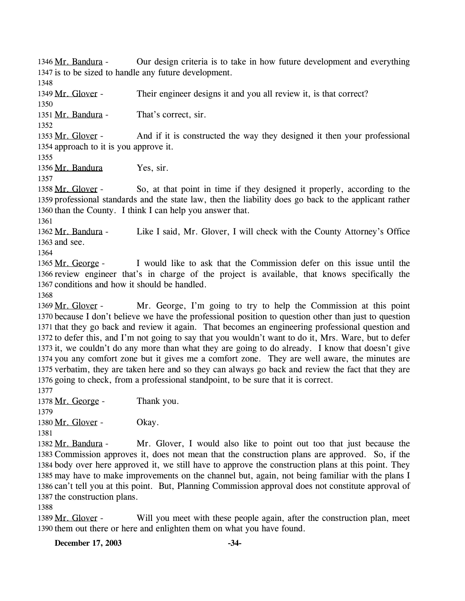Our design criteria is to take in how future development and everything 1347 is to be sized to handle any future development. 1346 Mr. Bandura -

1348

1349 Mr. Glover - Their engineer designs it and you all review it, is that correct?

1350

1351 Mr. Bandura - That's correct, sir.

1352

And if it is constructed the way they designed it then your professional 1354 approach to it is you approve it. 1353 Mr. Glover -

1355

1356 Mr. Bandura Yes, sir.

1357

1358 Mr. Glover -

So, at that point in time if they designed it properly, according to the 1359 professional standards and the state law, then the liability does go back to the applicant rather 1360 than the County. I think I can help you answer that.

1361

Like I said, Mr. Glover, I will check with the County Attorney's Office 1363 and see. 1362 Mr. Bandura -

1364

I would like to ask that the Commission defer on this issue until the 1366 review engineer that's in charge of the project is available, that knows specifically the 1367 conditions and how it should be handled. 1365 Mr. George -

1368

Mr. George, I'm going to try to help the Commission at this point 1370 because I don't believe we have the professional position to question other than just to question 1371 that they go back and review it again. That becomes an engineering professional question and 1372 to defer this, and I'm not going to say that you wouldn't want to do it, Mrs. Ware, but to defer 1373 it, we couldn't do any more than what they are going to do already. I know that doesn't give 1374 you any comfort zone but it gives me a comfort zone. They are well aware, the minutes are 1375 verbatim, they are taken here and so they can always go back and review the fact that they are 1376 going to check, from a professional standpoint, to be sure that it is correct. 1369 Mr. Glover -

1377

1378 Mr. George - Thank you. 1379

1380 Mr. Glover - Okay.

1381

Mr. Glover, I would also like to point out too that just because the 1383 Commission approves it, does not mean that the construction plans are approved. So, if the 1384 body over here approved it, we still have to approve the construction plans at this point. They 1385 may have to make improvements on the channel but, again, not being familiar with the plans I 1386 can't tell you at this point. But, Planning Commission approval does not constitute approval of 1387 the construction plans. 1382 Mr. Bandura -

1388

Will you meet with these people again, after the construction plan, meet 1390 them out there or here and enlighten them on what you have found. 1389 Mr. Glover -

**December 17, 2003 -34-**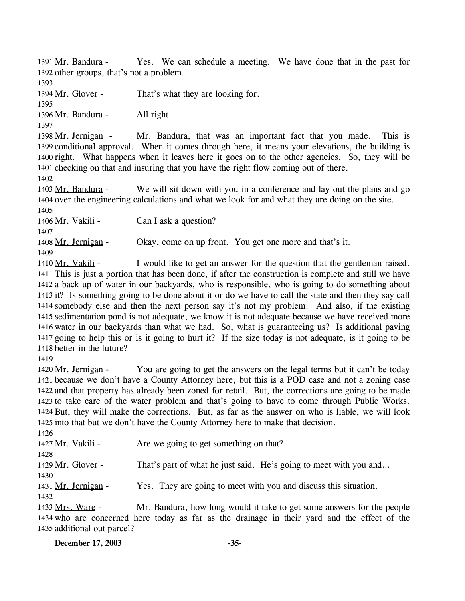Yes. We can schedule a meeting. We have done that in the past for 1392 other groups, that's not a problem. 1391 Mr. Bandura -

1393

1394 Mr. Glover - That's what they are looking for.

1395

1396 Mr. Bandura - All right.

1397

Mr. Bandura, that was an important fact that you made. This is 1399 conditional approval. When it comes through here, it means your elevations, the building is 1400 right. What happens when it leaves here it goes on to the other agencies. So, they will be 1401 checking on that and insuring that you have the right flow coming out of there. 1398 Mr. Jernigan -

1402

We will sit down with you in a conference and lay out the plans and go 1404 over the engineering calculations and what we look for and what they are doing on the site. 1403 Mr. Bandura -1405

1406 Mr. Vakili - Can I ask a question?

1407

1408 Mr. Jernigan - Okay, come on up front. You get one more and that's it.

1409

I would like to get an answer for the question that the gentleman raised. 1411 This is just a portion that has been done, if after the construction is complete and still we have 1412 a back up of water in our backyards, who is responsible, who is going to do something about 1413 it? Is something going to be done about it or do we have to call the state and then they say call 1414 somebody else and then the next person say it's not my problem. And also, if the existing 1415 sedimentation pond is not adequate, we know it is not adequate because we have received more 1416 water in our backyards than what we had. So, what is guaranteeing us? Is additional paving 1417 going to help this or is it going to hurt it? If the size today is not adequate, is it going to be 1418 better in the future? 1410 Mr. Vakili -

1419

You are going to get the answers on the legal terms but it can't be today because we don't have a County Attorney here, but this is a POD case and not a zoning case 1421 1422 and that property has already been zoned for retail. But, the corrections are going to be made 1423 to take care of the water problem and that's going to have to come through Public Works. 1424 But, they will make the corrections. But, as far as the answer on who is liable, we will look 1425 into that but we don't have the County Attorney here to make that decision. 1420 Mr. Jernigan -

1426

1427 Mr. Vakili - Are we going to get something on that? 1428 1429 Mr. Glover - That's part of what he just said. He's going to meet with you and... 1430 1431 Mr. Jernigan - Yes. They are going to meet with you and discuss this situation. 1432

Mr. Bandura, how long would it take to get some answers for the people 1434 who are concerned here today as far as the drainage in their yard and the effect of the 1435 additional out parcel? 1433 Mrs. Ware -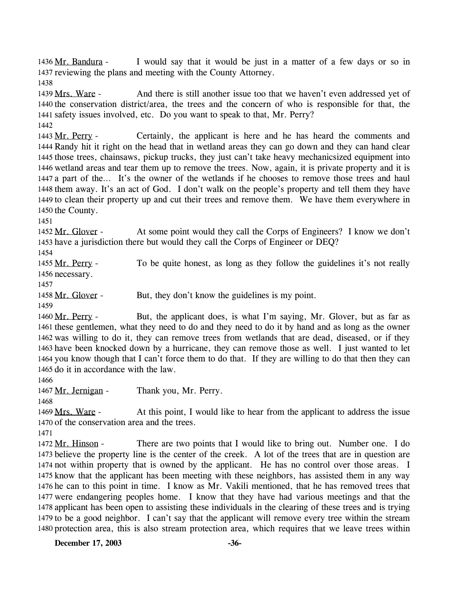I would say that it would be just in a matter of a few days or so in 1437 reviewing the plans and meeting with the County Attorney. 1436 Mr. Bandura -

1438

And there is still another issue too that we haven't even addressed yet of 1440 the conservation district/area, the trees and the concern of who is responsible for that, the 1441 safety issues involved, etc. Do you want to speak to that, Mr. Perry? 1439 Mrs. Ware -1442

Certainly, the applicant is here and he has heard the comments and 1444 Randy hit it right on the head that in wetland areas they can go down and they can hand clear 1445 those trees, chainsaws, pickup trucks, they just can't take heavy mechanicsized equipment into 1446 wetland areas and tear them up to remove the trees. Now, again, it is private property and it is 1447 a part of the... It's the owner of the wetlands if he chooses to remove those trees and haul 1448 them away. It's an act of God. I don't walk on the people's property and tell them they have 1449 to clean their property up and cut their trees and remove them. We have them everywhere in 1450 the County. 1443 Mr. Perry -

1451

At some point would they call the Corps of Engineers? I know we don't 1453 have a jurisdiction there but would they call the Corps of Engineer or DEQ? 1452 Mr. Glover -

1454

To be quite honest, as long as they follow the guidelines it's not really 1456 necessary. 1455 Mr. Perry -

1457

1458 Mr. Glover - But, they don't know the guidelines is my point.

1459

But, the applicant does, is what I'm saying, Mr. Glover, but as far as 1461 these gentlemen, what they need to do and they need to do it by hand and as long as the owner 1462 was willing to do it, they can remove trees from wetlands that are dead, diseased, or if they 1463 have been knocked down by a hurricane, they can remove those as well. I just wanted to let 1464 you know though that I can't force them to do that. If they are willing to do that then they can 1465 do it in accordance with the law. 1460 Mr. Perry -

1466

1467 Mr. Jernigan - Thank you, Mr. Perry.

1468

At this point, I would like to hear from the applicant to address the issue 1470 of the conservation area and the trees. 1469 Mrs. Ware -

1471

There are two points that I would like to bring out. Number one. I do 1473 believe the property line is the center of the creek. A lot of the trees that are in question are 1474 not within property that is owned by the applicant. He has no control over those areas. I 1475 know that the applicant has been meeting with these neighbors, has assisted them in any way 1476 he can to this point in time. I know as Mr. Vakili mentioned, that he has removed trees that 1477 were endangering peoples home. I know that they have had various meetings and that the 1478 applicant has been open to assisting these individuals in the clearing of these trees and is trying 1479 to be a good neighbor. I can't say that the applicant will remove every tree within the stream 1480 protection area, this is also stream protection area, which requires that we leave trees within 1472 Mr. Hinson -

**December 17, 2003 -36-**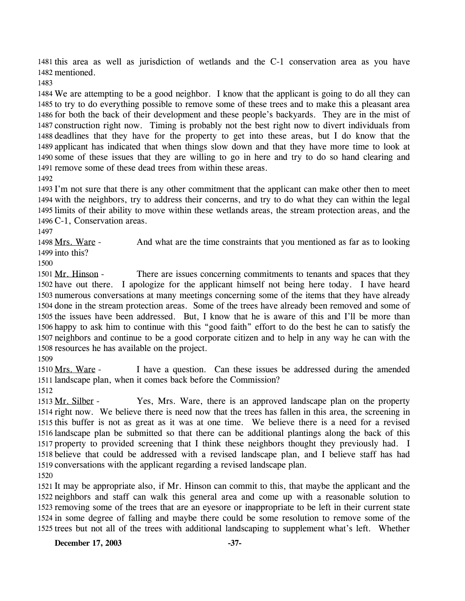1481 this area as well as jurisdiction of wetlands and the C-1 conservation area as you have 1482 mentioned.

1483

 We are attempting to be a good neighbor. I know that the applicant is going to do all they can to try to do everything possible to remove some of these trees and to make this a pleasant area for both the back of their development and these people's backyards. They are in the mist of construction right now. Timing is probably not the best right now to divert individuals from deadlines that they have for the property to get into these areas, but I do know that the applicant has indicated that when things slow down and that they have more time to look at some of these issues that they are willing to go in here and try to do so hand clearing and remove some of these dead trees from within these areas. 1492

 I'm not sure that there is any other commitment that the applicant can make other then to meet with the neighbors, try to address their concerns, and try to do what they can within the legal limits of their ability to move within these wetlands areas, the stream protection areas, and the C-1, Conservation areas.

1497

And what are the time constraints that you mentioned as far as to looking 1499 into this? 1498 Mrs. Ware -

1500

There are issues concerning commitments to tenants and spaces that they 1502 have out there. I apologize for the applicant himself not being here today. I have heard 1503 numerous conversations at many meetings concerning some of the items that they have already 1504 done in the stream protection areas. Some of the trees have already been removed and some of 1505 the issues have been addressed. But, I know that he is aware of this and I'll be more than 1506 happy to ask him to continue with this "good faith" effort to do the best he can to satisfy the 1507 neighbors and continue to be a good corporate citizen and to help in any way he can with the 1508 resources he has available on the project. 1501 Mr. Hinson -

1509

I have a question. Can these issues be addressed during the amended 1511 landscape plan, when it comes back before the Commission? 1510 Mrs. Ware -

1512

Yes, Mrs. Ware, there is an approved landscape plan on the property 1514 right now. We believe there is need now that the trees has fallen in this area, the screening in 1515 this buffer is not as great as it was at one time. We believe there is a need for a revised 1516 landscape plan be submitted so that there can be additional plantings along the back of this 1517 property to provided screening that I think these neighbors thought they previously had. I 1518 believe that could be addressed with a revised landscape plan, and I believe staff has had 1519 conversations with the applicant regarding a revised landscape plan. 1513 Mr. Silber -1520

 It may be appropriate also, if Mr. Hinson can commit to this, that maybe the applicant and the neighbors and staff can walk this general area and come up with a reasonable solution to removing some of the trees that are an eyesore or inappropriate to be left in their current state in some degree of falling and maybe there could be some resolution to remove some of the trees but not all of the trees with additional landscaping to supplement what's left. Whether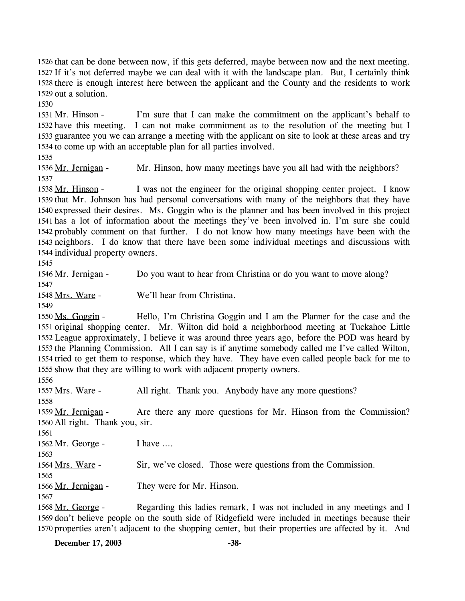1526 that can be done between now, if this gets deferred, maybe between now and the next meeting. 1527 If it's not deferred maybe we can deal with it with the landscape plan. But, I certainly think 1528 there is enough interest here between the applicant and the County and the residents to work 1529 out a solution.

1530

I'm sure that I can make the commitment on the applicant's behalf to 1532 have this meeting. I can not make commitment as to the resolution of the meeting but I 1533 guarantee you we can arrange a meeting with the applicant on site to look at these areas and try 1534 to come up with an acceptable plan for all parties involved. 1531 Mr. Hinson -

1535

1536 Mr. Jernigan - Mr. Hinson, how many meetings have you all had with the neighbors? 1537

I was not the engineer for the original shopping center project. I know 1539 that Mr. Johnson has had personal conversations with many of the neighbors that they have 1540 expressed their desires. Ms. Goggin who is the planner and has been involved in this project 1541 has a lot of information about the meetings they've been involved in. I'm sure she could 1542 probably comment on that further. I do not know how many meetings have been with the 1543 neighbors. I do know that there have been some individual meetings and discussions with 1544 individual property owners. 1538 Mr. Hinson -

1545

1546 Mr. Jernigan - Do you want to hear from Christina or do you want to move along? 1547

1548 Mrs. Ware - We'll hear from Christina.

1549

Hello, I'm Christina Goggin and I am the Planner for the case and the 1551 original shopping center. Mr. Wilton did hold a neighborhood meeting at Tuckahoe Little 1552 League approximately, I believe it was around three years ago, before the POD was heard by 1553 the Planning Commission. All I can say is if anytime somebody called me I've called Wilton, 1554 tried to get them to response, which they have. They have even called people back for me to 1555 show that they are willing to work with adjacent property owners. 1550 Ms. Goggin -

1556

1557 Mrs. Ware - All right. Thank you. Anybody have any more questions? 1558

Are there any more questions for Mr. Hinson from the Commission? 1560 All right. Thank you, sir. 1559 Mr. Jernigan -

1561

1562 Mr. George - I have ....

1563

1564 Mrs. Ware - Sir, we've closed. Those were questions from the Commission.

1566 Mr. Jernigan - They were for Mr. Hinson.

1565

1567

Regarding this ladies remark, I was not included in any meetings and I 1569 don't believe people on the south side of Ridgefield were included in meetings because their 1570 properties aren't adjacent to the shopping center, but their properties are affected by it. And 1568 Mr. George -

**December 17, 2003 -38-**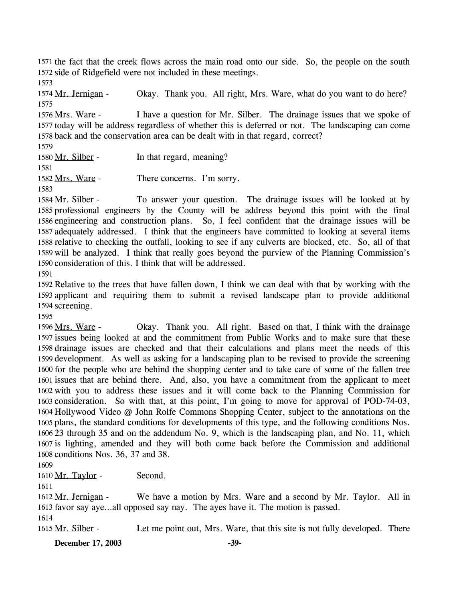1571 the fact that the creek flows across the main road onto our side. So, the people on the south 1572 side of Ridgefield were not included in these meetings.

1573

1574 Mr. Jernigan - Okay. Thank you. All right, Mrs. Ware, what do you want to do here? 1575

I have a question for Mr. Silber. The drainage issues that we spoke of 1577 today will be address regardless of whether this is deferred or not. The landscaping can come 1578 back and the conservation area can be dealt with in that regard, correct? 1576 Mrs. Ware -

1579

1580 Mr. Silber - In that regard, meaning?

1581

1582 Mrs. Ware - There concerns. I'm sorry.

1583

To answer your question. The drainage issues will be looked at by 1585 professional engineers by the County will be address beyond this point with the final 1586 engineering and construction plans. So, I feel confident that the drainage issues will be 1587 adequately addressed. I think that the engineers have committed to looking at several items 1588 relative to checking the outfall, looking to see if any culverts are blocked, etc. So, all of that 1589 will be analyzed. I think that really goes beyond the purview of the Planning Commission's 1590 consideration of this. I think that will be addressed. 1584 Mr. Silber -

1591

1592 Relative to the trees that have fallen down, I think we can deal with that by working with the 1593 applicant and requiring them to submit a revised landscape plan to provide additional 1594 screening.

1595

Okay. Thank you. All right. Based on that, I think with the drainage 1597 issues being looked at and the commitment from Public Works and to make sure that these 1598 drainage issues are checked and that their calculations and plans meet the needs of this 1599 development. As well as asking for a landscaping plan to be revised to provide the screening 1600 for the people who are behind the shopping center and to take care of some of the fallen tree 1601 issues that are behind there. And, also, you have a commitment from the applicant to meet 1602 with you to address these issues and it will come back to the Planning Commission for 1603 consideration. So with that, at this point, I'm going to move for approval of POD-74-03, 1604 Hollywood Video @ John Rolfe Commons Shopping Center, subject to the annotations on the 1605 plans, the standard conditions for developments of this type, and the following conditions Nos. 23 through 35 and on the addendum No. 9, which is the landscaping plan, and No. 11, which 1606 1607 is lighting, amended and they will both come back before the Commission and additional 1608 conditions Nos. 36, 37 and 38. 1596 Mrs. Ware -

1609

1610 Mr. Taylor - Second.

1611

We have a motion by Mrs. Ware and a second by Mr. Taylor. All in 1613 favor say aye...all opposed say nay. The ayes have it. The motion is passed. 1612 Mr. Jernigan -1614

1615 Mr. Silber - Let me point out, Mrs. Ware, that this site is not fully developed. There

**December 17, 2003 -39-**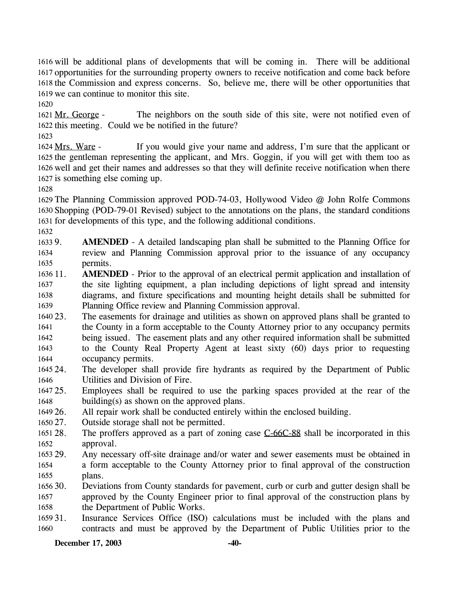1616 will be additional plans of developments that will be coming in. There will be additional 1617 opportunities for the surrounding property owners to receive notification and come back before 1618 the Commission and express concerns. So, believe me, there will be other opportunities that 1619 we can continue to monitor this site.

1620

The neighbors on the south side of this site, were not notified even of 1622 this meeting. Could we be notified in the future? 1621 Mr. George -

1623

If you would give your name and address, I'm sure that the applicant or 1625 the gentleman representing the applicant, and Mrs. Goggin, if you will get with them too as 1626 well and get their names and addresses so that they will definite receive notification when there 1627 is something else coming up. 1624 Mrs. Ware -

1628

1629 The Planning Commission approved POD-74-03, Hollywood Video @ John Rolfe Commons 1630 Shopping (POD-79-01 Revised) subject to the annotations on the plans, the standard conditions 1631 for developments of this type, and the following additional conditions.

1632

1633 9. 1634 1635 AMENDED - A detailed landscaping plan shall be submitted to the Planning Office for review and Planning Commission approval prior to the issuance of any occupancy permits.

- 1636 11. 1637 1638 1639 **AMENDED** - Prior to the approval of an electrical permit application and installation of the site lighting equipment, a plan including depictions of light spread and intensity diagrams, and fixture specifications and mounting height details shall be submitted for Planning Office review and Planning Commission approval.
- 1640 23. 1641 1642 1643 1644 The easements for drainage and utilities as shown on approved plans shall be granted to the County in a form acceptable to the County Attorney prior to any occupancy permits being issued. The easement plats and any other required information shall be submitted to the County Real Property Agent at least sixty (60) days prior to requesting occupancy permits.
- 1645 24 1646 The developer shall provide fire hydrants as required by the Department of Public Utilities and Division of Fire.
- 1647 25. 1648 Employees shall be required to use the parking spaces provided at the rear of the building(s) as shown on the approved plans.
- 1649 26. All repair work shall be conducted entirely within the enclosed building.

1650 27. Outside storage shall not be permitted.

- The proffers approved as a part of zoning case  $C$ -66 $C$ -88 shall be incorporated in this approval. 1651 28. 1652
- 1653 29. 1654 1655 Any necessary off-site drainage and/or water and sewer easements must be obtained in a form acceptable to the County Attorney prior to final approval of the construction plans.
- 1656 30. 1657 1658 Deviations from County standards for pavement, curb or curb and gutter design shall be approved by the County Engineer prior to final approval of the construction plans by the Department of Public Works.
- 1659 31. 1660 Insurance Services Office (ISO) calculations must be included with the plans and contracts and must be approved by the Department of Public Utilities prior to the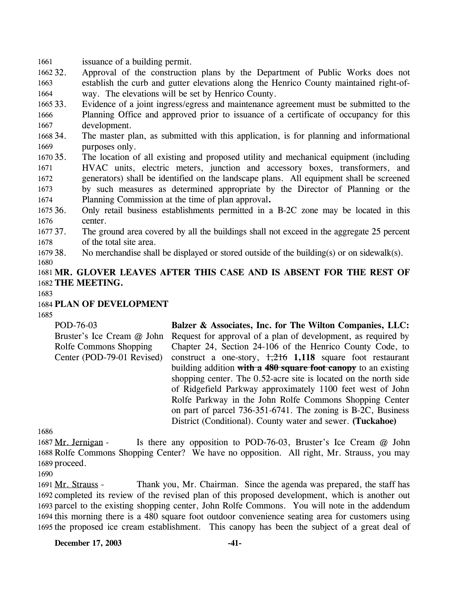1661 issuance of a building permit.

1662 32. 1663 1664 Approval of the construction plans by the Department of Public Works does not establish the curb and gutter elevations along the Henrico County maintained right-ofway. The elevations will be set by Henrico County.

1665 33. 1666 1667 Evidence of a joint ingress/egress and maintenance agreement must be submitted to the Planning Office and approved prior to issuance of a certificate of occupancy for this development.

1668 34. 1669 The master plan, as submitted with this application, is for planning and informational purposes only.

1670 35. 1671 1672 1673 1674 The location of all existing and proposed utility and mechanical equipment (including HVAC units, electric meters, junction and accessory boxes, transformers, and generators) shall be identified on the landscape plans. All equipment shall be screened by such measures as determined appropriate by the Director of Planning or the Planning Commission at the time of plan approval**.** 

1675 36. 1676 36. Only retail business establishments permitted in a B-2C zone may be located in this center.

1677 37. 1678 The ground area covered by all the buildings shall not exceed in the aggregate 25 percent of the total site area.

1679 38. No merchandise shall be displayed or stored outside of the building(s) or on sidewalk(s).

1680

1681 **MR. GLOVER LEAVES AFTER THIS CASE AND IS ABSENT FOR THE REST OF**  1682 **THE MEETING.** 

1683

### 1684 **PLAN OF DEVELOPMENT**

1685

POD-76-03 Bruster's Ice Cream @ John Rolfe Commons Shopping Center (POD-79-01 Revised) **Balzer & Associates, Inc. for The Wilton Companies, LLC:**  Request for approval of a plan of development, as required by Chapter 24, Section 24-106 of the Henrico County Code, to construct a one-story, 1,216 **1,118** square foot restaurant building addition **with a 480 square foot canopy** to an existing shopping center. The 0.52-acre site is located on the north side of Ridgefield Parkway approximately 1100 feet west of John Rolfe Parkway in the John Rolfe Commons Shopping Center on part of parcel 736-351-6741. The zoning is B-2C, Business District (Conditional). County water and sewer. **(Tuckahoe)** 

1686

Is there any opposition to POD-76-03, Bruster's Ice Cream  $@$  John 1688 Rolfe Commons Shopping Center? We have no opposition. All right, Mr. Strauss, you may 1689 proceed. 1687 Mr. Jernigan -

1690

Thank you, Mr. Chairman. Since the agenda was prepared, the staff has 1692 completed its review of the revised plan of this proposed development, which is another out 1693 parcel to the existing shopping center, John Rolfe Commons. You will note in the addendum 1694 this morning there is a 480 square foot outdoor convenience seating area for customers using 1695 the proposed ice cream establishment. This canopy has been the subject of a great deal of 1691 Mr. Strauss -

**December 17, 2003 -41-**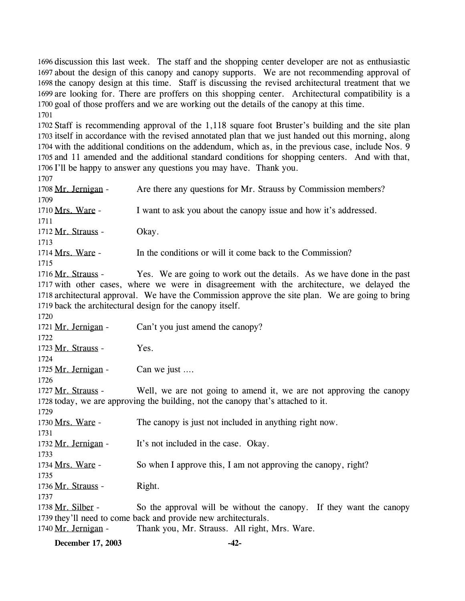1696 discussion this last week. The staff and the shopping center developer are not as enthusiastic 1697 about the design of this canopy and canopy supports. We are not recommending approval of 1698 the canopy design at this time. Staff is discussing the revised architectural treatment that we 1699 are looking for. There are proffers on this shopping center. Architectural compatibility is a 1700 goal of those proffers and we are working out the details of the canopy at this time. 1701

 Staff is recommending approval of the 1,118 square foot Bruster's building and the site plan itself in accordance with the revised annotated plan that we just handed out this morning, along with the additional conditions on the addendum, which as, in the previous case, include Nos. 9 and 11 amended and the additional standard conditions for shopping centers. And with that, I'll be happy to answer any questions you may have. Thank you.

1707 1708 Mr. Jernigan - Are there any questions for Mr. Strauss by Commission members? 1709 1710 Mrs. Ware - I want to ask you about the canopy issue and how it's addressed. 1711 1712 Mr. Strauss - Okay. 1713 1714 Mrs. Ware - In the conditions or will it come back to the Commission? 1715 Yes. We are going to work out the details. As we have done in the past 1717 with other cases, where we were in disagreement with the architecture, we delayed the 1718 architectural approval. We have the Commission approve the site plan. We are going to bring 1719 back the architectural design for the canopy itself. 1716 Mr. Strauss -1720 1721 Mr. Jernigan - Can't you just amend the canopy? 1722 1723 Mr. Strauss - Yes. 1724 1725 Mr. Jernigan - Can we just .... 1726 Well, we are not going to amend it, we are not approving the canopy 1728 today, we are approving the building, not the canopy that's attached to it. 1727 Mr. Strauss -1729 1730 Mrs. Ware - The canopy is just not included in anything right now. 1731 1732 Mr. Jernigan - It's not included in the case. Okay. 1733 1734 Mrs. Ware - So when I approve this, I am not approving the canopy, right? 1735 1736 Mr. Strauss - Right. 1737 So the approval will be without the canopy. If they want the canopy 1739 they'll need to come back and provide new architecturals. 1738 Mr. Silber -1740 Mr. Jernigan - Thank you, Mr. Strauss. All right, Mrs. Ware.

**December 17, 2003 -42-**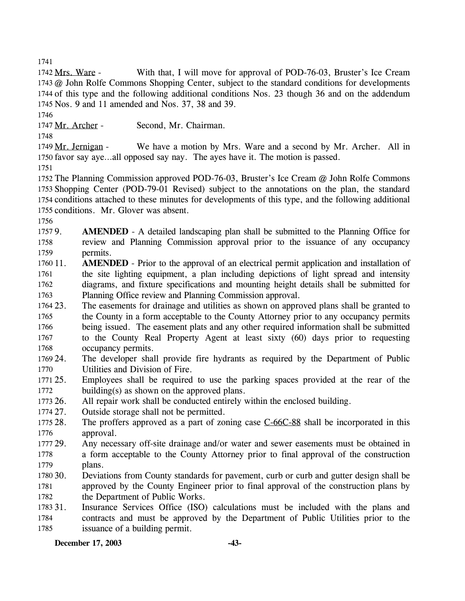1741

With that, I will move for approval of POD-76-03, Bruster's Ice Cream 1743 @ John Rolfe Commons Shopping Center, subject to the standard conditions for developments 1744 of this type and the following additional conditions Nos. 23 though 36 and on the addendum 1745 Nos. 9 and 11 amended and Nos. 37, 38 and 39. 1742 Mrs. Ware -

1746

1747 Mr. Archer - Second, Mr. Chairman.

1748

We have a motion by Mrs. Ware and a second by Mr. Archer. All in 1750 favor say aye...all opposed say nay. The ayes have it. The motion is passed. 1749 Mr. Jernigan -

1751

 The Planning Commission approved POD-76-03, Bruster's Ice Cream @ John Rolfe Commons Shopping Center (POD-79-01 Revised) subject to the annotations on the plan, the standard conditions attached to these minutes for developments of this type, and the following additional conditions. Mr. Glover was absent.

1756

1757 9. 1758 1759 **AMENDED** - A detailed landscaping plan shall be submitted to the Planning Office for review and Planning Commission approval prior to the issuance of any occupancy permits.

1760 11. 1761 1762 1763 **AMENDED** - Prior to the approval of an electrical permit application and installation of the site lighting equipment, a plan including depictions of light spread and intensity diagrams, and fixture specifications and mounting height details shall be submitted for Planning Office review and Planning Commission approval.

1764 23. 1765 1766 1767 1768 The easements for drainage and utilities as shown on approved plans shall be granted to the County in a form acceptable to the County Attorney prior to any occupancy permits being issued. The easement plats and any other required information shall be submitted to the County Real Property Agent at least sixty (60) days prior to requesting occupancy permits.

1769 24. 1770 The developer shall provide fire hydrants as required by the Department of Public Utilities and Division of Fire.

- 1771 25. 1772 Employees shall be required to use the parking spaces provided at the rear of the building(s) as shown on the approved plans.
- 1773 26. All repair work shall be conducted entirely within the enclosed building.

1774 27. Outside storage shall not be permitted.

The proffers approved as a part of zoning case  $C$ -66 $C$ -88 shall be incorporated in this approval. 1775 28. 1776

1777 29. 1778 1779 Any necessary off-site drainage and/or water and sewer easements must be obtained in a form acceptable to the County Attorney prior to final approval of the construction plans.

1780 30. 1781 1782 Deviations from County standards for pavement, curb or curb and gutter design shall be approved by the County Engineer prior to final approval of the construction plans by the Department of Public Works.

1783 31. 1784 1785 Insurance Services Office (ISO) calculations must be included with the plans and contracts and must be approved by the Department of Public Utilities prior to the issuance of a building permit.

**December 17, 2003 -43-**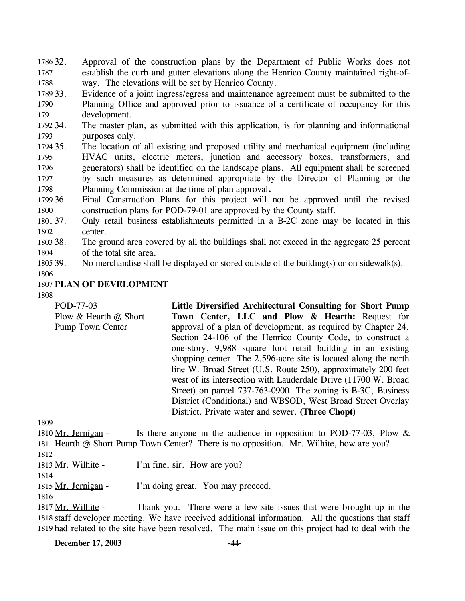32. Approval of the construction plans by the Department of Public Works does not establish the curb and gutter elevations along the Henrico County maintained right-ofway. The elevations will be set by Henrico County. 1786 32. 1787 1788

1789 33. 1790 1791 Evidence of a joint ingress/egress and maintenance agreement must be submitted to the Planning Office and approved prior to issuance of a certificate of occupancy for this development.

1792 34. 1793 The master plan, as submitted with this application, is for planning and informational purposes only.

1794 35. 1795 1796 1797 1798 35. The location of all existing and proposed utility and mechanical equipment (including HVAC units, electric meters, junction and accessory boxes, transformers, and generators) shall be identified on the landscape plans. All equipment shall be screened by such measures as determined appropriate by the Director of Planning or the Planning Commission at the time of plan approval**.**

1799 36. 1800 36. Final Construction Plans for this project will not be approved until the revised construction plans for POD-79-01 are approved by the County staff.

1801 37. 1802 37. Only retail business establishments permitted in a B-2C zone may be located in this center.

1803 38. 1804 The ground area covered by all the buildings shall not exceed in the aggregate 25 percent of the total site area.

1805 39. No merchandise shall be displayed or stored outside of the building(s) or on sidewalk(s).

1806

#### 1807 **PLAN OF DEVELOPMENT**

1808

| Little Diversified Architectural Consulting for Short Pump      |
|-----------------------------------------------------------------|
| Town Center, LLC and Plow & Hearth: Request for                 |
| approval of a plan of development, as required by Chapter 24,   |
| Section 24-106 of the Henrico County Code, to construct a       |
| one-story, 9,988 square foot retail building in an existing     |
| shopping center. The 2.596-acre site is located along the north |
| line W. Broad Street (U.S. Route 250), approximately 200 feet   |
| west of its intersection with Lauderdale Drive (11700 W. Broad  |
| Street) on parcel 737-763-0900. The zoning is B-3C, Business    |
| District (Conditional) and WBSOD, West Broad Street Overlay     |
| District. Private water and sewer. (Three Chopt)                |
|                                                                 |

1809

Is there anyone in the audience in opposition to POD-77-03, Plow  $\&$ 1811 Hearth @ Short Pump Town Center? There is no opposition. Mr. Wilhite, how are you? 1810 Mr. Jernigan -

1812

1813 Mr. Wilhite - I'm fine, sir. How are you?

1814 1815 Mr. Jernigan - I'm doing great. You may proceed.

1816

Thank you. There were a few site issues that were brought up in the 1818 staff developer meeting. We have received additional information. All the questions that staff 1819 had related to the site have been resolved. The main issue on this project had to deal with the 1817 Mr. Wilhite -

**December 17, 2003 -44-**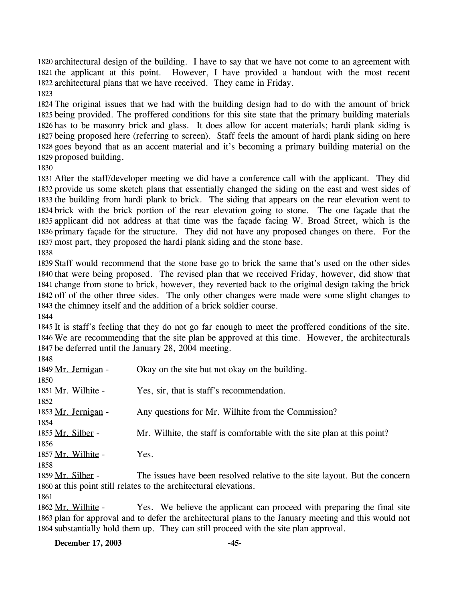1820 architectural design of the building. I have to say that we have not come to an agreement with 1821 the applicant at this point. However, I have provided a handout with the most recent 1822 architectural plans that we have received. They came in Friday.

 The original issues that we had with the building design had to do with the amount of brick being provided. The proffered conditions for this site state that the primary building materials has to be masonry brick and glass. It does allow for accent materials; hardi plank siding is being proposed here (referring to screen). Staff feels the amount of hardi plank siding on here goes beyond that as an accent material and it's becoming a primary building material on the proposed building.

 After the staff/developer meeting we did have a conference call with the applicant. They did provide us some sketch plans that essentially changed the siding on the east and west sides of the building from hardi plank to brick. The siding that appears on the rear elevation went to brick with the brick portion of the rear elevation going to stone. The one façade that the applicant did not address at that time was the façade facing W. Broad Street, which is the primary façade for the structure. They did not have any proposed changes on there. For the most part, they proposed the hardi plank siding and the stone base.

 Staff would recommend that the stone base go to brick the same that's used on the other sides 1840 that were being proposed. The revised plan that we received Friday, however, did show that change from stone to brick, however, they reverted back to the original design taking the brick off of the other three sides. The only other changes were made were some slight changes to the chimney itself and the addition of a brick soldier course.

 It is staff's feeling that they do not go far enough to meet the proffered conditions of the site. We are recommending that the site plan be approved at this time. However, the architecturals be deferred until the January 28, 2004 meeting.

| 1849 Mr. Jernigan - | Okay on the site but not okay on the building.                             |
|---------------------|----------------------------------------------------------------------------|
| 1850                |                                                                            |
| 1851 Mr. Wilhite -  | Yes, sir, that is staff's recommendation.                                  |
| 1852                |                                                                            |
| 1853 Mr. Jernigan - | Any questions for Mr. Wilhite from the Commission?                         |
| 1854                |                                                                            |
| 1855 Mr. Silber -   | Mr. Wilhite, the staff is comfortable with the site plan at this point?    |
| 1856                |                                                                            |
| 1857 Mr. Wilhite -  | Yes.                                                                       |
| 1858                |                                                                            |
| 1859 Mr. Silber -   | The issues have been resolved relative to the site layout. But the concern |
|                     | 1860 at this point still relates to the architectural elevations.          |
|                     |                                                                            |

Yes. We believe the applicant can proceed with preparing the final site 1863 plan for approval and to defer the architectural plans to the January meeting and this would not 1864 substantially hold them up. They can still proceed with the site plan approval. 1862 Mr. Wilhite -

**December 17, 2003 -45-**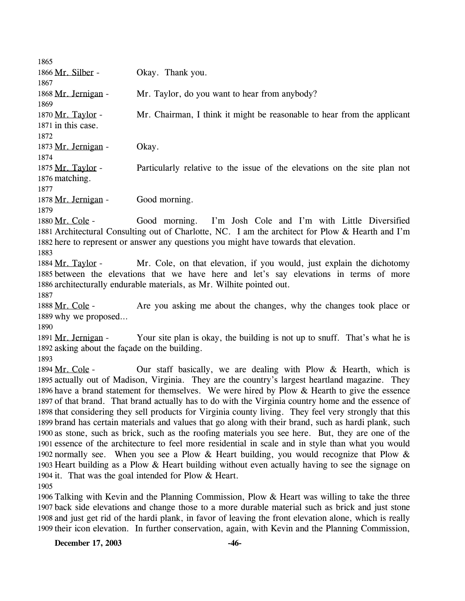| 1865                |                                                                                                  |
|---------------------|--------------------------------------------------------------------------------------------------|
| 1866 Mr. Silber -   | Okay. Thank you.                                                                                 |
| 1867                |                                                                                                  |
| 1868 Mr. Jernigan - | Mr. Taylor, do you want to hear from anybody?                                                    |
| 1869                |                                                                                                  |
| 1870 Mr. Taylor -   | Mr. Chairman, I think it might be reasonable to hear from the applicant                          |
| 1871 in this case.  |                                                                                                  |
| 1872                |                                                                                                  |
| 1873 Mr. Jernigan - | Okay.                                                                                            |
| 1874                |                                                                                                  |
| 1875 Mr. Taylor -   | Particularly relative to the issue of the elevations on the site plan not                        |
| 1876 matching.      |                                                                                                  |
| 1877                |                                                                                                  |
| 1878 Mr. Jernigan - | Good morning.                                                                                    |
| 1879                |                                                                                                  |
| 1880 Mr. Cole -     | Good morning. I'm Josh Cole and I'm with Little Diversified                                      |
|                     | 1881 Architectural Consulting out of Charlotte, NC. I am the architect for Plow & Hearth and I'm |
|                     | 1882 here to represent or answer any questions you might have towards that elevation.            |
| 1883                |                                                                                                  |
| 1884 Mr. Taylor -   | Mr. Cole, on that elevation, if you would, just explain the dichotomy                            |
|                     |                                                                                                  |

1885 between the elevations that we have here and let's say elevations in terms of more 1886 architecturally endurable materials, as Mr. Wilhite pointed out. 1887

Are you asking me about the changes, why the changes took place or 1889 why we proposed... 1888 Mr. Cole -

1890

Your site plan is okay, the building is not up to snuff. That's what he is 1892 asking about the façade on the building. 1891 Mr. Jernigan -

1893

Our staff basically, we are dealing with Plow  $&$  Hearth, which is 1895 actually out of Madison, Virginia. They are the country's largest heartland magazine. They 1896 have a brand statement for themselves. We were hired by Plow  $&$  Hearth to give the essence 1897 of that brand. That brand actually has to do with the Virginia country home and the essence of 1898 that considering they sell products for Virginia county living. They feel very strongly that this 1899 brand has certain materials and values that go along with their brand, such as hardi plank, such 1900 as stone, such as brick, such as the roofing materials you see here. But, they are one of the 1901 essence of the architecture to feel more residential in scale and in style than what you would 1902 normally see. When you see a Plow & Heart building, you would recognize that Plow & 1903 Heart building as a Plow  $&$  Heart building without even actually having to see the signage on 1904 it. That was the goal intended for Plow  $&$  Heart. 1894 Mr. Cole -1905

 Talking with Kevin and the Planning Commission, Plow & Heart was willing to take the three back side elevations and change those to a more durable material such as brick and just stone and just get rid of the hardi plank, in favor of leaving the front elevation alone, which is really their icon elevation. In further conservation, again, with Kevin and the Planning Commission,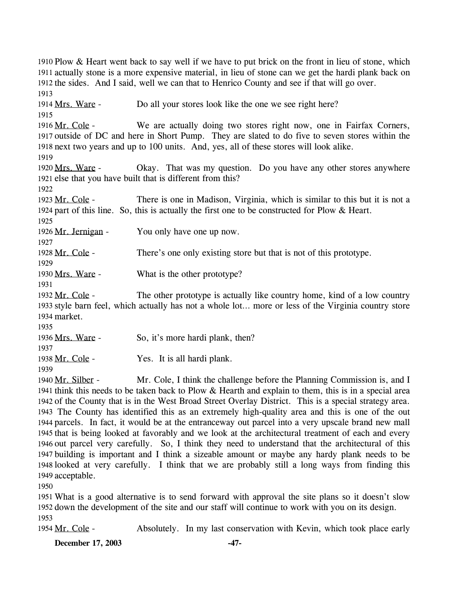1910 Plow & Heart went back to say well if we have to put brick on the front in lieu of stone, which 1911 actually stone is a more expensive material, in lieu of stone can we get the hardi plank back on 1912 the sides. And I said, well we can that to Henrico County and see if that will go over. 1913 1914 Mrs. Ware - Do all your stores look like the one we see right here? 1915 We are actually doing two stores right now, one in Fairfax Corners, 1917 outside of DC and here in Short Pump. They are slated to do five to seven stores within the 1918 next two years and up to 100 units. And, yes, all of these stores will look alike. 1916 Mr. Cole -1919 Okay. That was my question. Do you have any other stores anywhere 1921 else that you have built that is different from this? 1920 Mrs. Ware -1922 There is one in Madison, Virginia, which is similar to this but it is not a 1924 part of this line. So, this is actually the first one to be constructed for Plow & Heart. 1923 Mr. Cole -1925 1926 Mr. Jernigan - You only have one up now. 1927 1928 Mr. Cole - There's one only existing store but that is not of this prototype. 1929 1930 Mrs. Ware - What is the other prototype? 1931 The other prototype is actually like country home, kind of a low country 1933 style barn feel, which actually has not a whole lot... more or less of the Virginia country store 1934 market. 1932 Mr. Cole -1935 1936 Mrs. Ware - So, it's more hardi plank, then? 1937 1938 Mr. Cole - Yes. It is all hardi plank. 1939 Mr. Cole, I think the challenge before the Planning Commission is, and I 1941 think this needs to be taken back to Plow  $&$  Hearth and explain to them, this is in a special area 1942 of the County that is in the West Broad Street Overlay District. This is a special strategy area. The County has identified this as an extremely high-quality area and this is one of the out 1943 1944 parcels. In fact, it would be at the entranceway out parcel into a very upscale brand new mall 1945 that is being looked at favorably and we look at the architectural treatment of each and every 1946 out parcel very carefully. So, I think they need to understand that the architectural of this 1947 building is important and I think a sizeable amount or maybe any hardy plank needs to be 1948 looked at very carefully. I think that we are probably still a long ways from finding this 1940 Mr. Silber -

1950

1949 acceptable.

1951 What is a good alternative is to send forward with approval the site plans so it doesn't slow 1952 down the development of the site and our staff will continue to work with you on its design. 1953

1954 Mr. Cole - Absolutely. In my last conservation with Kevin, which took place early

**December 17, 2003 -47-**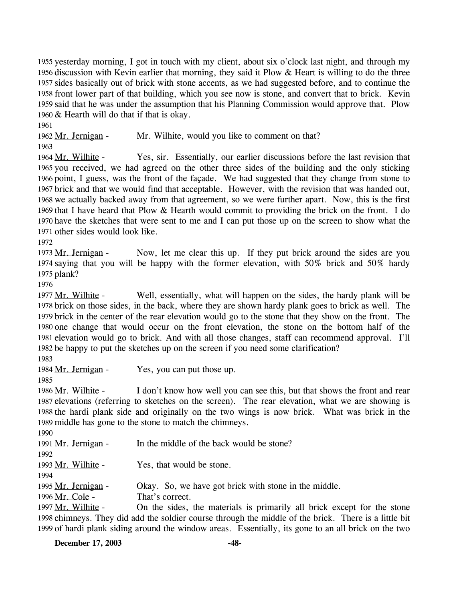1955 yesterday morning, I got in touch with my client, about six o'clock last night, and through my 1956 discussion with Kevin earlier that morning, they said it Plow  $\&$  Heart is willing to do the three 1957 sides basically out of brick with stone accents, as we had suggested before, and to continue the 1958 front lower part of that building, which you see now is stone, and convert that to brick. Kevin 1959 said that he was under the assumption that his Planning Commission would approve that. Plow 1960  $&$  Hearth will do that if that is okay.

1961

1963

1962 Mr. Jernigan - Mr. Wilhite, would you like to comment on that?

Yes, sir. Essentially, our earlier discussions before the last revision that 1965 you received, we had agreed on the other three sides of the building and the only sticking 1966 point, I guess, was the front of the façade. We had suggested that they change from stone to 1967 brick and that we would find that acceptable. However, with the revision that was handed out, 1968 we actually backed away from that agreement, so we were further apart. Now, this is the first 1969 that I have heard that Plow  $&$  Hearth would commit to providing the brick on the front. I do 1970 have the sketches that were sent to me and I can put those up on the screen to show what the 1971 other sides would look like. 1964 Mr. Wilhite -

1972

Now, let me clear this up. If they put brick around the sides are you 1974 saying that you will be happy with the former elevation, with  $50\%$  brick and  $50\%$  hardy 1975 plank? 1973 Mr. Jernigan -

1976

Well, essentially, what will happen on the sides, the hardy plank will be 1978 brick on those sides, in the back, where they are shown hardy plank goes to brick as well. The 1979 brick in the center of the rear elevation would go to the stone that they show on the front. The 1980 one change that would occur on the front elevation, the stone on the bottom half of the 1981 elevation would go to brick. And with all those changes, staff can recommend approval. I'll 1982 be happy to put the sketches up on the screen if you need some clarification? 1977 Mr. Wilhite -

1983

1984 Mr. Jernigan - Yes, you can put those up.

1985

I don't know how well you can see this, but that shows the front and rear 1987 elevations (referring to sketches on the screen). The rear elevation, what we are showing is 1988 the hardi plank side and originally on the two wings is now brick. What was brick in the 1989 middle has gone to the stone to match the chimneys. 1986 Mr. Wilhite -

1990

| 1991 Mr. Jernigan - | In the middle of the back would be stone?               |
|---------------------|---------------------------------------------------------|
| 1992                |                                                         |
| 1993 Mr. Wilhite -  | Yes, that would be stone.                               |
| 1994                |                                                         |
| 1995 Mr. Jernigan - | Okay. So, we have got brick with stone in the middle.   |
| 1996 Mr. Cole -     | That's correct.                                         |
| 1997 Mr. Wilhite -  | On the sides, the materials is primarily all brick exce |

ept for the stone 1998 chimneys. They did add the soldier course through the middle of the brick. There is a little bit 1999 of hardi plank siding around the window areas. Essentially, its gone to an all brick on the two 1997

**December 17, 2003 -48-**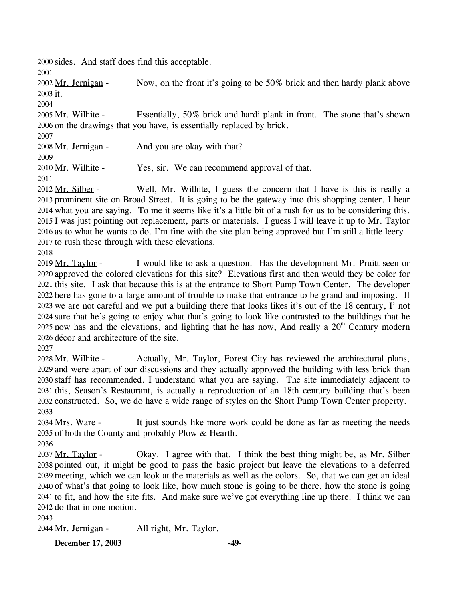2000 sides. And staff does find this acceptable.

2001

Now, on the front it's going to be 50% brick and then hardy plank above 2003 it. 2002 Mr. Jernigan -

2004

Essentially, 50% brick and hardi plank in front. The stone that's shown 2006 on the drawings that you have, is essentially replaced by brick. 2005 Mr. Wilhite -

2007

2008 Mr. Jernigan - And you are okay with that?

2009

2010 Mr. Wilhite - Yes, sir. We can recommend approval of that.

2011

Well, Mr. Wilhite, I guess the concern that I have is this is really a 2013 prominent site on Broad Street. It is going to be the gateway into this shopping center. I hear what you are saying. To me it seems like it's a little bit of a rush for us to be considering this. 2014 2015 I was just pointing out replacement, parts or materials. I guess I will leave it up to Mr. Taylor 2016 as to what he wants to do. I'm fine with the site plan being approved but I'm still a little leery 2012 Mr. Silber -2017 to rush these through with these elevations.

2018

I would like to ask a question. Has the development Mr. Pruitt seen or 2020 approved the colored elevations for this site? Elevations first and then would they be color for 2021 this site. I ask that because this is at the entrance to Short Pump Town Center. The developer 2022 here has gone to a large amount of trouble to make that entrance to be grand and imposing. If 2023 we are not careful and we put a building there that looks likes it's out of the 18 century, I' not 2024 sure that he's going to enjoy what that's going to look like contrasted to the buildings that he 2025 now has and the elevations, and lighting that he has now, And really a  $20<sup>th</sup>$  Century modern 2019 Mr. Taylor -2026 décor and architecture of the site.

2027

Actually, Mr. Taylor, Forest City has reviewed the architectural plans, 2029 and were apart of our discussions and they actually approved the building with less brick than 2030 staff has recommended. I understand what you are saying. The site immediately adjacent to 2031 this, Season's Restaurant, is actually a reproduction of an 18th century building that's been 2032 constructed. So, we do have a wide range of styles on the Short Pump Town Center property. 2028 Mr. Wilhite -2033

It just sounds like more work could be done as far as meeting the needs 2035 of both the County and probably Plow  $&$  Hearth. 2034 Mrs. Ware -

2036

Okay. I agree with that. I think the best thing might be, as Mr. Silber 2038 pointed out, it might be good to pass the basic project but leave the elevations to a deferred meeting, which we can look at the materials as well as the colors. So, that we can get an ideal 2039 2040 of what's that going to look like, how much stone is going to be there, how the stone is going 2041 to fit, and how the site fits. And make sure we've got everything line up there. I think we can 2042 do that in one motion. 2037 Mr. Taylor -

2043

2044 Mr. Jernigan - All right, Mr. Taylor.

**December 17, 2003 -49-**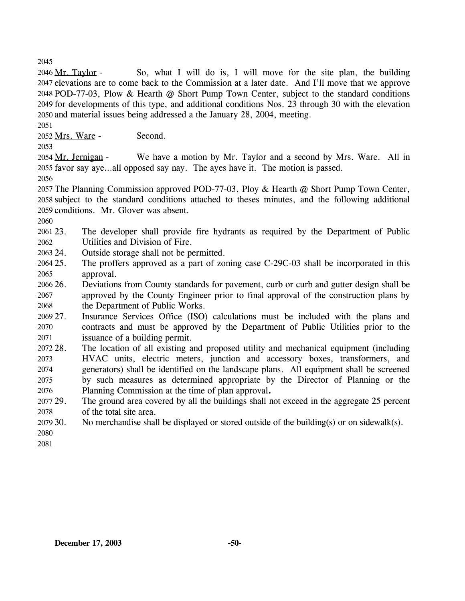2045

So, what I will do is, I will move for the site plan, the building 2047 elevations are to come back to the Commission at a later date. And I'll move that we approve 2048 POD-77-03, Plow & Hearth @ Short Pump Town Center, subject to the standard conditions 2049 for developments of this type, and additional conditions Nos. 23 through 30 with the elevation 2050 and material issues being addressed a the January 28, 2004, meeting. 2046 Mr. Taylor -

2051

2052 Mrs. Ware - Second.

2053

We have a motion by Mr. Taylor and a second by Mrs. Ware. All in 2055 favor say aye...all opposed say nay. The ayes have it. The motion is passed. 2054 Mr. Jernigan -

2056

2057 The Planning Commission approved POD-77-03, Ploy & Hearth @ Short Pump Town Center, 2058 subject to the standard conditions attached to theses minutes, and the following additional 2059 conditions. Mr. Glover was absent.

2060

- 2061 23. 2062 The developer shall provide fire hydrants as required by the Department of Public Utilities and Division of Fire.
- 2063 24 Outside storage shall not be permitted.
- 2064 25. 2065 The proffers approved as a part of zoning case C-29C-03 shall be incorporated in this approval.
- 2066 26. 2067 2068 26. Deviations from County standards for pavement, curb or curb and gutter design shall be approved by the County Engineer prior to final approval of the construction plans by the Department of Public Works.

2069 27. 2070 2071 Insurance Services Office (ISO) calculations must be included with the plans and contracts and must be approved by the Department of Public Utilities prior to the issuance of a building permit.

- 2072 28. 2073 2074 2075 2076 The location of all existing and proposed utility and mechanical equipment (including HVAC units, electric meters, junction and accessory boxes, transformers, and generators) shall be identified on the landscape plans. All equipment shall be screened by such measures as determined appropriate by the Director of Planning or the Planning Commission at the time of plan approval**.**
- 2077 29. 2078 The ground area covered by all the buildings shall not exceed in the aggregate 25 percent of the total site area.
- 2079 30. No merchandise shall be displayed or stored outside of the building(s) or on sidewalk(s).

2080 2081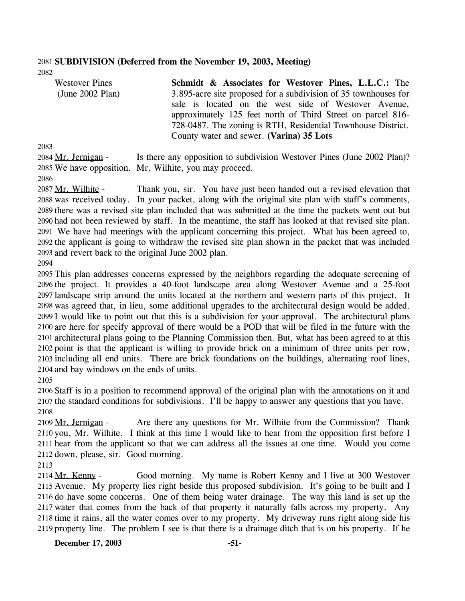#### 2081 **SUBDIVISION (Deferred from the November 19, 2003, Meeting)**  2082

| <b>Westover Pines</b> | <b>Schmidt &amp; Associates for Westover Pines, L.L.C.: The</b>                                                                                                                     |
|-----------------------|-------------------------------------------------------------------------------------------------------------------------------------------------------------------------------------|
| (June 2002 Plan)      | 3.895-acre site proposed for a subdivision of 35 townhouses for                                                                                                                     |
|                       | sale is located on the west side of Westover Avenue,<br>approximately 125 feet north of Third Street on parcel 816-<br>728-0487. The zoning is RTH, Residential Townhouse District. |
|                       | County water and sewer. (Varina) 35 Lots                                                                                                                                            |

2083

Is there any opposition to subdivision Westover Pines (June 2002 Plan)? 2085 We have opposition. Mr. Wilhite, you may proceed. 2084 Mr. Jernigan -

2086

Thank you, sir. You have just been handed out a revised elevation that 2088 was received today. In your packet, along with the original site plan with staff's comments, 2089 there was a revised site plan included that was submitted at the time the packets went out but 2090 had not been reviewed by staff. In the meantime, the staff has looked at that revised site plan. We have had meetings with the applicant concerning this project. What has been agreed to, 2091 2092 the applicant is going to withdraw the revised site plan shown in the packet that was included 2093 and revert back to the original June 2002 plan. 2087 Mr. Wilhite -

2094

 This plan addresses concerns expressed by the neighbors regarding the adequate screening of the project. It provides a 40-foot landscape area along Westover Avenue and a 25-foot landscape strip around the units located at the northern and western parts of this project. It was agreed that, in lieu, some additional upgrades to the architectural design would be added. I would like to point out that this is a subdivision for your approval. The architectural plans are here for specify approval of there would be a POD that will be filed in the future with the architectural plans going to the Planning Commission then. But, what has been agreed to at this point is that the applicant is willing to provide brick on a minimum of three units per row, including all end units. There are brick foundations on the buildings, alternating roof lines, and bay windows on the ends of units. 2105

2106 Staff is in a position to recommend approval of the original plan with the annotations on it and 2107 the standard conditions for subdivisions. I'll be happy to answer any questions that you have. 2108

Are there any questions for Mr. Wilhite from the Commission? Thank 2110 you, Mr. Wilhite. I think at this time I would like to hear from the opposition first before I 2111 hear from the applicant so that we can address all the issues at one time. Would you come 2112 down, please, sir. Good morning. 2109 Mr. Jernigan -

2113

Good morning. My name is Robert Kenny and I live at 300 Westover 2115 Avenue. My property lies right beside this proposed subdivision. It's going to be built and I 2116 do have some concerns. One of them being water drainage. The way this land is set up the 2117 water that comes from the back of that property it naturally falls across my property. Any 2118 time it rains, all the water comes over to my property. My driveway runs right along side his 2119 property line. The problem I see is that there is a drainage ditch that is on his property. If he 2114 Mr. Kenny -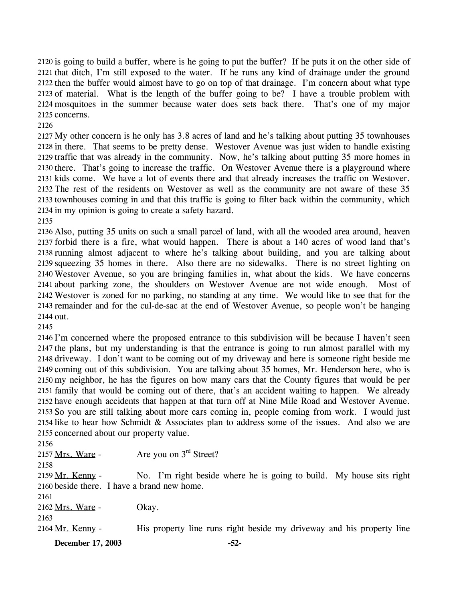2120 is going to build a buffer, where is he going to put the buffer? If he puts it on the other side of 2121 that ditch, I'm still exposed to the water. If he runs any kind of drainage under the ground 2122 then the buffer would almost have to go on top of that drainage. I'm concern about what type 2123 of material. What is the length of the buffer going to be? I have a trouble problem with 2124 mosquitoes in the summer because water does sets back there. That's one of my major 2125 concerns.

 My other concern is he only has 3.8 acres of land and he's talking about putting 35 townhouses in there. That seems to be pretty dense. Westover Avenue was just widen to handle existing traffic that was already in the community. Now, he's talking about putting 35 more homes in there. That's going to increase the traffic. On Westover Avenue there is a playground where kids come. We have a lot of events there and that already increases the traffic on Westover. The rest of the residents on Westover as well as the community are not aware of these 35 townhouses coming in and that this traffic is going to filter back within the community, which in my opinion is going to create a safety hazard.

 Also, putting 35 units on such a small parcel of land, with all the wooded area around, heaven forbid there is a fire, what would happen. There is about a 140 acres of wood land that's running almost adjacent to where he's talking about building, and you are talking about squeezing 35 homes in there. Also there are no sidewalks. There is no street lighting on Westover Avenue, so you are bringing families in, what about the kids. We have concerns about parking zone, the shoulders on Westover Avenue are not wide enough. Most of Westover is zoned for no parking, no standing at any time. We would like to see that for the remainder and for the cul-de-sac at the end of Westover Avenue, so people won't be hanging out.

 I'm concerned where the proposed entrance to this subdivision will be because I haven't seen the plans, but my understanding is that the entrance is going to run almost parallel with my driveway. I don't want to be coming out of my driveway and here is someone right beside me coming out of this subdivision. You are talking about 35 homes, Mr. Henderson here, who is my neighbor, he has the figures on how many cars that the County figures that would be per family that would be coming out of there, that's an accident waiting to happen. We already have enough accidents that happen at that turn off at Nine Mile Road and Westover Avenue. So you are still talking about more cars coming in, people coming from work. I would just like to hear how Schmidt & Associates plan to address some of the issues. And also we are concerned about our property value.

| 2156                                        |                                                                       |
|---------------------------------------------|-----------------------------------------------------------------------|
| 2157 Mrs. Ware -                            | Are you on $3rd$ Street?                                              |
| 2158                                        |                                                                       |
| 2159 Mr. Kenny -                            | No. I'm right beside where he is going to build. My house sits right  |
| 2160 beside there. I have a brand new home. |                                                                       |
| 2161                                        |                                                                       |
| 2162 Mrs. Ware -                            | Okay.                                                                 |
| 2163                                        |                                                                       |
| 2164 Mr. Kenny -                            | His property line runs right beside my driveway and his property line |
|                                             |                                                                       |

**December 17, 2003 -52-**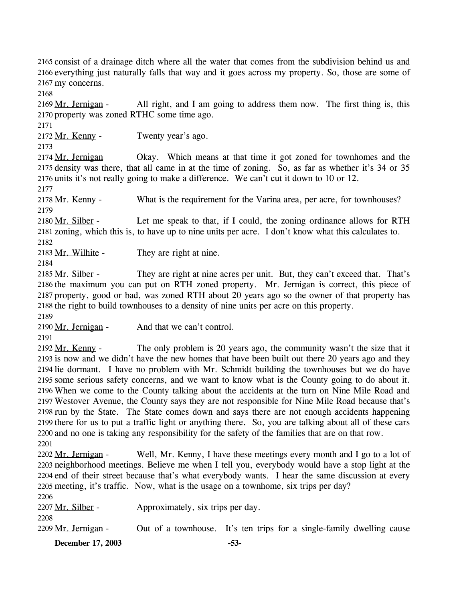2165 consist of a drainage ditch where all the water that comes from the subdivision behind us and 2166 everything just naturally falls that way and it goes across my property. So, those are some of 2167 my concerns.

2168

All right, and I am going to address them now. The first thing is, this 2170 property was zoned RTHC some time ago. 2169 Mr. Jernigan -

2171

2172 Mr. Kenny - Twenty year's ago.

2173

Okay. Which means at that time it got zoned for townhomes and the 2175 density was there, that all came in at the time of zoning. So, as far as whether it's 34 or 35 2176 units it's not really going to make a difference. We can't cut it down to 10 or 12. 2174 Mr. Jernigan

2177

2178 Mr. Kenny - What is the requirement for the Varina area, per acre, for townhouses? 2179

Let me speak to that, if I could, the zoning ordinance allows for RTH 2181 zoning, which this is, to have up to nine units per acre. I don't know what this calculates to. 2180 Mr. Silber -2182

2183 Mr. Wilhite - They are right at nine.

2184

They are right at nine acres per unit. But, they can't exceed that. That's 2186 the maximum you can put on RTH zoned property. Mr. Jernigan is correct, this piece of 2187 property, good or bad, was zoned RTH about 20 years ago so the owner of that property has 2188 the right to build townhouses to a density of nine units per acre on this property. 2185 Mr. Silber -

2189

2190 Mr. Jernigan - And that we can't control.

2191

The only problem is 20 years ago, the community wasn't the size that it 2193 is now and we didn't have the new homes that have been built out there 20 years ago and they 2194 lie dormant. I have no problem with Mr. Schmidt building the townhouses but we do have 2195 some serious safety concerns, and we want to know what is the County going to do about it. 2196 When we come to the County talking about the accidents at the turn on Nine Mile Road and Westover Avenue, the County says they are not responsible for Nine Mile Road because that's 2197 2198 run by the State. The State comes down and says there are not enough accidents happening 2199 there for us to put a traffic light or anything there. So, you are talking about all of these cars 2200 and no one is taking any responsibility for the safety of the families that are on that row. 2192 Mr. Kenny -2201

Well, Mr. Kenny, I have these meetings every month and I go to a lot of 2203 neighborhood meetings. Believe me when I tell you, everybody would have a stop light at the 2204 end of their street because that's what everybody wants. I hear the same discussion at every 2205 meeting, it's traffic. Now, what is the usage on a townhome, six trips per day? 2202 Mr. Jernigan - $2206$ 

| <b>December 17, 2003</b> |                                   | $-53-$                                                                |  |
|--------------------------|-----------------------------------|-----------------------------------------------------------------------|--|
| 2209 Mr. Jernigan -      |                                   | Out of a townhouse. It's ten trips for a single-family dwelling cause |  |
| 2208                     |                                   |                                                                       |  |
| 2207 Mr. Silber -        | Approximately, six trips per day. |                                                                       |  |
| 22W)                     |                                   |                                                                       |  |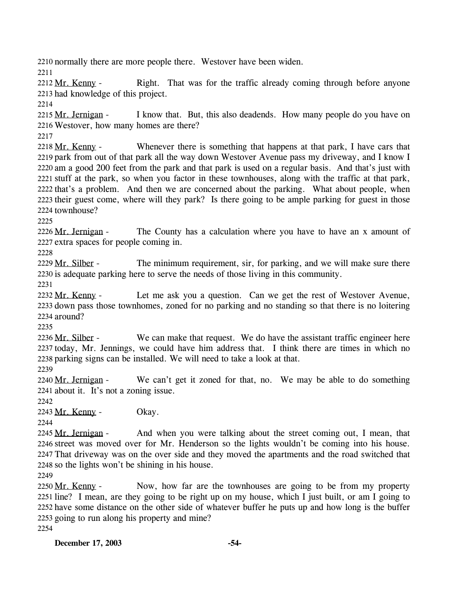2210 normally there are more people there. Westover have been widen.

2211

Right. That was for the traffic already coming through before anyone 2213 had knowledge of this project. 2212 Mr. Kenny -

2214

I know that. But, this also deadends. How many people do you have on Westover, how many homes are there? 2216 2215 Mr. Jernigan -

2217

Whenever there is something that happens at that park, I have cars that 2219 park from out of that park all the way down Westover Avenue pass my driveway, and I know I 2220 am a good 200 feet from the park and that park is used on a regular basis. And that's just with 2221 stuff at the park, so when you factor in these townhouses, along with the traffic at that park, 2222 that's a problem. And then we are concerned about the parking. What about people, when 2223 their guest come, where will they park? Is there going to be ample parking for guest in those 2224 townhouse? 2218 Mr. Kenny -

2225

The County has a calculation where you have to have an x amount of 2227 extra spaces for people coming in. 2226 Mr. Jernigan -

2228

The minimum requirement, sir, for parking, and we will make sure there 2230 is adequate parking here to serve the needs of those living in this community. 2229 Mr. Silber -

2231

Let me ask you a question. Can we get the rest of Westover Avenue, 2233 down pass those townhomes, zoned for no parking and no standing so that there is no loitering 2234 around? 2232 Mr. Kenny -

2235

We can make that request. We do have the assistant traffic engineer here 2237 today, Mr. Jennings, we could have him address that. I think there are times in which no 2238 parking signs can be installed. We will need to take a look at that. 2236 Mr. Silber -

2239

We can't get it zoned for that, no. We may be able to do something 2241 about it. It's not a zoning issue. 2240 Mr. Jernigan -

2242

2243 Mr. Kenny - Okay.

2244

And when you were talking about the street coming out, I mean, that 2246 street was moved over for Mr. Henderson so the lights wouldn't be coming into his house. 2247 That driveway was on the over side and they moved the apartments and the road switched that 2248 so the lights won't be shining in his house. 2245 Mr. Jernigan -

2249

Now, how far are the townhouses are going to be from my property 2251 line? I mean, are they going to be right up on my house, which I just built, or am I going to 2252 have some distance on the other side of whatever buffer he puts up and how long is the buffer 2253 going to run along his property and mine? 2250 Mr. Kenny -2254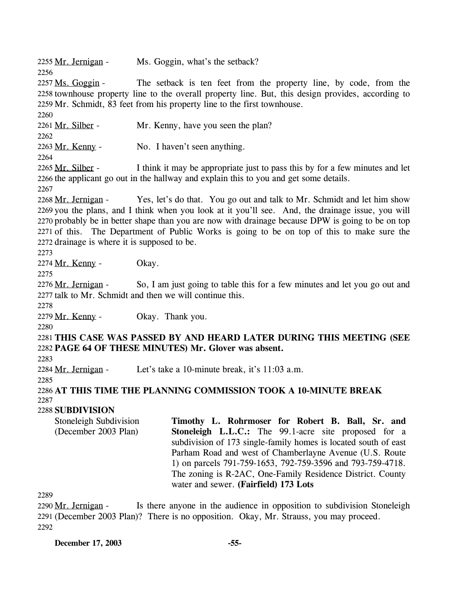2255 Mr. Jernigan - Ms. Goggin, what's the setback? 2256

The setback is ten feet from the property line, by code, from the 2258 townhouse property line to the overall property line. But, this design provides, according to 2259 Mr. Schmidt, 83 feet from his property line to the first townhouse. 2257 Ms. Goggin -

2261 Mr. Silber - Mr. Kenny, have you seen the plan?

2262

2260

2263 Mr. Kenny - No. I haven't seen anything.

2264

I think it may be appropriate just to pass this by for a few minutes and let 2266 the applicant go out in the hallway and explain this to you and get some details. 2265 Mr. Silber -

2267

Yes, let's do that. You go out and talk to Mr. Schmidt and let him show 2269 you the plans, and I think when you look at it you'll see. And, the drainage issue, you will 2270 probably be in better shape than you are now with drainage because DPW is going to be on top 2271 of this. The Department of Public Works is going to be on top of this to make sure the 2272 drainage is where it is supposed to be. 2268 Mr. Jernigan -

2273

2274 Mr. Kenny - Okay.

2275

So, I am just going to table this for a few minutes and let you go out and 2277 talk to Mr. Schmidt and then we will continue this. 2276 Mr. Jernigan -

2278

2279 Mr. Kenny - Okay. Thank you.

2280

2281 **THIS CASE WAS PASSED BY AND HEARD LATER DURING THIS MEETING (SEE**  2282 **PAGE 64 OF THESE MINUTES) Mr. Glover was absent.** 

2283

2284 Mr. Jernigan - Let's take a 10-minute break, it's 11:03 a.m.

2285

2286 **AT THIS TIME THE PLANNING COMMISSION TOOK A 10-MINUTE BREAK**  2287

# 2288 **SUBDIVISION**

Stoneleigh Subdivision (December 2003 Plan) **Timothy L. Rohrmoser for Robert B. Ball, Sr. and Stoneleigh L.L.C.:** The 99.1-acre site proposed for a subdivision of 173 single-family homes is located south of east Parham Road and west of Chamberlayne Avenue (U.S. Route 1) on parcels 791-759-1653, 792-759-3596 and 793-759-4718. The zoning is R-2AC, One-Family Residence District. County water and sewer. **(Fairfield) 173 Lots** 

2289

Is there anyone in the audience in opposition to subdivision Stoneleigh 2291 (December 2003 Plan)? There is no opposition. Okay, Mr. Strauss, you may proceed. 2290 Mr. Jernigan -2292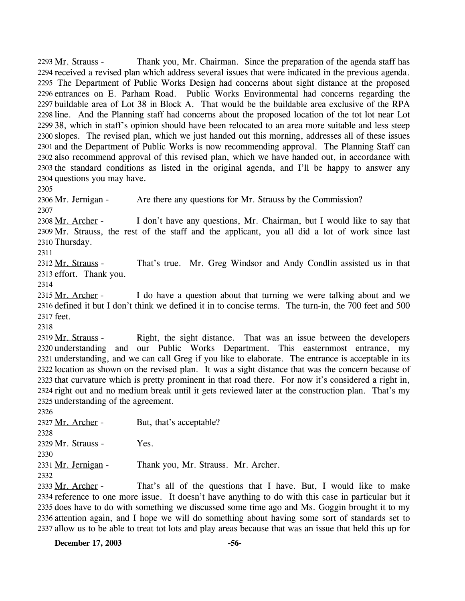Thank you, Mr. Chairman. Since the preparation of the agenda staff has 2294 received a revised plan which address several issues that were indicated in the previous agenda. 2295 The Department of Public Works Design had concerns about sight distance at the proposed 2296 entrances on E. Parham Road. Public Works Environmental had concerns regarding the 2297 buildable area of Lot 38 in Block A. That would be the buildable area exclusive of the RPA 2298 line. And the Planning staff had concerns about the proposed location of the tot lot near Lot 2299 38, which in staff's opinion should have been relocated to an area more suitable and less steep 2300 slopes. The revised plan, which we just handed out this morning, addresses all of these issues 2301 and the Department of Public Works is now recommending approval. The Planning Staff can 2302 also recommend approval of this revised plan, which we have handed out, in accordance with 2303 the standard conditions as listed in the original agenda, and I'll be happy to answer any 2304 questions you may have. 2293 Mr. Strauss -

2305

2306 Mr. Jernigan - Are there any questions for Mr. Strauss by the Commission? 2307

I don't have any questions, Mr. Chairman, but I would like to say that 2309 Mr. Strauss, the rest of the staff and the applicant, you all did a lot of work since last 2310 Thursday. 2308 Mr. Archer -

2311

That's true. Mr. Greg Windsor and Andy Condlin assisted us in that 2313 effort. Thank you. 2312 Mr. Strauss -

2314

I do have a question about that turning we were talking about and we 2316 defined it but I don't think we defined it in to concise terms. The turn-in, the 700 feet and 500 2317 feet. 2315 Mr. Archer -

2318

Right, the sight distance. That was an issue between the developers 2320 understanding and our Public Works Department. This easternmost entrance, my 2321 understanding, and we can call Greg if you like to elaborate. The entrance is acceptable in its 2322 location as shown on the revised plan. It was a sight distance that was the concern because of 2323 that curvature which is pretty prominent in that road there. For now it's considered a right in, 2324 right out and no medium break until it gets reviewed later at the construction plan. That's my 2325 understanding of the agreement. 2319 Mr. Strauss -

2326

2327 Mr. Archer - But, that's acceptable? 2328 2329 Mr. Strauss - Yes. 2330 2331 Mr. Jernigan - Thank you, Mr. Strauss. Mr. Archer. 2332

That's all of the questions that I have. But, I would like to make 2334 reference to one more issue. It doesn't have anything to do with this case in particular but it 2335 does have to do with something we discussed some time ago and Ms. Goggin brought it to my 2336 attention again, and I hope we will do something about having some sort of standards set to 2337 allow us to be able to treat tot lots and play areas because that was an issue that held this up for 2333 Mr. Archer -

**December 17, 2003 -56-**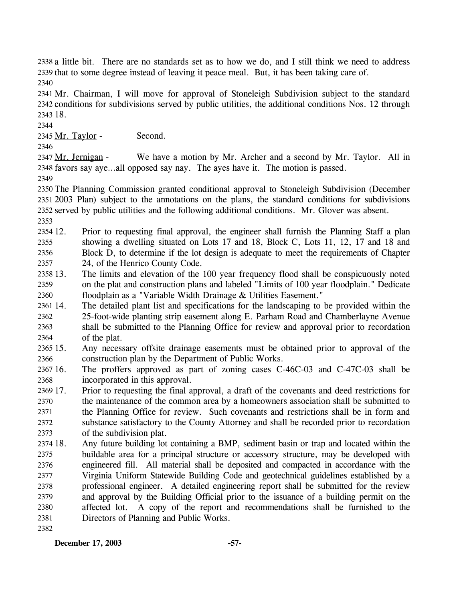2338 a little bit. There are no standards set as to how we do, and I still think we need to address 2339 that to some degree instead of leaving it peace meal. But, it has been taking care of. 2340

2341 Mr. Chairman, I will move for approval of Stoneleigh Subdivision subject to the standard 2342 conditions for subdivisions served by public utilities, the additional conditions Nos. 12 through 2343 18.

2344

2345 Mr. Taylor - Second.

2346

We have a motion by Mr. Archer and a second by Mr. Taylor. All in 2348 favors say aye...all opposed say nay. The ayes have it. The motion is passed. 2347 Mr. Jernigan -

2349

 The Planning Commission granted conditional approval to Stoneleigh Subdivision (December 2003 Plan) subject to the annotations on the plans, the standard conditions for subdivisions served by public utilities and the following additional conditions. Mr. Glover was absent. 2353

2354 12. 2355 2356 2357 12. Prior to requesting final approval, the engineer shall furnish the Planning Staff a plan showing a dwelling situated on Lots 17 and 18, Block C, Lots 11, 12, 17 and 18 and Block D, to determine if the lot design is adequate to meet the requirements of Chapter 24, of the Henrico County Code.

2358 13. 2359 2360 The limits and elevation of the 100 year frequency flood shall be conspicuously noted on the plat and construction plans and labeled "Limits of 100 year floodplain." Dedicate floodplain as a "Variable Width Drainage & Utilities Easement."

2361 14. 2362 2363 2364 The detailed plant list and specifications for the landscaping to be provided within the 25-foot-wide planting strip easement along E. Parham Road and Chamberlayne Avenue shall be submitted to the Planning Office for review and approval prior to recordation of the plat.

 $2365$  15. 2366 15. Any necessary offsite drainage easements must be obtained prior to approval of the construction plan by the Department of Public Works.

2367 16. 2368 The proffers approved as part of zoning cases C-46C-03 and C-47C-03 shall be incorporated in this approval.

2369 17. 2370 2371 2372 2373 17. Prior to requesting the final approval, a draft of the covenants and deed restrictions for the maintenance of the common area by a homeowners association shall be submitted to the Planning Office for review. Such covenants and restrictions shall be in form and substance satisfactory to the County Attorney and shall be recorded prior to recordation of the subdivision plat.

2374 18. 2375 2376 2377 2378 2379 2380 2381 2382 18. Any future building lot containing a BMP, sediment basin or trap and located within the buildable area for a principal structure or accessory structure, may be developed with engineered fill. All material shall be deposited and compacted in accordance with the Virginia Uniform Statewide Building Code and geotechnical guidelines established by a professional engineer. A detailed engineering report shall be submitted for the review and approval by the Building Official prior to the issuance of a building permit on the affected lot. A copy of the report and recommendations shall be furnished to the Directors of Planning and Public Works.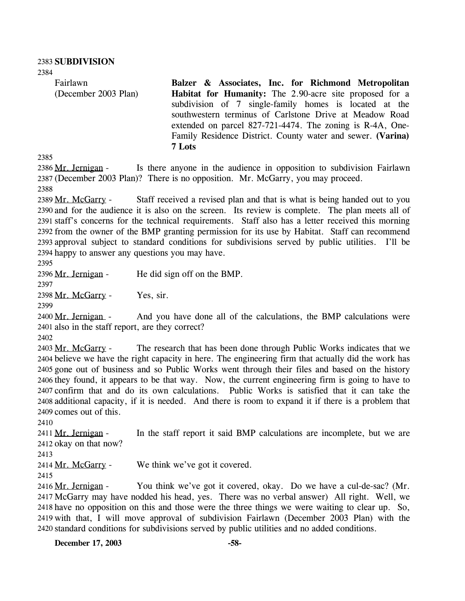2384

Fairlawn (December 2003 Plan) **Balzer & Associates, Inc. for Richmond Metropolitan Habitat for Humanity:** The 2.90-acre site proposed for a subdivision of 7 single-family homes is located at the southwestern terminus of Carlstone Drive at Meadow Road extended on parcel 827-721-4474. The zoning is R-4A, One-Family Residence District. County water and sewer. **(Varina) 7 Lots** 

2385

Is there anyone in the audience in opposition to subdivision Fairlawn 2387 (December 2003 Plan)? There is no opposition. Mr. McGarry, you may proceed. 2386 Mr. Jernigan -2388

Staff received a revised plan and that is what is being handed out to you 2390 and for the audience it is also on the screen. Its review is complete. The plan meets all of 2391 staff's concerns for the technical requirements. Staff also has a letter received this morning 2392 from the owner of the BMP granting permission for its use by Habitat. Staff can recommend 2393 approval subject to standard conditions for subdivisions served by public utilities. I'll be 2394 happy to answer any questions you may have. 2389 Mr. McGarry -

2395

2396 Mr. Jernigan - He did sign off on the BMP.

2397

2398 Mr. McGarry - Yes, sir.

2399

And you have done all of the calculations, the BMP calculations were 2401 also in the staff report, are they correct? 2400 Mr. Jernigan -

2402

The research that has been done through Public Works indicates that we 2404 believe we have the right capacity in here. The engineering firm that actually did the work has 2405 gone out of business and so Public Works went through their files and based on the history 2406 they found, it appears to be that way. Now, the current engineering firm is going to have to 2407 confirm that and do its own calculations. Public Works is satisfied that it can take the 2408 additional capacity, if it is needed. And there is room to expand it if there is a problem that 2409 comes out of this. 2403 Mr. McGarry -

2410

In the staff report it said BMP calculations are incomplete, but we are 2412 okay on that now? 2411 Mr. Jernigan -

2413

2414 Mr. McGarry - We think we've got it covered.

2415

You think we've got it covered, okay. Do we have a cul-de-sac? (Mr. 2417 McGarry may have nodded his head, yes. There was no verbal answer) All right. Well, we 2418 have no opposition on this and those were the three things we were waiting to clear up. So, 2419 with that, I will move approval of subdivision Fairlawn (December 2003 Plan) with the 2420 standard conditions for subdivisions served by public utilities and no added conditions. 2416 Mr. Jernigan -

**December 17, 2003 -58-**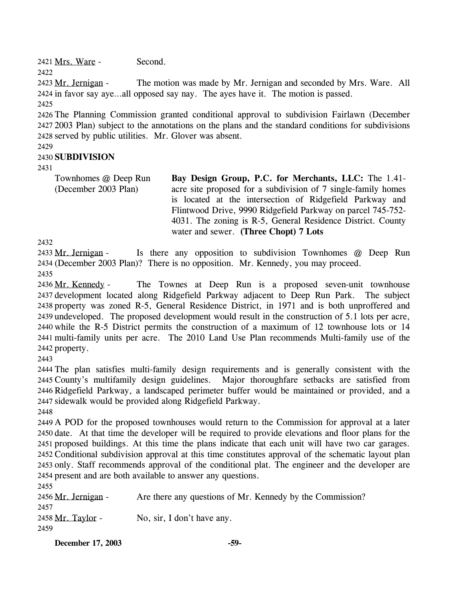2421 Mrs. Ware - Second.

2422

The motion was made by Mr. Jernigan and seconded by Mrs. Ware. All 2424 in favor say aye…all opposed say nay. The ayes have it. The motion is passed. 2423 Mr. Jernigan -

2425

2426 The Planning Commission granted conditional approval to subdivision Fairlawn (December 2427 2003 Plan) subject to the annotations on the plans and the standard conditions for subdivisions 2428 served by public utilities. Mr. Glover was absent.

2429

### 2430 **SUBDIVISION**

2431

Townhomes @ Deep Run (December 2003 Plan) **Bay Design Group, P.C. for Merchants, LLC:** The 1.41 acre site proposed for a subdivision of 7 single-family homes is located at the intersection of Ridgefield Parkway and Flintwood Drive, 9990 Ridgefield Parkway on parcel 745-752- 4031. The zoning is R-5, General Residence District. County water and sewer. **(Three Chopt) 7 Lots** 

2432

Is there any opposition to subdivision Townhomes  $\omega$  Deep Run (December 2003 Plan)? There is no opposition. Mr. Kennedy, you may proceed. 2434 2433 Mr. Jernigan -2435

The Townes at Deep Run is a proposed seven-unit townhouse 2437 development located along Ridgefield Parkway adjacent to Deep Run Park. The subject 2438 property was zoned R-5, General Residence District, in 1971 and is both unproffered and 2439 undeveloped. The proposed development would result in the construction of 5.1 lots per acre, 2440 while the R-5 District permits the construction of a maximum of 12 townhouse lots or 14 multi-family units per acre. The 2010 Land Use Plan recommends Multi-family use of the 2441 2442 property. 2436 Mr. Kennedy -

2443

 The plan satisfies multi-family design requirements and is generally consistent with the County's multifamily design guidelines. Major thoroughfare setbacks are satisfied from Ridgefield Parkway, a landscaped perimeter buffer would be maintained or provided, and a sidewalk would be provided along Ridgefield Parkway.

2448

 A POD for the proposed townhouses would return to the Commission for approval at a later date. At that time the developer will be required to provide elevations and floor plans for the proposed buildings. At this time the plans indicate that each unit will have two car garages. Conditional subdivision approval at this time constitutes approval of the schematic layout plan only. Staff recommends approval of the conditional plat. The engineer and the developer are present and are both available to answer any questions.

2455 2456 Mr. Jernigan - Are there any questions of Mr. Kennedy by the Commission? 2457

2458 Mr. Taylor - No, sir, I don't have any. 2459

**December 17, 2003 -59-**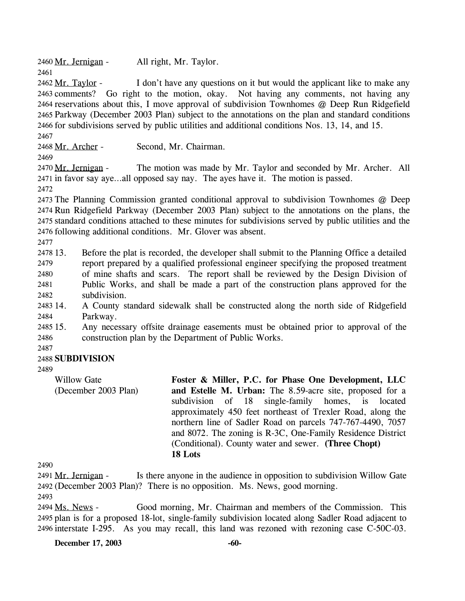2460 Mr. Jernigan - All right, Mr. Taylor.

2461

I don't have any questions on it but would the applicant like to make any 2463 comments? Go right to the motion, okay. Not having any comments, not having any 2464 reservations about this, I move approval of subdivision Townhomes @ Deep Run Ridgefield 2465 Parkway (December 2003 Plan) subject to the annotations on the plan and standard conditions 2466 for subdivisions served by public utilities and additional conditions Nos. 13, 14, and 15. 2462 Mr. Taylor -

2467

2468 Mr. Archer - Second, Mr. Chairman.

2469

The motion was made by Mr. Taylor and seconded by Mr. Archer. All 2471 in favor say aye…all opposed say nay. The ayes have it. The motion is passed. 2470 Mr. Jernigan -

2472

 The Planning Commission granted conditional approval to subdivision Townhomes @ Deep Run Ridgefield Parkway (December 2003 Plan) subject to the annotations on the plans, the standard conditions attached to these minutes for subdivisions served by public utilities and the following additional conditions. Mr. Glover was absent.

2477

2478 13 2479 2480 2481 2482 13. Before the plat is recorded, the developer shall submit to the Planning Office a detailed report prepared by a qualified professional engineer specifying the proposed treatment of mine shafts and scars. The report shall be reviewed by the Design Division of Public Works, and shall be made a part of the construction plans approved for the subdivision.

2483 14. 2484 14. A County standard sidewalk shall be constructed along the north side of Ridgefield Parkway.

2485 15. 2486 15. Any necessary offsite drainage easements must be obtained prior to approval of the construction plan by the Department of Public Works.

2487

## 2488 **SUBDIVISION**

2489

Willow Gate (December 2003 Plan) **Foster & Miller, P.C. for Phase One Development, LLC and Estelle M. Urban:** The 8.59-acre site, proposed for a subdivision of 18 single-family homes, is located approximately 450 feet northeast of Trexler Road, along the northern line of Sadler Road on parcels 747-767-4490, 7057 and 8072. The zoning is R-3C, One-Family Residence District (Conditional). County water and sewer. **(Three Chopt) 18 Lots** 

2490

Is there anyone in the audience in opposition to subdivision Willow Gate (December 2003 Plan)? There is no opposition. Ms. News, good morning. 2492 2491 Mr. Jernigan -

2493

Good morning, Mr. Chairman and members of the Commission. This 2495 plan is for a proposed 18-lot, single-family subdivision located along Sadler Road adjacent to 2496 interstate I-295. As you may recall, this land was rezoned with rezoning case  $C$ -50 $C$ -03. 2494 Ms. News -

**December 17, 2003 -60-**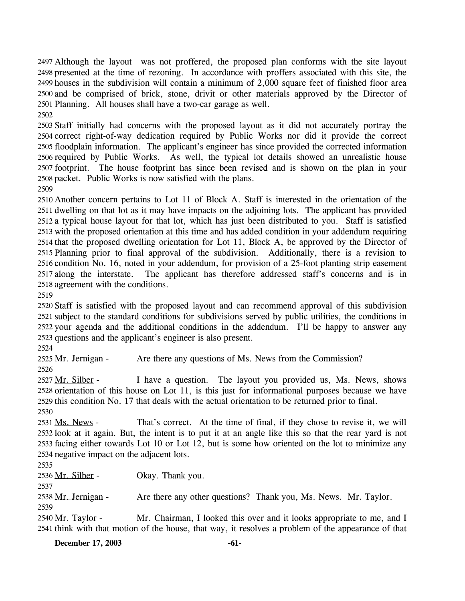Although the layout was not proffered, the proposed plan conforms with the site layout 2497 2498 presented at the time of rezoning. In accordance with proffers associated with this site, the 2499 houses in the subdivision will contain a minimum of 2,000 square feet of finished floor area 2500 and be comprised of brick, stone, drivit or other materials approved by the Director of 2501 Planning. All houses shall have a two-car garage as well.

2502

 Staff initially had concerns with the proposed layout as it did not accurately portray the correct right-of-way dedication required by Public Works nor did it provide the correct floodplain information. The applicant's engineer has since provided the corrected information required by Public Works. As well, the typical lot details showed an unrealistic house footprint. The house footprint has since been revised and is shown on the plan in your packet. Public Works is now satisfied with the plans.

2509

 Another concern pertains to Lot 11 of Block A. Staff is interested in the orientation of the dwelling on that lot as it may have impacts on the adjoining lots. The applicant has provided a typical house layout for that lot, which has just been distributed to you. Staff is satisfied with the proposed orientation at this time and has added condition in your addendum requiring that the proposed dwelling orientation for Lot 11, Block A, be approved by the Director of Planning prior to final approval of the subdivision. Additionally, there is a revision to condition No. 16, noted in your addendum, for provision of a 25-foot planting strip easement 2517 along the interstate. agreement with the conditions. The applicant has therefore addressed staff's concerns and is in

2519

 Staff is satisfied with the proposed layout and can recommend approval of this subdivision subject to the standard conditions for subdivisions served by public utilities, the conditions in your agenda and the additional conditions in the addendum. I'll be happy to answer any questions and the applicant's engineer is also present.

2524

2525 Mr. Jernigan - Are there any questions of Ms. News from the Commission? 2526

I have a question. The layout you provided us, Ms. News, shows 2528 orientation of this house on Lot 11, is this just for informational purposes because we have 2529 this condition No. 17 that deals with the actual orientation to be returned prior to final. 2527 Mr. Silber -

2530

That's correct. At the time of final, if they chose to revise it, we will 2532 look at it again. But, the intent is to put it at an angle like this so that the rear yard is not 2533 facing either towards Lot 10 or Lot 12, but is some how oriented on the lot to minimize any 2534 negative impact on the adjacent lots. 2531 Ms. News -

2535

2536 Mr. Silber - Okay. Thank you.

2537

2538 Mr. Jernigan - Are there any other questions? Thank you, Ms. News. Mr. Taylor. 2539

Mr. Chairman, I looked this over and it looks appropriate to me, and I 2541 think with that motion of the house, that way, it resolves a problem of the appearance of that 2540 Mr. Taylor -

**December 17, 2003 -61-**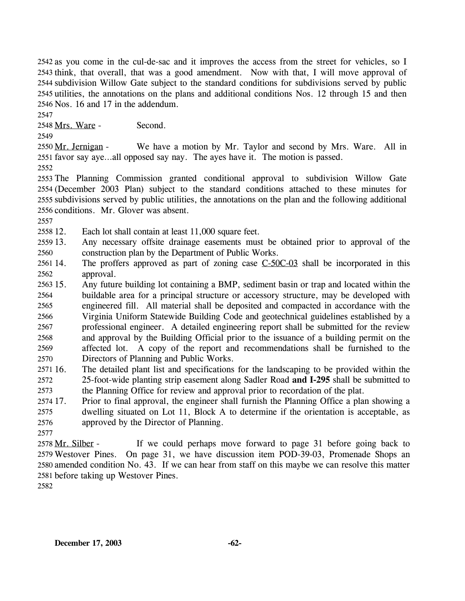2542 as you come in the cul-de-sac and it improves the access from the street for vehicles, so I 2543 think, that overall, that was a good amendment. Now with that, I will move approval of 2544 subdivision Willow Gate subject to the standard conditions for subdivisions served by public 2545 utilities, the annotations on the plans and additional conditions Nos. 12 through 15 and then 2546 Nos. 16 and 17 in the addendum.

2547

2548 Mrs. Ware - Second.

2549

We have a motion by Mr. Taylor and second by Mrs. Ware. All in 2551 favor say aye...all opposed say nay. The ayes have it. The motion is passed. 2550 Mr. Jernigan -

2552

 The Planning Commission granted conditional approval to subdivision Willow Gate (December 2003 Plan) subject to the standard conditions attached to these minutes for subdivisions served by public utilities, the annotations on the plan and the following additional conditions. Mr. Glover was absent.

2557

2558 12. Each lot shall contain at least 11,000 square feet.

2559 13. 2560 Any necessary offsite drainage easements must be obtained prior to approval of the construction plan by the Department of Public Works.

The proffers approved as part of zoning case  $C$ -50 $C$ -03 shall be incorporated in this approval. 2561 14. 2562

2563 15. 2564 2565 2566 2567 2568 2569 2570 15. Any future building lot containing a BMP, sediment basin or trap and located within the buildable area for a principal structure or accessory structure, may be developed with engineered fill. All material shall be deposited and compacted in accordance with the Virginia Uniform Statewide Building Code and geotechnical guidelines established by a professional engineer. A detailed engineering report shall be submitted for the review and approval by the Building Official prior to the issuance of a building permit on the affected lot. A copy of the report and recommendations shall be furnished to the Directors of Planning and Public Works.

2571 16. 2572 2573 16. The detailed plant list and specifications for the landscaping to be provided within the 25-foot-wide planting strip easement along Sadler Road **and I-295** shall be submitted to the Planning Office for review and approval prior to recordation of the plat.

2574 17. 2575 2576 17. Prior to final approval, the engineer shall furnish the Planning Office a plan showing a dwelling situated on Lot 11, Block A to determine if the orientation is acceptable, as approved by the Director of Planning.

2577

If we could perhaps move forward to page 31 before going back to 2579 Westover Pines. On page 31, we have discussion item POD-39-03, Promenade Shops an 2580 amended condition No. 43. If we can hear from staff on this maybe we can resolve this matter 2581 before taking up Westover Pines. 2578 Mr. Silber -

2582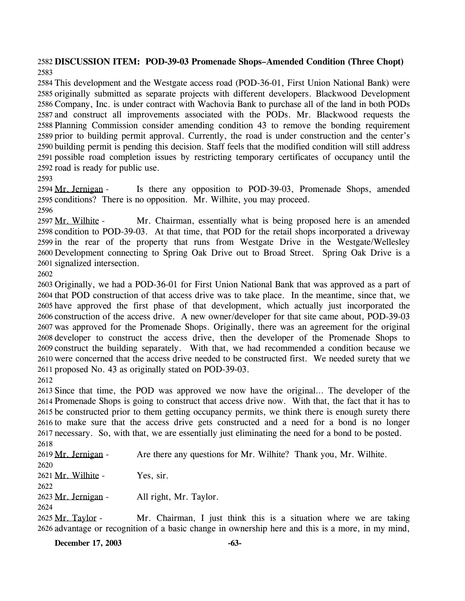### **DISCUSSION ITEM: POD-39-03 Promenade Shops–Amended Condition (Three Chopt)**

 This development and the Westgate access road (POD-36-01, First Union National Bank) were originally submitted as separate projects with different developers. Blackwood Development Company, Inc. is under contract with Wachovia Bank to purchase all of the land in both PODs and construct all improvements associated with the PODs. Mr. Blackwood requests the Planning Commission consider amending condition 43 to remove the bonding requirement prior to building permit approval. Currently, the road is under construction and the center's building permit is pending this decision. Staff feels that the modified condition will still address possible road completion issues by restricting temporary certificates of occupancy until the road is ready for public use.

Is there any opposition to POD-39-03, Promenade Shops, amended 2595 conditions? There is no opposition. Mr. Wilhite, you may proceed. 2594 Mr. Jernigan -

Mr. Chairman, essentially what is being proposed here is an amended 2598 condition to POD-39-03. At that time, that POD for the retail shops incorporated a driveway 2599 in the rear of the property that runs from Westgate Drive in the Westgate/Wellesley 2600 Development connecting to Spring Oak Drive out to Broad Street. Spring Oak Drive is a 2601 signalized intersection. 2597 Mr. Wilhite -

 Originally, we had a POD-36-01 for First Union National Bank that was approved as a part of that POD construction of that access drive was to take place. In the meantime, since that, we have approved the first phase of that development, which actually just incorporated the construction of the access drive. A new owner/developer for that site came about, POD-39-03 was approved for the Promenade Shops. Originally, there was an agreement for the original developer to construct the access drive, then the developer of the Promenade Shops to construct the building separately. With that, we had recommended a condition because we were concerned that the access drive needed to be constructed first. We needed surety that we proposed No. 43 as originally stated on POD-39-03. 

 Since that time, the POD was approved we now have the original… The developer of the Promenade Shops is going to construct that access drive now. With that, the fact that it has to be constructed prior to them getting occupancy permits, we think there is enough surety there to make sure that the access drive gets constructed and a need for a bond is no longer necessary. So, with that, we are essentially just eliminating the need for a bond to be posted. 

2619 Mr. Jernigan - Are there any questions for Mr. Wilhite? Thank you, Mr. Wilhite. 2621 Mr. Wilhite - Yes, sir. 2623 Mr. Jernigan - All right, Mr. Taylor. Mr. Chairman, I just think this is a situation where we are taking 2625 Mr. Taylor -

2626 advantage or recognition of a basic change in ownership here and this is a more, in my mind,

**December 17, 2003 -63-**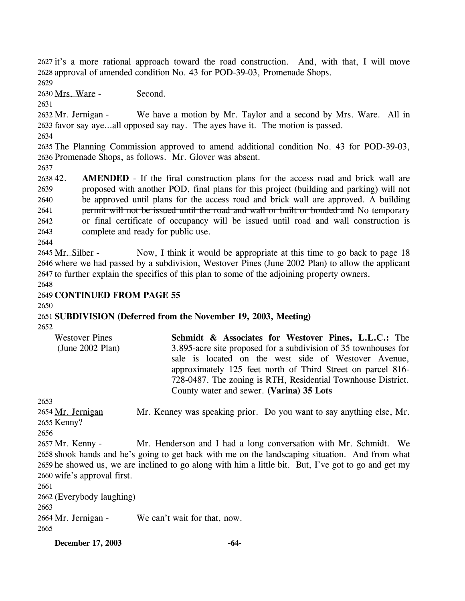2627 it's a more rational approach toward the road construction. And, with that, I will move 2628 approval of amended condition No. 43 for POD-39-03, Promenade Shops.

2629

2630 Mrs. Ware - Second.

2631

We have a motion by Mr. Taylor and a second by Mrs. Ware. All in 2633 favor say aye...all opposed say nay. The ayes have it. The motion is passed. 2632 Mr. Jernigan -

2634

2635 The Planning Commission approved to amend additional condition No. 43 for POD-39-03, 2636 Promenade Shops, as follows. Mr. Glover was absent.

2637

263842. 2639 **AMENDED** - If the final construction plans for the access road and brick wall are proposed with another POD, final plans for this project (building and parking) will not be approved until plans for the access road and brick wall are approved. A building permit will not be issued until the road and wall or built or bonded and No temporary or final certificate of occupancy will be issued until road and wall construction is complete and ready for public use. 2640 2641 2642 2643

2644

Now, I think it would be appropriate at this time to go back to page 18 2646 where we had passed by a subdivision, Westover Pines (June 2002 Plan) to allow the applicant 2647 to further explain the specifics of this plan to some of the adjoining property owners. 2645 Mr. Silber -

2648

# 2649 **CONTINUED FROM PAGE 55**

2650

2651 **SUBDIVISION (Deferred from the November 19, 2003, Meeting)**  2652

| <b>Westover Pines</b><br>(June $2002$ Plan) | Schmidt & Associates for Westover Pines, L.L.C.: The<br>3.895-acre site proposed for a subdivision of 35 townhouses for<br>sale is located on the west side of Westover Avenue,<br>approximately 125 feet north of Third Street on parcel 816-<br>728-0487. The zoning is RTH, Residential Townhouse District. |
|---------------------------------------------|----------------------------------------------------------------------------------------------------------------------------------------------------------------------------------------------------------------------------------------------------------------------------------------------------------------|
|                                             | County water and sewer. (Varina) 35 Lots                                                                                                                                                                                                                                                                       |

2653

Mr. Kenney was speaking prior. Do you want to say anything else, Mr. 2655 Kenny? 2654 Mr. Jernigan

2656

Mr. Henderson and I had a long conversation with Mr. Schmidt. We 2658 shook hands and he's going to get back with me on the landscaping situation. And from what 2659 he showed us, we are inclined to go along with him a little bit. But, I've got to go and get my 2660 wife's approval first. 2657 Mr. Kenny -

2661 2662 (Everybody laughing) 2663 2664 Mr. Jernigan - We can't wait for that, now.

2665

**December 17, 2003 -64-**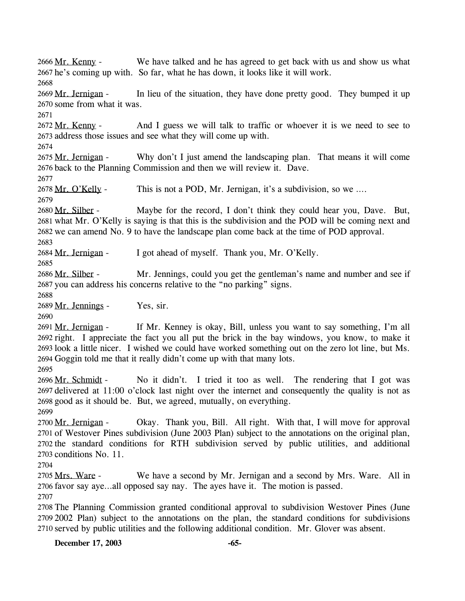We have talked and he has agreed to get back with us and show us what 2667 he's coming up with. So far, what he has down, it looks like it will work. 2666 Mr. Kenny -2668 In lieu of the situation, they have done pretty good. They bumped it up 2670 some from what it was. 2669 Mr. Jernigan -2671 And I guess we will talk to traffic or whoever it is we need to see to 2673 address those issues and see what they will come up with. 2672 Mr. Kenny -2674 Why don't I just amend the landscaping plan. That means it will come 2676 back to the Planning Commission and then we will review it. Dave. 2675 Mr. Jernigan -2677 2678 Mr. O'Kelly - This is not a POD, Mr. Jernigan, it's a subdivision, so we …. 2679 Maybe for the record, I don't think they could hear you, Dave. But, 2681 what Mr. O'Kelly is saying is that this is the subdivision and the POD will be coming next and 2682 we can amend No. 9 to have the landscape plan come back at the time of POD approval. 2680 Mr. Silber -2683 2684 Mr. Jernigan - I got ahead of myself. Thank you, Mr. O'Kelly. 2685 Mr. Jennings, could you get the gentleman's name and number and see if 2687 you can address his concerns relative to the "no parking" signs. 2686 Mr. Silber -2688 2689 Mr. Jennings - Yes, sir. 2690 If Mr. Kenney is okay, Bill, unless you want to say something, I'm all 2692 right. I appreciate the fact you all put the brick in the bay windows, you know, to make it 2693 look a little nicer. I wished we could have worked something out on the zero lot line, but Ms. 2694 Goggin told me that it really didn't come up with that many lots. 2691 Mr. Jernigan -2695 No it didn't. I tried it too as well. The rendering that I got was 2697 delivered at 11:00 o'clock last night over the internet and consequently the quality is not as 2698 good as it should be. But, we agreed, mutually, on everything. 2696 Mr. Schmidt -2699 Okay. Thank you, Bill. All right. With that, I will move for approval 2701 of Westover Pines subdivision (June 2003 Plan) subject to the annotations on the original plan, 2702 the standard conditions for RTH subdivision served by public utilities, and additional 2703 conditions No. 11. 2700 Mr. Jernigan -2704 We have a second by Mr. Jernigan and a second by Mrs. Ware. All in 2706 favor say aye...all opposed say nay. The ayes have it. The motion is passed. 2705 Mrs. Ware -2707 2708 The Planning Commission granted conditional approval to subdivision Westover Pines (June 2709 2002 Plan) subject to the annotations on the plan, the standard conditions for subdivisions 2710 served by public utilities and the following additional condition. Mr. Glover was absent.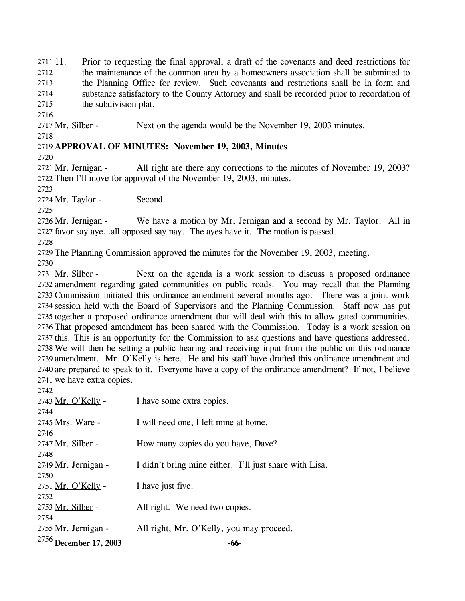11. Prior to requesting the final approval, a draft of the covenants and deed restrictions for the maintenance of the common area by a homeowners association shall be submitted to the Planning Office for review. Such covenants and restrictions shall be in form and substance satisfactory to the County Attorney and shall be recorded prior to recordation of the subdivision plat. 2711 11. 2712 2713 2714 2715

2716

2717 Mr. Silber - Next on the agenda would be the November 19, 2003 minutes.

2718

### 2719 **APPROVAL OF MINUTES: November 19, 2003, Minutes**

2720

All right are there any corrections to the minutes of November 19, 2003? 2722 Then I'll move for approval of the November 19, 2003, minutes. 2721 Mr. Jernigan -

2723

2724 Mr. Taylor - Second.

2725

We have a motion by Mr. Jernigan and a second by Mr. Taylor. All in 2727 favor say aye...all opposed say nay. The ayes have it. The motion is passed. 2726 Mr. Jernigan -

2728

2729 The Planning Commission approved the minutes for the November 19, 2003, meeting.

2730

Next on the agenda is a work session to discuss a proposed ordinance 2732 amendment regarding gated communities on public roads. You may recall that the Planning 2733 Commission initiated this ordinance amendment several months ago. There was a joint work 2734 session held with the Board of Supervisors and the Planning Commission. Staff now has put 2735 together a proposed ordinance amendment that will deal with this to allow gated communities. 2736 That proposed amendment has been shared with the Commission. Today is a work session on 2737 this. This is an opportunity for the Commission to ask questions and have questions addressed. 2738 We will then be setting a public hearing and receiving input from the public on this ordinance 2739 amendment. Mr. O'Kelly is here. He and his staff have drafted this ordinance amendment and 2740 are prepared to speak to it. Everyone have a copy of the ordinance amendment? If not, I believe 2741 we have extra copies. 2731 Mr. Silber -

| <sup>2756</sup> December 17, 2003 | -66-                                                   |
|-----------------------------------|--------------------------------------------------------|
| 2755 Mr. Jernigan -               | All right, Mr. O'Kelly, you may proceed.               |
| 2754                              |                                                        |
| 2753 Mr. Silber -                 | All right. We need two copies.                         |
| 2752                              |                                                        |
| 2751 Mr. O'Kelly -                | I have just five.                                      |
| 2750                              |                                                        |
| 2748<br>2749 Mr. Jernigan -       | I didn't bring mine either. I'll just share with Lisa. |
| 2747 Mr. Silber -                 | How many copies do you have, Dave?                     |
| 2746                              |                                                        |
| 2745 Mrs. Ware -                  | I will need one, I left mine at home.                  |
| 2744                              |                                                        |
| 2743 Mr. O'Kelly -                | I have some extra copies.                              |
| 2742                              |                                                        |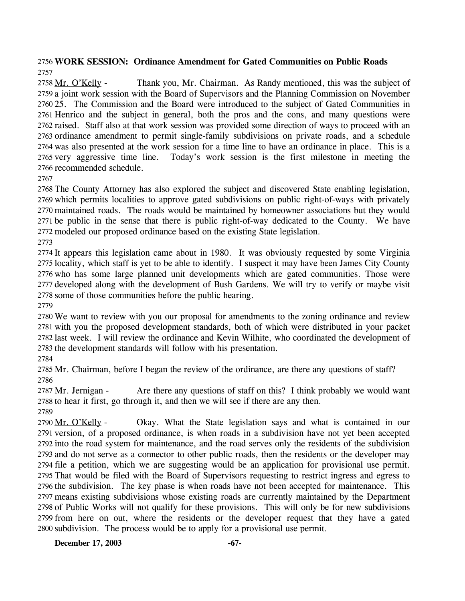### 2756 **WORK SESSION: Ordinance Amendment for Gated Communities on Public Roads** 2757

Thank you, Mr. Chairman. As Randy mentioned, this was the subject of 2759 a joint work session with the Board of Supervisors and the Planning Commission on November 2760 25. The Commission and the Board were introduced to the subject of Gated Communities in 2761 Henrico and the subject in general, both the pros and the cons, and many questions were 2762 raised. Staff also at that work session was provided some direction of ways to proceed with an 2763 ordinance amendment to permit single-family subdivisions on private roads, and a schedule 2764 was also presented at the work session for a time line to have an ordinance in place. This is a Today's work session is the first milestone in meeting the 2766 recommended schedule. 2758 Mr. O'Kelly -2765 very aggressive time line.

2767

 The County Attorney has also explored the subject and discovered State enabling legislation, which permits localities to approve gated subdivisions on public right-of-ways with privately maintained roads. The roads would be maintained by homeowner associations but they would be public in the sense that there is public right-of-way dedicated to the County. We have modeled our proposed ordinance based on the existing State legislation. 2773

 It appears this legislation came about in 1980. It was obviously requested by some Virginia locality, which staff is yet to be able to identify. I suspect it may have been James City County who has some large planned unit developments which are gated communities. Those were developed along with the development of Bush Gardens. We will try to verify or maybe visit some of those communities before the public hearing.

2779

 We want to review with you our proposal for amendments to the zoning ordinance and review with you the proposed development standards, both of which were distributed in your packet last week. I will review the ordinance and Kevin Wilhite, who coordinated the development of the development standards will follow with his presentation.

2784

2785 Mr. Chairman, before I began the review of the ordinance, are there any questions of staff? 2786

Are there any questions of staff on this? I think probably we would want 2788 to hear it first, go through it, and then we will see if there are any then. 2787 Mr. Jernigan -2789

Okay. What the State legislation says and what is contained in our 2791 version, of a proposed ordinance, is when roads in a subdivision have not yet been accepted 2792 into the road system for maintenance, and the road serves only the residents of the subdivision 2793 and do not serve as a connector to other public roads, then the residents or the developer may 2794 file a petition, which we are suggesting would be an application for provisional use permit. 2795 That would be filed with the Board of Supervisors requesting to restrict ingress and egress to 2796 the subdivision. The key phase is when roads have not been accepted for maintenance. This 2797 means existing subdivisions whose existing roads are currently maintained by the Department 2798 of Public Works will not qualify for these provisions. This will only be for new subdivisions 2799 from here on out, where the residents or the developer request that they have a gated 2800 subdivision. The process would be to apply for a provisional use permit. 2790 Mr. O'Kelly -

**December 17, 2003** -67-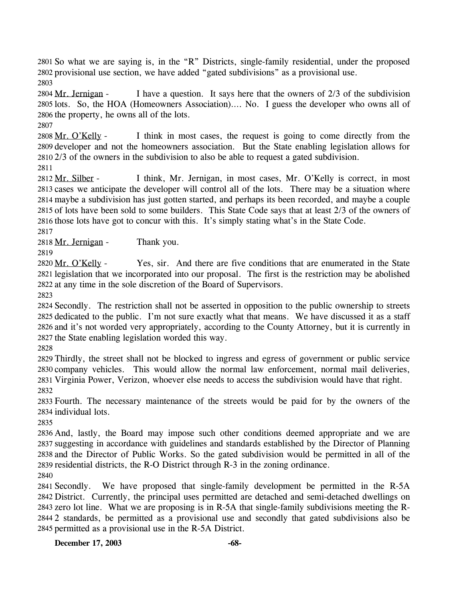2801 So what we are saying is, in the "R" Districts, single-family residential, under the proposed 2802 provisional use section, we have added "gated subdivisions" as a provisional use. 2803

I have a question. It says here that the owners of  $2/3$  of the subdivision 2805 lots. So, the HOA (Homeowners Association).... No. I guess the developer who owns all of 2806 the property, he owns all of the lots. 2804 Mr. Jernigan -

2807

I think in most cases, the request is going to come directly from the 2809 developer and not the homeowners association. But the State enabling legislation allows for  $2810\,2/3$  of the owners in the subdivision to also be able to request a gated subdivision. 2808 Mr. O'Kelly -

2811

I think, Mr. Jernigan, in most cases, Mr. O'Kelly is correct, in most 2813 cases we anticipate the developer will control all of the lots. There may be a situation where 2814 maybe a subdivision has just gotten started, and perhaps its been recorded, and maybe a couple 2815 of lots have been sold to some builders. This State Code says that at least 2/3 of the owners of 2816 those lots have got to concur with this. It's simply stating what's in the State Code. 2812 Mr. Silber -

2817

2818 Mr. Jernigan - Thank you.

2819

Yes, sir. And there are five conditions that are enumerated in the State 2821 legislation that we incorporated into our proposal. The first is the restriction may be abolished 2822 at any time in the sole discretion of the Board of Supervisors. 2820 Mr. O'Kelly -

2823

 Secondly. The restriction shall not be asserted in opposition to the public ownership to streets dedicated to the public. I'm not sure exactly what that means. We have discussed it as a staff and it's not worded very appropriately, according to the County Attorney, but it is currently in the State enabling legislation worded this way.

2828

 Thirdly, the street shall not be blocked to ingress and egress of government or public service company vehicles. This would allow the normal law enforcement, normal mail deliveries, Virginia Power, Verizon, whoever else needs to access the subdivision would have that right. 2832

2833 Fourth. The necessary maintenance of the streets would be paid for by the owners of the 2834 individual lots.

2835

 And, lastly, the Board may impose such other conditions deemed appropriate and we are suggesting in accordance with guidelines and standards established by the Director of Planning and the Director of Public Works. So the gated subdivision would be permitted in all of the residential districts, the R-O District through R-3 in the zoning ordinance. 2840

 Secondly. We have proposed that single-family development be permitted in the R-5A District. Currently, the principal uses permitted are detached and semi-detached dwellings on zero lot line. What we are proposing is in R-5A that single-family subdivisions meeting the R- 2 standards, be permitted as a provisional use and secondly that gated subdivisions also be permitted as a provisional use in the R-5A District.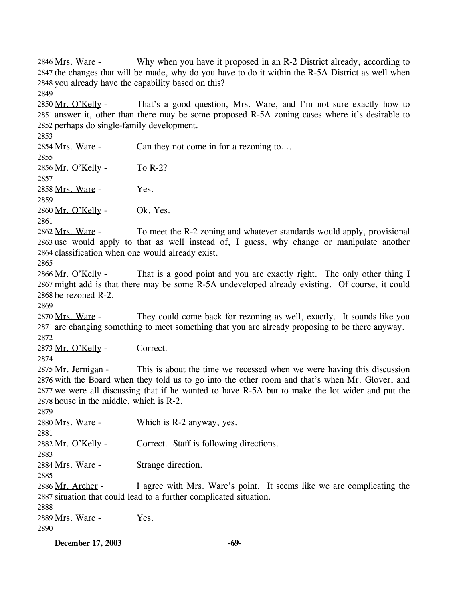Why when you have it proposed in an R-2 District already, according to 2847 the changes that will be made, why do you have to do it within the R-5A District as well when 2848 you already have the capability based on this? 2846 Mrs. Ware -

2849

That's a good question, Mrs. Ware, and I'm not sure exactly how to 2851 answer it, other than there may be some proposed R-5A zoning cases where it's desirable to 2852 perhaps do single-family development. 2850 Mr. O'Kelly -

2853

2854 Mrs. Ware - Can they not come in for a rezoning to…. 2855 2856 Mr. O'Kelly - To R-2? 2857 2858 Mrs. Ware - Yes. 2859 2860 Mr. O'Kelly - Ok. Yes. 2861

To meet the R-2 zoning and whatever standards would apply, provisional 2863 use would apply to that as well instead of, I guess, why change or manipulate another 2864 classification when one would already exist. 2862 Mrs. Ware -

2865

That is a good point and you are exactly right. The only other thing I 2867 might add is that there may be some R-5A undeveloped already existing. Of course, it could 2868 be rezoned  $R-2$ . 2866 Mr. O'Kelly -

2869

They could come back for rezoning as well, exactly. It sounds like you 2871 are changing something to meet something that you are already proposing to be there anyway. 2870 Mrs. Ware -2872

2873 Mr. O'Kelly - Correct.

2874

This is about the time we recessed when we were having this discussion 2876 with the Board when they told us to go into the other room and that's when Mr. Glover, and 2877 we were all discussing that if he wanted to have R-5A but to make the lot wider and put the 2878 house in the middle, which is  $R-2$ . 2875 Mr. Jernigan -

2879

2880 Mrs. Ware - Which is R-2 anyway, yes. 2881 2882 Mr. O'Kelly - Correct. Staff is following directions. 2883 2884 Mrs. Ware - Strange direction. 2885

I agree with Mrs. Ware's point. It seems like we are complicating the 2887 situation that could lead to a further complicated situation. 2886 Mr. Archer -

2888

2889 Mrs. Ware - Yes. 2890

**December 17, 2003 -69-**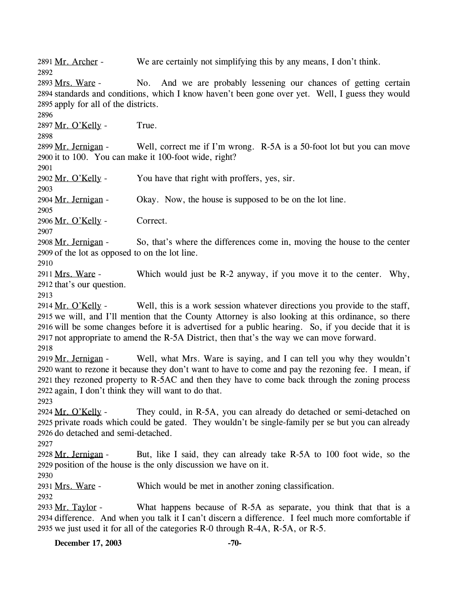2891 Mr. Archer - We are certainly not simplifying this by any means, I don't think. 2892

No. And we are probably lessening our chances of getting certain 2894 standards and conditions, which I know haven't been gone over yet. Well, I guess they would 2895 apply for all of the districts. 2893 Mrs. Ware -

2896

2897 Mr. O'Kelly - True.

2898

Well, correct me if I'm wrong. R-5A is a 50-foot lot but you can move 2900 it to 100. You can make it 100-foot wide, right? 2899 Mr. Jernigan -

2901

2902 Mr. O'Kelly - You have that right with proffers, yes, sir.

2903

2904 Mr. Jernigan - Okay. Now, the house is supposed to be on the lot line.

2906 Mr. O'Kelly - Correct.

2907

2905

So, that's where the differences come in, moving the house to the center 2909 of the lot as opposed to on the lot line. 2908 Mr. Jernigan -

2910

Which would just be  $R-2$  anyway, if you move it to the center. Why, 2912 that's our question. 2911 Mrs. Ware -

2913

Well, this is a work session whatever directions you provide to the staff, 2915 we will, and I'll mention that the County Attorney is also looking at this ordinance, so there 2916 will be some changes before it is advertised for a public hearing. So, if you decide that it is 2917 not appropriate to amend the R-5A District, then that's the way we can move forward. 2914 Mr. O'Kelly -2918

Well, what Mrs. Ware is saying, and I can tell you why they wouldn't 2920 want to rezone it because they don't want to have to come and pay the rezoning fee. I mean, if 2921 they rezoned property to R-5AC and then they have to come back through the zoning process 2922 again, I don't think they will want to do that. 2919 Mr. Jernigan -

2923

They could, in R-5A, you can already do detached or semi-detached on 2925 private roads which could be gated. They wouldn't be single-family per se but you can already 2926 do detached and semi-detached. 2924 Mr. O'Kelly -

2927

But, like I said, they can already take R-5A to 100 foot wide, so the 2929 position of the house is the only discussion we have on it. 2928 Mr. Jernigan -

2930

2931 Mrs. Ware - Which would be met in another zoning classification.

2932

What happens because of  $R-5A$  as separate, you think that that is a 2934 difference. And when you talk it I can't discern a difference. I feel much more comfortable if 2935 we just used it for all of the categories  $R$ -0 through  $R$ -4A,  $R$ -5A, or  $R$ -5. 2933 Mr. Taylor -

**December 17, 2003** -70-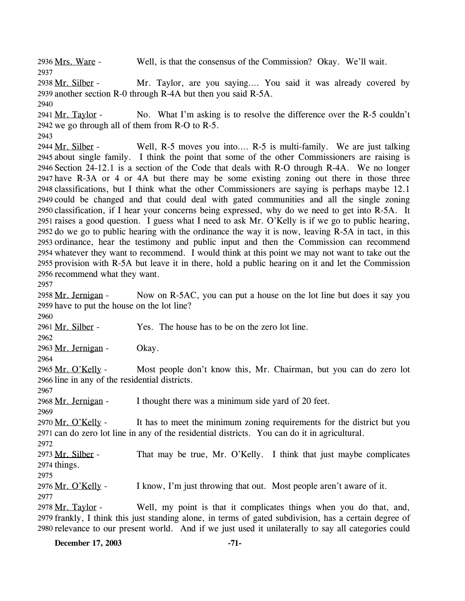2936 Mrs. Ware - Well, is that the consensus of the Commission? Okay. We'll wait. 2937 Mr. Taylor, are you saying…. You said it was already covered by 2939 another section R-0 through R-4A but then you said R-5A. 2938 Mr. Silber -2940 No. What I'm asking is to resolve the difference over the R-5 couldn't 2942 we go through all of them from  $R-O$  to  $R-S$ . 2941 Mr. Taylor -2943 Well, R-5 moves you into…. R-5 is multi-family. We are just talking 2945 about single family. I think the point that some of the other Commissioners are raising is 2946 Section 24-12.1 is a section of the Code that deals with R-O through R-4A. We no longer 2947 have R-3A or 4 or 4A but there may be some existing zoning out there in those three 2948 classifications, but I think what the other Commissioners are saying is perhaps maybe 12.1 2949 could be changed and that could deal with gated communities and all the single zoning 2950 classification, if I hear your concerns being expressed, why do we need to get into R-5A. It 2951 raises a good question. I guess what I need to ask Mr. O'Kelly is if we go to public hearing, 2952 do we go to public hearing with the ordinance the way it is now, leaving  $R-5A$  in tact, in this 2953 ordinance, hear the testimony and public input and then the Commission can recommend 2954 whatever they want to recommend. I would think at this point we may not want to take out the 2955 provision with R-5A but leave it in there, hold a public hearing on it and let the Commission 2956 recommend what they want. 2944 Mr. Silber -2957 Now on R-5AC, you can put a house on the lot line but does it say you 2959 have to put the house on the lot line? 2958 Mr. Jernigan -2960 2961 Mr. Silber - Yes. The house has to be on the zero lot line. 2962 2963 Mr. Jernigan - Okay. 2964 Most people don't know this, Mr. Chairman, but you can do zero lot 2966 line in any of the residential districts. 2965 Mr. O'Kelly -2967 2968 Mr. Jernigan - I thought there was a minimum side yard of 20 feet. 2969 It has to meet the minimum zoning requirements for the district but you 2971 can do zero lot line in any of the residential districts. You can do it in agricultural. 2970 Mr. O'Kelly -2972 That may be true, Mr. O'Kelly. I think that just maybe complicates 2974 things. 2973 Mr. Silber -2975 2976 Mr. O'Kelly - I know, I'm just throwing that out. Most people aren't aware of it. 2977 Well, my point is that it complicates things when you do that, and, 2979 frankly, I think this just standing alone, in terms of gated subdivision, has a certain degree of 2980 relevance to our present world. And if we just used it unilaterally to say all categories could 2978 Mr. Taylor -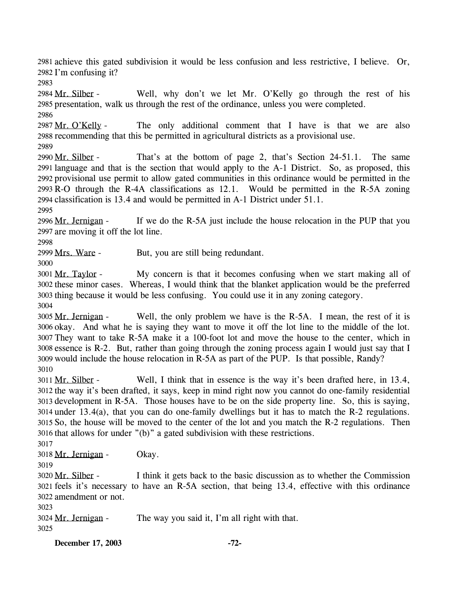2981 achieve this gated subdivision it would be less confusion and less restrictive, I believe. Or, 2982 I'm confusing it?

2983

Well, why don't we let Mr. O'Kelly go through the rest of his 2985 presentation, walk us through the rest of the ordinance, unless you were completed. 2984 Mr. Silber -

2986

The only additional comment that I have is that we are also 2988 recommending that this be permitted in agricultural districts as a provisional use. 2987 Mr. O'Kelly -

2989

That's at the bottom of page 2, that's Section 24-51.1. The same 2991 language and that is the section that would apply to the A-1 District. So, as proposed, this 2992 provisional use permit to allow gated communities in this ordinance would be permitted in the 2993 R-O through the R-4A classifications as 12.1. Would be permitted in the R-5A zoning 2994 classification is 13.4 and would be permitted in A-1 District under 51.1. 2990 Mr. Silber -

2995

If we do the R-5A just include the house relocation in the PUP that you 2997 are moving it off the lot line. 2996 Mr. Jernigan -

2998

2999 Mrs. Ware - But, you are still being redundant.

3000

My concern is that it becomes confusing when we start making all of 3002 these minor cases. Whereas, I would think that the blanket application would be the preferred 3003 thing because it would be less confusing. You could use it in any zoning category. 3001 Mr. Taylor -3004

Well, the only problem we have is the R-5A. I mean, the rest of it is 3006 okay. And what he is saying they want to move it off the lot line to the middle of the lot. 3007 They want to take R-5A make it a 100-foot lot and move the house to the center, which in 3008 essence is  $R-2$ . But, rather than going through the zoning process again I would just say that I 3009 would include the house relocation in R-5A as part of the PUP. Is that possible, Randy? 3005 Mr. Jernigan -3010

Well, I think that in essence is the way it's been drafted here, in 13.4, 3012 the way it's been drafted, it says, keep in mind right now you cannot do one-family residential 3013 development in R-5A. Those houses have to be on the side property line. So, this is saying,  $3014$  under  $13.4(a)$ , that you can do one-family dwellings but it has to match the R-2 regulations. 3015 So, the house will be moved to the center of the lot and you match the R-2 regulations. Then 3016 that allows for under  $"$ (b)" a gated subdivision with these restrictions. 3011 Mr. Silber -

3017

3018 Mr. Jernigan - Okay.

3019

I think it gets back to the basic discussion as to whether the Commission 3021 feels it's necessary to have an R-5A section, that being 13.4, effective with this ordinance 3022 amendment or not. 3020 Mr. Silber -

3023

3024 Mr. Jernigan - The way you said it, I'm all right with that. 3025

**December 17, 2003 -72-**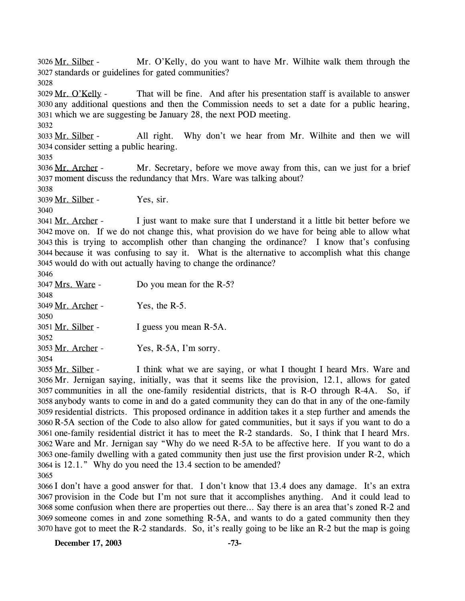Mr. O'Kelly, do you want to have Mr. Wilhite walk them through the standards or guidelines for gated communities? 3027 3026 Mr. Silber -

3028

That will be fine. And after his presentation staff is available to answer any additional questions and then the Commission needs to set a date for a public hearing, 3030 3031 which we are suggesting be January 28, the next POD meeting. 3029 Mr. O'Kelly -

3032

All right. Why don't we hear from Mr. Wilhite and then we will 3034 consider setting a public hearing. 3033 Mr. Silber -

3035

Mr. Secretary, before we move away from this, can we just for a brief moment discuss the redundancy that Mrs. Ware was talking about? 3037 3036 Mr. Archer -

3038

3039 Mr. Silber - Yes, sir.

3040

I just want to make sure that I understand it a little bit better before we 3042 move on. If we do not change this, what provision do we have for being able to allow what 3043 this is trying to accomplish other than changing the ordinance? I know that's confusing because it was confusing to say it. What is the alternative to accomplish what this change 3044 3045 would do with out actually having to change the ordinance? 3041 Mr. Archer -3046

| 3046                     |                          |
|--------------------------|--------------------------|
| 3047 <u>Mrs. Ware</u> -  | Do you mean for the R-5? |
| 3048                     |                          |
| 3049 Mr. Archer -        | Yes, the $R-5$ .         |
| 3050                     |                          |
| 3051 <u>Mr. Silber</u> - | I guess you mean R-5A.   |
| 3052                     |                          |
| 3053 Mr. Archer -        | Yes, R-5A, I'm sorry.    |
| 3054                     |                          |
|                          |                          |

I think what we are saying, or what I thought I heard Mrs. Ware and 3056 Mr. Jernigan saying, initially, was that it seems like the provision, 12.1, allows for gated 3057 communities in all the one-family residential districts, that is R-O through R-4A. So, if anybody wants to come in and do a gated community they can do that in any of the one-family 3058 3059 residential districts. This proposed ordinance in addition takes it a step further and amends the 3060 R-5A section of the Code to also allow for gated communities, but it says if you want to do a 3061 one-family residential district it has to meet the R-2 standards. So, I think that I heard Mrs. Ware and Mr. Jernigan say "Why do we need R-5A to be affective here. If you want to do a 3062 3063 one-family dwelling with a gated community then just use the first provision under R-2, which 3064 is 12.1." Why do you need the 13.4 section to be amended? 3055 Mr. Silber -3065

 I don't have a good answer for that. I don't know that 13.4 does any damage. It's an extra provision in the Code but I'm not sure that it accomplishes anything. And it could lead to some confusion when there are properties out there… Say there is an area that's zoned R-2 and someone comes in and zone something R-5A, and wants to do a gated community then they have got to meet the R-2 standards. So, it's really going to be like an R-2 but the map is going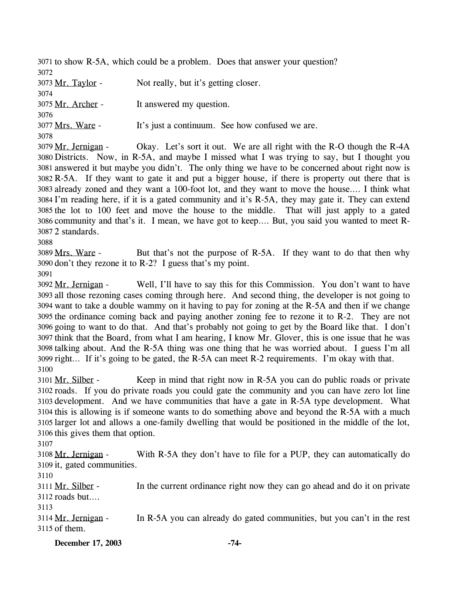3071 to show R-5A, which could be a problem. Does that answer your question? 3072 3073 Mr. Taylor - Not really, but it's getting closer. 3074 3075 Mr. Archer - It answered my question. 3076 3077 Mrs. Ware - It's just a continuum. See how confused we are. 3078 Okay. Let's sort it out. We are all right with the R-O though the  $R$ -4A 3079 Mr. Jernigan -

Districts. Now, in R-5A, and maybe I missed what I was trying to say, but I thought you 3080 3081 answered it but maybe you didn't. The only thing we have to be concerned about right now is 3082 R-5A. If they want to gate it and put a bigger house, if there is property out there that is 3083 already zoned and they want a 100-foot lot, and they want to move the house.... I think what 3084 I'm reading here, if it is a gated community and it's R-5A, they may gate it. They can extend 3085 the lot to 100 feet and move the house to the middle. That will just apply to a gated 3086 community and that's it. I mean, we have got to keep.... But, you said you wanted to meet R-2 standards. 3087

3088

But that's not the purpose of R-5A. If they want to do that then why 3090 don't they rezone it to  $R-2$ ? I guess that's my point. 3089 Mrs. Ware -

3091

Well, I'll have to say this for this Commission. You don't want to have 3093 all those rezoning cases coming through here. And second thing, the developer is not going to 3094 want to take a double wammy on it having to pay for zoning at the R-5A and then if we change 3095 the ordinance coming back and paying another zoning fee to rezone it to  $R-2$ . They are not 3096 going to want to do that. And that's probably not going to get by the Board like that. I don't 3097 think that the Board, from what I am hearing, I know Mr. Glover, this is one issue that he was 3098 talking about. And the R-5A thing was one thing that he was worried about. I guess I'm all 3099 right... If it's going to be gated, the R-5A can meet R-2 requirements. I'm okay with that. 3092 Mr. Jernigan -3100

Keep in mind that right now in R-5A you can do public roads or private 3102 roads. If you do private roads you could gate the community and you can have zero lot line 3103 development. And we have communities that have a gate in R-5A type development. What 3104 this is allowing is if someone wants to do something above and beyond the R-5A with a much 3105 larger lot and allows a one-family dwelling that would be positioned in the middle of the lot, 3106 this gives them that option. 3101 Mr. Silber -

3107

With R-5A they don't have to file for a PUP, they can automatically do 3109 it, gated communities. 3108 Mr. Jernigan -

3110

In the current ordinance right now they can go ahead and do it on private  $3112$  roads but.... 3111 Mr. Silber -

3113

In R-5A you can already do gated communities, but you can't in the rest 3115 of them. 3114 Mr. Jernigan -

**December 17, 2003 -74-**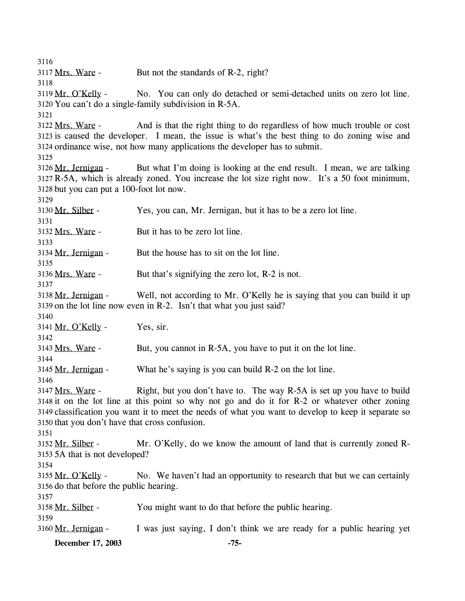3116 3117 Mrs. Ware - But not the standards of R-2, right? 3118 No. You can only do detached or semi-detached units on zero lot line. 3120 You can't do a single-family subdivision in R-5A. 3119 Mr. O'Kelly -3121 And is that the right thing to do regardless of how much trouble or cost 3123 is caused the developer. I mean, the issue is what's the best thing to do zoning wise and 3124 ordinance wise, not how many applications the developer has to submit. 3122 Mrs. Ware -3125 But what I'm doing is looking at the end result. I mean, we are talking R-5A, which is already zoned. You increase the lot size right now. It's a 50 foot minimum, 3127 3128 but you can put a 100-foot lot now. 3126 Mr. Jernigan -3129 3130 Mr. Silber - Yes, you can, Mr. Jernigan, but it has to be a zero lot line. 3131 3132 Mrs. Ware - But it has to be zero lot line. 3133 3134 Mr. Jernigan - But the house has to sit on the lot line. 3135 3136 Mrs. Ware - But that's signifying the zero lot, R-2 is not. 3137 Well, not according to Mr. O'Kelly he is saying that you can build it up 3139 on the lot line now even in  $R-2$ . Isn't that what you just said? 3138 Mr. Jernigan -3140  $3141$  Mr. O'Kelly - Yes, sir. 3142 3143 Mrs. Ware - But, you cannot in R-5A, you have to put it on the lot line. 3144 3145 Mr. Jernigan - What he's saying is you can build R-2 on the lot line. 3146 Right, but you don't have to. The way  $R-5A$  is set up you have to build 3148 it on the lot line at this point so why not go and do it for R-2 or whatever other zoning 3149 classification you want it to meet the needs of what you want to develop to keep it separate so 3150 that you don't have that cross confusion. 3147 Mrs. Ware -3151 Mr. O'Kelly, do we know the amount of land that is currently zoned R-5A that is not developed? 3153 3152 Mr. Silber -3154 No. We haven't had an opportunity to research that but we can certainly 3156 do that before the public hearing. 3155 Mr. O'Kelly -3157 3158 Mr. Silber - You might want to do that before the public hearing. 3159 3160 Mr. Jernigan - I was just saying, I don't think we are ready for a public hearing yet

**December 17, 2003 -75-**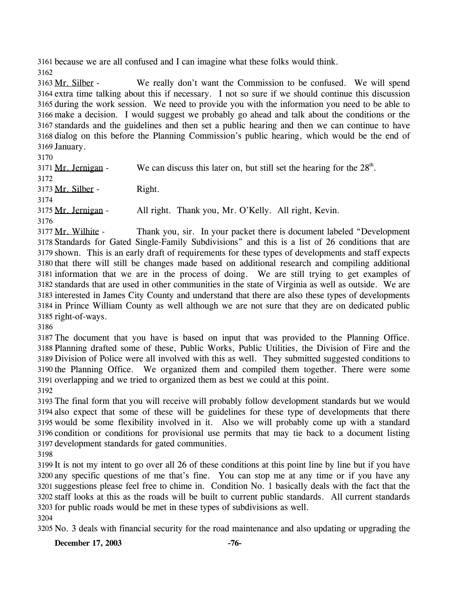3161 because we are all confused and I can imagine what these folks would think. 3162

We really don't want the Commission to be confused. We will spend 3164 extra time talking about this if necessary. I not so sure if we should continue this discussion 3165 during the work session. We need to provide you with the information you need to be able to 3166 make a decision. I would suggest we probably go ahead and talk about the conditions or the standards and the guidelines and then set a public hearing and then we can continue to have 3167 3168 dialog on this before the Planning Commission's public hearing, which would be the end of 3169 January. 3163 Mr. Silber -

3170

3171 Mr. Jernigan - We can discuss this later on, but still set the hearing for the  $28<sup>th</sup>$ . 3172 3173 Mr. Silber - Right. 3174 3175 Mr. Jernigan - All right. Thank you, Mr. O'Kelly. All right, Kevin. 3176

Thank you, sir. In your packet there is document labeled "Development Standards for Gated Single-Family Subdivisions" and this is a list of 26 conditions that are 3178 3179 shown. This is an early draft of requirements for these types of developments and staff expects 3180 that there will still be changes made based on additional research and compiling additional 3181 information that we are in the process of doing. We are still trying to get examples of standards that are used in other communities in the state of Virginia as well as outside. We are 3182 3183 interested in James City County and understand that there are also these types of developments 3184 in Prince William County as well although we are not sure that they are on dedicated public 3185 right-of-ways. 3177 Mr. Wilhite -

3186

 The document that you have is based on input that was provided to the Planning Office. Planning drafted some of these, Public Works, Public Utilities, the Division of Fire and the Division of Police were all involved with this as well. They submitted suggested conditions to the Planning Office. We organized them and compiled them together. There were some overlapping and we tried to organized them as best we could at this point.

3192

 The final form that you will receive will probably follow development standards but we would also expect that some of these will be guidelines for these type of developments that there would be some flexibility involved in it. Also we will probably come up with a standard condition or conditions for provisional use permits that may tie back to a document listing development standards for gated communities.

3198

 It is not my intent to go over all 26 of these conditions at this point line by line but if you have any specific questions of me that's fine. You can stop me at any time or if you have any suggestions please feel free to chime in. Condition No. 1 basically deals with the fact that the staff looks at this as the roads will be built to current public standards. All current standards for public roads would be met in these types of subdivisions as well.

3204

3205 No. 3 deals with financial security for the road maintenance and also updating or upgrading the

**December 17, 2003 -76-**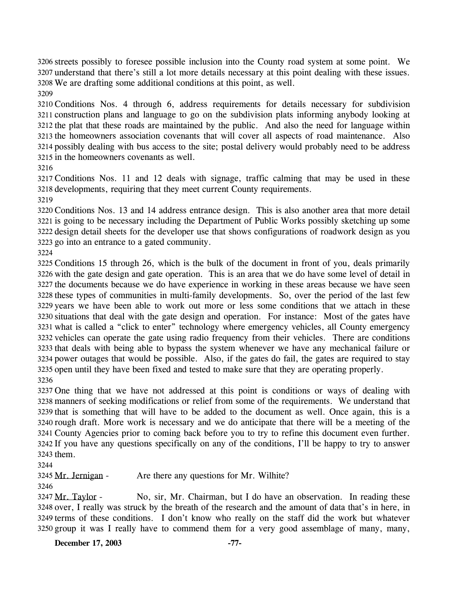3206 streets possibly to foresee possible inclusion into the County road system at some point. We 3207 understand that there's still a lot more details necessary at this point dealing with these issues. We are drafting some additional conditions at this point, as well.

 Conditions Nos. 4 through 6, address requirements for details necessary for subdivision construction plans and language to go on the subdivision plats informing anybody looking at the plat that these roads are maintained by the public. And also the need for language within the homeowners association covenants that will cover all aspects of road maintenance. Also possibly dealing with bus access to the site; postal delivery would probably need to be address in the homeowners covenants as well.

 Conditions Nos. 11 and 12 deals with signage, traffic calming that may be used in these developments, requiring that they meet current County requirements.

 Conditions Nos. 13 and 14 address entrance design. This is also another area that more detail is going to be necessary including the Department of Public Works possibly sketching up some design detail sheets for the developer use that shows configurations of roadwork design as you go into an entrance to a gated community.

 Conditions 15 through 26, which is the bulk of the document in front of you, deals primarily with the gate design and gate operation. This is an area that we do have some level of detail in the documents because we do have experience in working in these areas because we have seen these types of communities in multi-family developments. So, over the period of the last few years we have been able to work out more or less some conditions that we attach in these situations that deal with the gate design and operation. For instance: Most of the gates have what is called a "click to enter" technology where emergency vehicles, all County emergency vehicles can operate the gate using radio frequency from their vehicles. There are conditions that deals with being able to bypass the system whenever we have any mechanical failure or power outages that would be possible. Also, if the gates do fail, the gates are required to stay open until they have been fixed and tested to make sure that they are operating properly. 

 One thing that we have not addressed at this point is conditions or ways of dealing with manners of seeking modifications or relief from some of the requirements. We understand that that is something that will have to be added to the document as well. Once again, this is a rough draft. More work is necessary and we do anticipate that there will be a meeting of the County Agencies prior to coming back before you to try to refine this document even further. If you have any questions specifically on any of the conditions, I'll be happy to try to answer them.

3245 Mr. Jernigan - Are there any questions for Mr. Wilhite?

No, sir, Mr. Chairman, but I do have an observation. In reading these 3248 over, I really was struck by the breath of the research and the amount of data that's in here, in 3249 terms of these conditions. I don't know who really on the staff did the work but whatever 3250 group it was I really have to commend them for a very good assemblage of many, many, 3247 Mr. Taylor -

**December 17, 2003 -77-**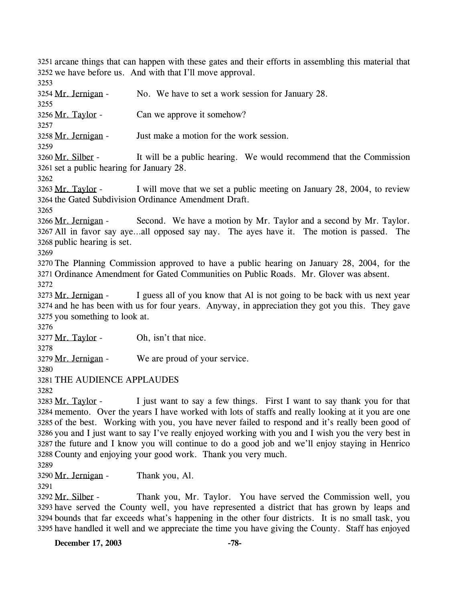3251 arcane things that can happen with these gates and their efforts in assembling this material that 3252 we have before us. And with that I'll move approval.

3253 3254 Mr. Jernigan - No. We have to set a work session for January 28. 3255 3256 Mr. Taylor - Can we approve it somehow? 3257 3258 Mr. Jernigan - Just make a motion for the work session. 3259 It will be a public hearing. We would recommend that the Commission 3261 set a public hearing for January 28. 3260 Mr. Silber -3262 I will move that we set a public meeting on January 28, 2004, to review 3264 the Gated Subdivision Ordinance Amendment Draft. 3263 Mr. Taylor -3265 Second. We have a motion by Mr. Taylor and a second by Mr. Taylor. All in favor say aye…all opposed say nay. The ayes have it. The motion is passed. The 3267 3268 public hearing is set. 3266 Mr. Jernigan -3269 3270 The Planning Commission approved to have a public hearing on January 28, 2004, for the 3271 Ordinance Amendment for Gated Communities on Public Roads. Mr. Glover was absent. 3272 I guess all of you know that Al is not going to be back with us next year 3274 and he has been with us for four years. Anyway, in appreciation they got you this. They gave 3275 you something to look at. 3273 Mr. Jernigan -3276 3277 Mr. Taylor - Oh, isn't that nice. 3278 3279 Mr. Jernigan - We are proud of your service. 3280 3281 THE AUDIENCE APPLAUDES 3282 I just want to say a few things. First I want to say thank you for that 3284 memento. Over the years I have worked with lots of staffs and really looking at it you are one 3285 of the best. Working with you, you have never failed to respond and it's really been good of 3286 you and I just want to say I've really enjoyed working with you and I wish you the very best in 3287 the future and I know you will continue to do a good job and we'll enjoy staying in Henrico 3288 County and enjoying your good work. Thank you very much. 3283 Mr. Taylor -3289 3290 Mr. Jernigan - Thank you, Al. 3291 Thank you, Mr. Taylor. You have served the Commission well, you 3293 have served the County well, you have represented a district that has grown by leaps and bounds that far exceeds what's happening in the other four districts. It is no small task, you 3294 3295 have handled it well and we appreciate the time you have giving the County. Staff has enjoyed 3292 Mr. Silber -

**December 17, 2003 -78-**